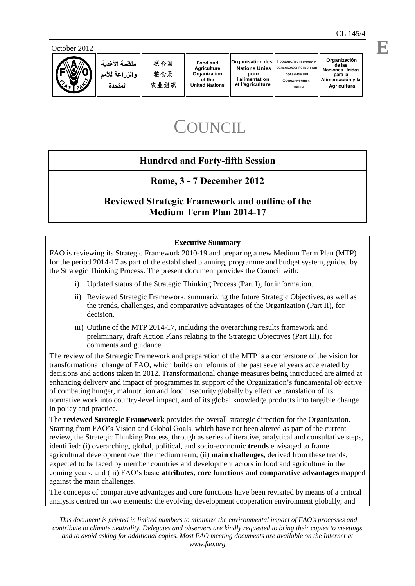$A$ gricultura





منظمة الأغذبة والزراعة للأمم المتحدة

**E**

# **COUNCIL**

# **Hundred and Forty-fifth Session**

**Rome, 3 - 7 December 2012** 

# **Reviewed Strategic Framework and outline of the Medium Term Plan 2014-17**

# **Executive Summary**

FAO is reviewing its Strategic Framework 2010-19 and preparing a new Medium Term Plan (MTP) for the period 2014-17 as part of the established planning, programme and budget system, guided by the Strategic Thinking Process. The present document provides the Council with:

- i) Updated status of the Strategic Thinking Process (Part I), for information.
- ii) Reviewed Strategic Framework, summarizing the future Strategic Objectives, as well as the trends, challenges, and comparative advantages of the Organization (Part II), for decision.
- iii) Outline of the MTP 2014-17, including the overarching results framework and preliminary, draft Action Plans relating to the Strategic Objectives (Part III), for comments and guidance.

The review of the Strategic Framework and preparation of the MTP is a cornerstone of the vision for transformational change of FAO, which builds on reforms of the past several years accelerated by decisions and actions taken in 2012. Transformational change measures being introduced are aimed at enhancing delivery and impact of programmes in support of the Organization's fundamental objective of combating hunger, malnutrition and food insecurity globally by effective translation of its normative work into country-level impact, and of its global knowledge products into tangible change in policy and practice.

Food and<br> *Agriculture*<br> *Agriculture*<br> *Organization*<br> *Witted Nations*<br> *Witted Nations*<br> *Witted Nations*<br>
<br> *Witter Summers*<br> *Commerse of Pramewo*<br> *Commerse Commerse Commerse Commerse Commerse Commerse Commerse Camme* The **reviewed Strategic Framework** provides the overall strategic direction for the Organization. Starting from FAO's Vision and Global Goals, which have not been altered as part of the current review, the Strategic Thinking Process, through as series of iterative, analytical and consultative steps, identified: (i) overarching, global, political, and socio-economic **trends** envisaged to frame agricultural development over the medium term; (ii) **main challenges**, derived from these trends, expected to be faced by member countries and development actors in food and agriculture in the coming years; and (iii) FAO's basic **attributes, core functions and comparative advantages** mapped against the main challenges.

The concepts of comparative advantages and core functions have been revisited by means of a critical analysis centred on two elements: the evolving development cooperation environment globally; and

 *This document is printed in limited numbers to minimize the environmental impact of FAO's processes and contribute to climate neutrality. Delegates and observers are kindly requested to bring their copies to meetings and to avoid asking for additional copies. Most FAO meeting documents are available on the Internet at*  www.fao.org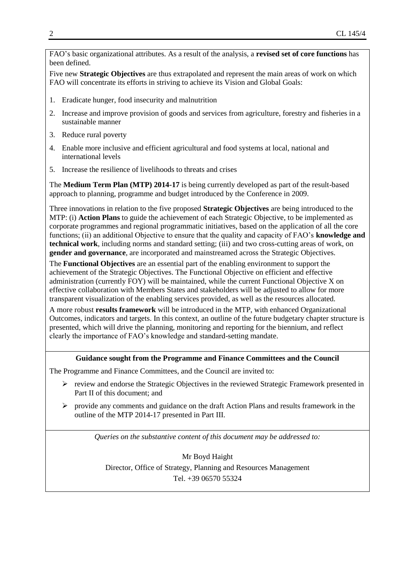FAO's basic organizational attributes. As a result of the analysis, a **revised set of core functions** has been defined.

Five new **Strategic Objectives** are thus extrapolated and represent the main areas of work on which FAO will concentrate its efforts in striving to achieve its Vision and Global Goals:

- 1. Eradicate hunger, food insecurity and malnutrition
- 2. Increase and improve provision of goods and services from agriculture, forestry and fisheries in a sustainable manner
- 3. Reduce rural poverty
- 4. Enable more inclusive and efficient agricultural and food systems at local, national and international levels
- 5. Increase the resilience of livelihoods to threats and crises

The **Medium Term Plan (MTP) 2014-17** is being currently developed as part of the result-based approach to planning, programme and budget introduced by the Conference in 2009.

Three innovations in relation to the five proposed **Strategic Objectives** are being introduced to the MTP: (i) **Action Plans** to guide the achievement of each Strategic Objective, to be implemented as corporate programmes and regional programmatic initiatives, based on the application of all the core functions; (ii) an additional Objective to ensure that the quality and capacity of FAO's **knowledge and technical work**, including norms and standard setting; (iii) and two cross-cutting areas of work, on **gender and governance**, are incorporated and mainstreamed across the Strategic Objectives.

The **Functional Objectives** are an essential part of the enabling environment to support the achievement of the Strategic Objectives. The Functional Objective on efficient and effective administration (currently FOY) will be maintained, while the current Functional Objective X on effective collaboration with Members States and stakeholders will be adjusted to allow for more transparent visualization of the enabling services provided, as well as the resources allocated.

A more robust **results framework** will be introduced in the MTP, with enhanced Organizational Outcomes, indicators and targets. In this context, an outline of the future budgetary chapter structure is presented, which will drive the planning, monitoring and reporting for the biennium, and reflect clearly the importance of FAO's knowledge and standard-setting mandate.

#### **Guidance sought from the Programme and Finance Committees and the Council**

The Programme and Finance Committees, and the Council are invited to:

- $\triangleright$  review and endorse the Strategic Objectives in the reviewed Strategic Framework presented in Part II of this document; and
- $\triangleright$  provide any comments and guidance on the draft Action Plans and results framework in the outline of the MTP 2014-17 presented in Part III.

*Queries on the substantive content of this document may be addressed to:*

Mr Boyd Haight Director, Office of Strategy, Planning and Resources Management Tel. +39 06570 55324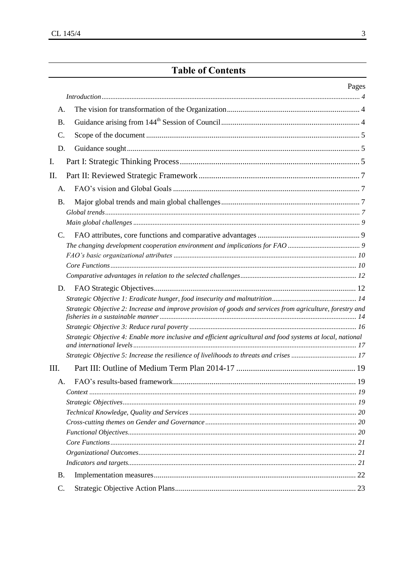# **Table of Contents**

#### Pages

| А.        |                                                                                                             |  |
|-----------|-------------------------------------------------------------------------------------------------------------|--|
| <b>B.</b> |                                                                                                             |  |
| C.        |                                                                                                             |  |
|           | D.                                                                                                          |  |
| I.        |                                                                                                             |  |
| Π.        |                                                                                                             |  |
|           | A <sub>1</sub>                                                                                              |  |
|           |                                                                                                             |  |
| Β.        |                                                                                                             |  |
|           |                                                                                                             |  |
|           | $C_{\cdot}$                                                                                                 |  |
|           |                                                                                                             |  |
|           |                                                                                                             |  |
|           |                                                                                                             |  |
|           |                                                                                                             |  |
|           | D.                                                                                                          |  |
|           |                                                                                                             |  |
|           | Strategic Objective 2: Increase and improve provision of goods and services from agriculture, forestry and  |  |
|           |                                                                                                             |  |
|           | Strategic Objective 4: Enable more inclusive and efficient agricultural and food systems at local, national |  |
|           |                                                                                                             |  |
| III.      |                                                                                                             |  |
|           | A.                                                                                                          |  |
|           |                                                                                                             |  |
|           |                                                                                                             |  |
|           |                                                                                                             |  |
|           |                                                                                                             |  |
|           |                                                                                                             |  |
|           |                                                                                                             |  |
|           |                                                                                                             |  |
|           |                                                                                                             |  |
| Β.        |                                                                                                             |  |
| C.        |                                                                                                             |  |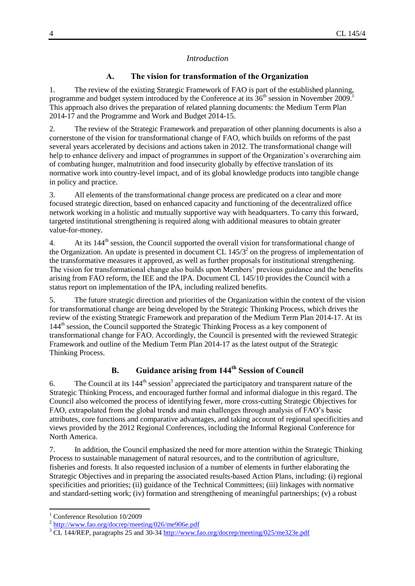#### *Introduction*

#### **A. The vision for transformation of the Organization**

<span id="page-3-1"></span><span id="page-3-0"></span>1. The review of the existing Strategic Framework of FAO is part of the established planning, programme and budget system introduced by the Conference at its  $36<sup>th</sup>$  session in November 2009. This approach also drives the preparation of related planning documents: the Medium Term Plan 2014-17 and the Programme and Work and Budget 2014-15.

2. The review of the Strategic Framework and preparation of other planning documents is also a cornerstone of the vision for transformational change of FAO, which builds on reforms of the past several years accelerated by decisions and actions taken in 2012. The transformational change will help to enhance delivery and impact of programmes in support of the Organization's overarching aim of combating hunger, malnutrition and food insecurity globally by effective translation of its normative work into country-level impact, and of its global knowledge products into tangible change in policy and practice.

3. All elements of the transformational change process are predicated on a clear and more focused strategic direction, based on enhanced capacity and functioning of the decentralized office network working in a holistic and mutually supportive way with headquarters. To carry this forward, targeted institutional strengthening is required along with additional measures to obtain greater value-for-money.

4. At its 144<sup>th</sup> session, the Council supported the overall vision for transformational change of the Organization. An update is presented in document CL  $145/3<sup>2</sup>$  on the progress of implementation of the transformative measures it approved, as well as further proposals for institutional strengthening. The vision for transformational change also builds upon Members' previous guidance and the benefits arising from FAO reform, the IEE and the IPA. Document CL 145/10 provides the Council with a status report on implementation of the IPA, including realized benefits.

5. The future strategic direction and priorities of the Organization within the context of the vision for transformational change are being developed by the Strategic Thinking Process, which drives the review of the existing Strategic Framework and preparation of the Medium Term Plan 2014-17. At its  $144<sup>th</sup>$  session, the Council supported the Strategic Thinking Process as a key component of transformational change for FAO. Accordingly, the Council is presented with the reviewed Strategic Framework and outline of the Medium Term Plan 2014-17 as the latest output of the Strategic Thinking Process.

# **B. Guidance arising from 144th Session of Council**

<span id="page-3-2"></span>6. The Council at its  $144^{\text{th}}$  session<sup>3</sup> appreciated the participatory and transparent nature of the Strategic Thinking Process, and encouraged further formal and informal dialogue in this regard. The Council also welcomed the process of identifying fewer, more cross-cutting Strategic Objectives for FAO, extrapolated from the global trends and main challenges through analysis of FAO's basic attributes, core functions and comparative advantages, and taking account of regional specificities and views provided by the 2012 Regional Conferences, including the Informal Regional Conference for North America.

7. In addition, the Council emphasized the need for more attention within the Strategic Thinking Process to sustainable management of natural resources, and to the contribution of agriculture, fisheries and forests. It also requested inclusion of a number of elements in further elaborating the Strategic Objectives and in preparing the associated results-based Action Plans, including: (i) regional specificities and priorities; (ii) guidance of the Technical Committees; (iii) linkages with normative and standard-setting work; (iv) formation and strengthening of meaningful partnerships; (v) a robust

l

<sup>&</sup>lt;sup>1</sup> Conference Resolution 10/2009

<sup>&</sup>lt;sup>2</sup> <http://www.fao.org/docrep/meeting/026/me906e.pdf>

<sup>&</sup>lt;sup>3</sup> CL 144/REP, paragraphs 25 and 30-34 <http://www.fao.org/docrep/meeting/025/me323e.pdf>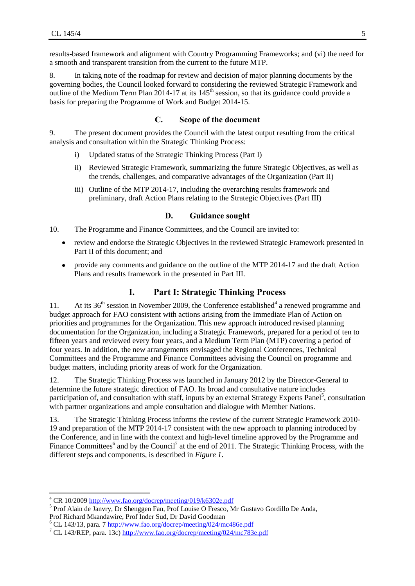results-based framework and alignment with Country Programming Frameworks; and (vi) the need for a smooth and transparent transition from the current to the future MTP.

8. In taking note of the roadmap for review and decision of major planning documents by the governing bodies, the Council looked forward to considering the reviewed Strategic Framework and outline of the Medium Term Plan 2014-17 at its  $145<sup>th</sup>$  session, so that its guidance could provide a basis for preparing the Programme of Work and Budget 2014-15.

# **C. Scope of the document**

<span id="page-4-0"></span>9. The present document provides the Council with the latest output resulting from the critical analysis and consultation within the Strategic Thinking Process:

- i) Updated status of the Strategic Thinking Process (Part I)
- ii) Reviewed Strategic Framework, summarizing the future Strategic Objectives, as well as the trends, challenges, and comparative advantages of the Organization (Part II)
- iii) Outline of the MTP 2014-17, including the overarching results framework and preliminary, draft Action Plans relating to the Strategic Objectives (Part III)

#### **D. Guidance sought**

<span id="page-4-1"></span>10. The Programme and Finance Committees, and the Council are invited to:

- review and endorse the Strategic Objectives in the reviewed Strategic Framework presented in Part II of this document; and
- <span id="page-4-2"></span>provide any comments and guidance on the outline of the MTP 2014-17 and the draft Action  $\bullet$ Plans and results framework in the presented in Part III.

#### **I. Part I: Strategic Thinking Process**

11. At its  $36<sup>th</sup>$  session in November 2009, the Conference established<sup>4</sup> a renewed programme and budget approach for FAO consistent with actions arising from the Immediate Plan of Action on priorities and programmes for the Organization. This new approach introduced revised planning documentation for the Organization, including a Strategic Framework, prepared for a period of ten to fifteen years and reviewed every four years, and a Medium Term Plan (MTP) covering a period of four years. In addition, the new arrangements envisaged the Regional Conferences, Technical Committees and the Programme and Finance Committees advising the Council on programme and budget matters, including priority areas of work for the Organization.

12. The Strategic Thinking Process was launched in January 2012 by the Director-General to determine the future strategic direction of FAO. Its broad and consultative nature includes participation of, and consultation with staff, inputs by an external Strategy Experts Panel<sup>5</sup>, consultation with partner organizations and ample consultation and dialogue with Member Nations.

13. The Strategic Thinking Process informs the review of the current Strategic Framework 2010- 19 and preparation of the MTP 2014-17 consistent with the new approach to planning introduced by the Conference, and in line with the context and high-level timeline approved by the Programme and Finance Committees<sup>6</sup> and by the Council<sup>7</sup> at the end of 2011. The Strategic Thinking Process, with the different steps and components, is described in *Figure 1*.

l

<sup>4</sup> CR 10/2009 <http://www.fao.org/docrep/meeting/019/k6302e.pdf>

<sup>&</sup>lt;sup>5</sup> Prof Alain de Janvry, Dr Shenggen Fan, Prof Louise O Fresco, Mr Gustavo Gordillo De Anda, Prof Richard Mkandawire, Prof Inder Sud, Dr David Goodman

<sup>6</sup> CL 143/13, para. 7 <http://www.fao.org/docrep/meeting/024/mc486e.pdf>

<sup>7</sup> CL 143/REP, para. 13c) <http://www.fao.org/docrep/meeting/024/mc783e.pdf>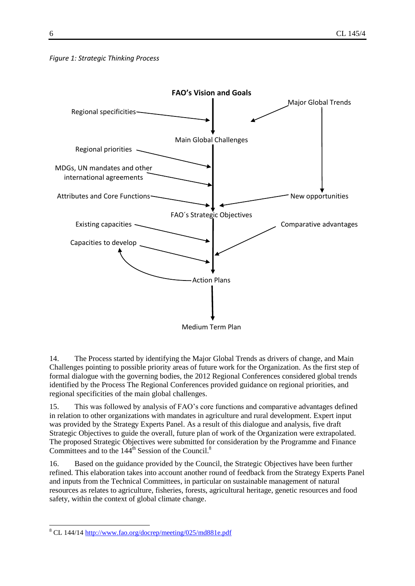#### *Figure 1: Strategic Thinking Process*



14. The Process started by identifying the Major Global Trends as drivers of change, and Main Challenges pointing to possible priority areas of future work for the Organization. As the first step of formal dialogue with the governing bodies, the 2012 Regional Conferences considered global trends identified by the Process The Regional Conferences provided guidance on regional priorities, and regional specificities of the main global challenges.

15. This was followed by analysis of FAO's core functions and comparative advantages defined in relation to other organizations with mandates in agriculture and rural development. Expert input was provided by the Strategy Experts Panel. As a result of this dialogue and analysis, five draft Strategic Objectives to guide the overall, future plan of work of the Organization were extrapolated. The proposed Strategic Objectives were submitted for consideration by the Programme and Finance Committees and to the 144<sup>th</sup> Session of the Council.<sup>8</sup>

16. Based on the guidance provided by the Council, the Strategic Objectives have been further refined. This elaboration takes into account another round of feedback from the Strategy Experts Panel and inputs from the Technical Committees, in particular on sustainable management of natural resources as relates to agriculture, fisheries, forests, agricultural heritage, genetic resources and food safety, within the context of global climate change.

 $\overline{\phantom{a}}$ 

<sup>&</sup>lt;sup>8</sup> CL 144/14<http://www.fao.org/docrep/meeting/025/md881e.pdf>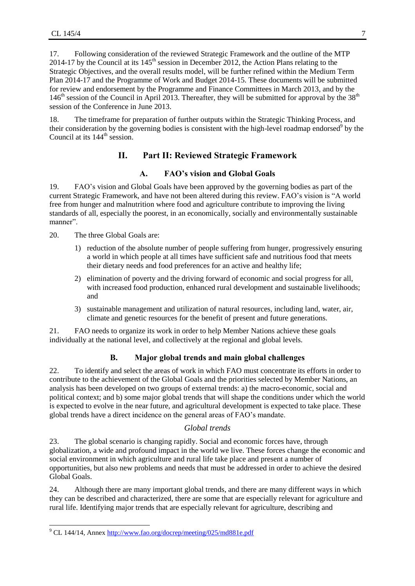17. Following consideration of the reviewed Strategic Framework and the outline of the MTP 2014-17 by the Council at its  $145<sup>th</sup>$  session in December 2012, the Action Plans relating to the Strategic Objectives, and the overall results model, will be further refined within the Medium Term Plan 2014-17 and the Programme of Work and Budget 2014-15. These documents will be submitted for review and endorsement by the Programme and Finance Committees in March 2013, and by the  $146<sup>th</sup>$  session of the Council in April 2013. Thereafter, they will be submitted for approval by the 38<sup>th</sup> session of the Conference in June 2013.

<span id="page-6-0"></span>18. The timeframe for preparation of further outputs within the Strategic Thinking Process, and their consideration by the governing bodies is consistent with the high-level roadmap endorsed<sup>9</sup> by the Council at its  $144^{\text{th}}$  session.

# **II. Part II: Reviewed Strategic Framework**

# **A. FAO's vision and Global Goals**

<span id="page-6-1"></span>19. FAO's vision and Global Goals have been approved by the governing bodies as part of the current Strategic Framework, and have not been altered during this review. FAO's vision is "A world free from hunger and malnutrition where food and agriculture contribute to improving the living standards of all, especially the poorest, in an economically, socially and environmentally sustainable manner".

20. The three Global Goals are:

- 1) reduction of the absolute number of people suffering from hunger, progressively ensuring a world in which people at all times have sufficient safe and nutritious food that meets their dietary needs and food preferences for an active and healthy life;
- 2) elimination of poverty and the driving forward of economic and social progress for all, with increased food production, enhanced rural development and sustainable livelihoods; and
- 3) sustainable management and utilization of natural resources, including land, water, air, climate and genetic resources for the benefit of present and future generations.

<span id="page-6-2"></span>21. FAO needs to organize its work in order to help Member Nations achieve these goals individually at the national level, and collectively at the regional and global levels.

# **B. Major global trends and main global challenges**

22. To identify and select the areas of work in which FAO must concentrate its efforts in order to contribute to the achievement of the Global Goals and the priorities selected by Member Nations, an analysis has been developed on two groups of external trends: a) the macro-economic, social and political context; and b) some major global trends that will shape the conditions under which the world is expected to evolve in the near future, and agricultural development is expected to take place. These global trends have a direct incidence on the general areas of FAO's mandate.

#### *Global trends*

<span id="page-6-3"></span>23. The global scenario is changing rapidly. Social and economic forces have, through globalization, a wide and profound impact in the world we live. These forces change the economic and social environment in which agriculture and rural life take place and present a number of opportunities, but also new problems and needs that must be addressed in order to achieve the desired Global Goals.

24. Although there are many important global trends, and there are many different ways in which they can be described and characterized, there are some that are especially relevant for agriculture and rural life. Identifying major trends that are especially relevant for agriculture, describing and

 $\overline{\phantom{a}}$ 

<sup>&</sup>lt;sup>9</sup> CL 144/14, Annex<http://www.fao.org/docrep/meeting/025/md881e.pdf>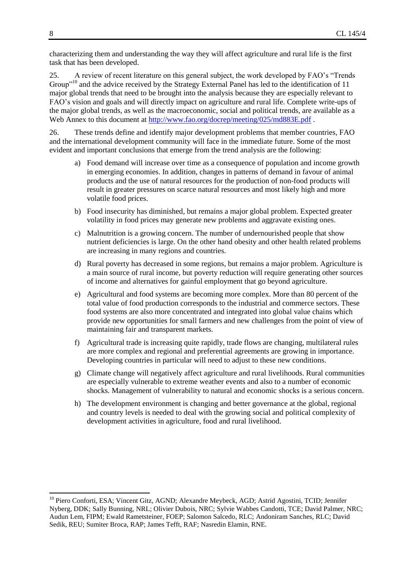characterizing them and understanding the way they will affect agriculture and rural life is the first task that has been developed.

25. A review of recent literature on this general subject, the work developed by FAO's "Trends Group<sup>"10</sup> and the advice received by the Strategy External Panel has led to the identification of 11 major global trends that need to be brought into the analysis because they are especially relevant to FAO's vision and goals and will directly impact on agriculture and rural life. Complete write-ups of the major global trends, as well as the macroeconomic, social and political trends, are available as a Web Annex to this document at<http://www.fao.org/docrep/meeting/025/md883E.pdf>.

26. These trends define and identify major development problems that member countries, FAO and the international development community will face in the immediate future. Some of the most evident and important conclusions that emerge from the trend analysis are the following:

- a) Food demand will increase over time as a consequence of population and income growth in emerging economies. In addition, changes in patterns of demand in favour of animal products and the use of natural resources for the production of non-food products will result in greater pressures on scarce natural resources and most likely high and more volatile food prices.
- b) Food insecurity has diminished, but remains a major global problem. Expected greater volatility in food prices may generate new problems and aggravate existing ones.
- c) Malnutrition is a growing concern. The number of undernourished people that show nutrient deficiencies is large. On the other hand obesity and other health related problems are increasing in many regions and countries.
- d) Rural poverty has decreased in some regions, but remains a major problem. Agriculture is a main source of rural income, but poverty reduction will require generating other sources of income and alternatives for gainful employment that go beyond agriculture.
- e) Agricultural and food systems are becoming more complex. More than 80 percent of the total value of food production corresponds to the industrial and commerce sectors. These food systems are also more concentrated and integrated into global value chains which provide new opportunities for small farmers and new challenges from the point of view of maintaining fair and transparent markets.
- f) Agricultural trade is increasing quite rapidly, trade flows are changing, multilateral rules are more complex and regional and preferential agreements are growing in importance. Developing countries in particular will need to adjust to these new conditions.
- g) Climate change will negatively affect agriculture and rural livelihoods. Rural communities are especially vulnerable to extreme weather events and also to a number of economic shocks. Management of vulnerability to natural and economic shocks is a serious concern.
- h) The development environment is changing and better governance at the global, regional and country levels is needed to deal with the growing social and political complexity of development activities in agriculture, food and rural livelihood.

l

<sup>&</sup>lt;sup>10</sup> Piero Conforti, ESA; Vincent Gitz, AGND; Alexandre Meybeck, AGD; Astrid Agostini, TCID; Jennifer Nyberg, DDK; Sally Bunning, NRL; Olivier Dubois, NRC; Sylvie Wabbes Candotti, TCE; David Palmer, NRC; Audun Lem, FIPM; Ewald Rametsteiner, FOEP; Salomon Salcedo, RLC; Andoniram Sanches, RLC; David Sedik, REU; Sumiter Broca, RAP; James Tefft, RAF; Nasredin Elamin, RNE.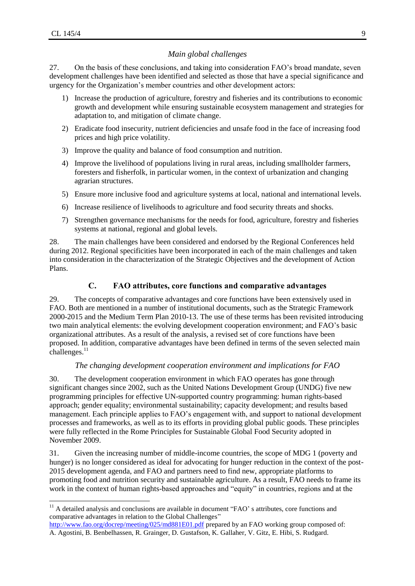# *Main global challenges*

<span id="page-8-0"></span>27. On the basis of these conclusions, and taking into consideration FAO's broad mandate, seven development challenges have been identified and selected as those that have a special significance and urgency for the Organization's member countries and other development actors:

- 1) Increase the production of agriculture, forestry and fisheries and its contributions to economic growth and development while ensuring sustainable ecosystem management and strategies for adaptation to, and mitigation of climate change.
- 2) Eradicate food insecurity, nutrient deficiencies and unsafe food in the face of increasing food prices and high price volatility.
- 3) Improve the quality and balance of food consumption and nutrition.
- 4) Improve the livelihood of populations living in rural areas, including smallholder farmers, foresters and fisherfolk, in particular women, in the context of urbanization and changing agrarian structures.
- 5) Ensure more inclusive food and agriculture systems at local, national and international levels.
- 6) Increase resilience of livelihoods to agriculture and food security threats and shocks.
- 7) Strengthen governance mechanisms for the needs for food, agriculture, forestry and fisheries systems at national, regional and global levels.

28. The main challenges have been considered and endorsed by the Regional Conferences held during 2012. Regional specificities have been incorporated in each of the main challenges and taken into consideration in the characterization of the Strategic Objectives and the development of Action Plans.

# **C. FAO attributes, core functions and comparative advantages**

<span id="page-8-1"></span>29. The concepts of comparative advantages and core functions have been extensively used in FAO. Both are mentioned in a number of institutional documents, such as the Strategic Framework 2000-2015 and the Medium Term Plan 2010-13. The use of these terms has been revisited introducing two main analytical elements: the evolving development cooperation environment; and FAO's basic organizational attributes. As a result of the analysis, a revised set of core functions have been proposed. In addition, comparative advantages have been defined in terms of the seven selected main challenges.<sup>11</sup>

#### *The changing development cooperation environment and implications for FAO*

<span id="page-8-2"></span>30. The development cooperation environment in which FAO operates has gone through significant changes since 2002, such as the United Nations Development Group (UNDG) five new programming principles for effective UN-supported country programming: human rights-based approach; gender equality; environmental sustainability; capacity development; and results based management. Each principle applies to FAO's engagement with, and support to national development processes and frameworks, as well as to its efforts in providing global public goods. These principles were fully reflected in the Rome Principles for Sustainable Global Food Security adopted in November 2009.

31. Given the increasing number of middle-income countries, the scope of MDG 1 (poverty and hunger) is no longer considered as ideal for advocating for hunger reduction in the context of the post-2015 development agenda, and FAO and partners need to find new, appropriate platforms to promoting food and nutrition security and sustainable agriculture. As a result, FAO needs to frame its work in the context of human rights-based approaches and "equity" in countries, regions and at the

 $\overline{a}$  $11$  A detailed analysis and conclusions are available in document "FAO' s attributes, core functions and comparative advantages in relation to the Global Challenges"

<http://www.fao.org/docrep/meeting/025/md881E01.pdf> prepared by an FAO working group composed of: A. Agostini, B. Benbelhassen, R. Grainger, D. Gustafson, K. Gallaher, V. Gitz, E. Hibi, S. Rudgard.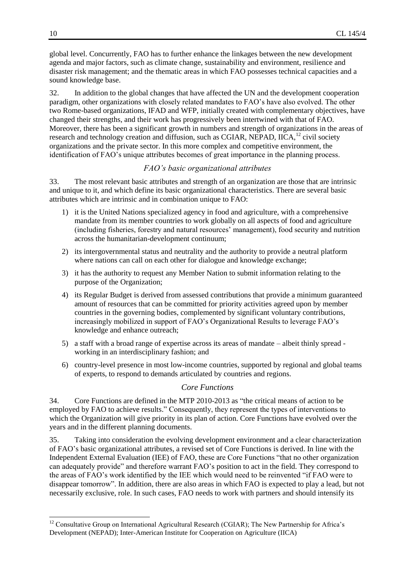global level. Concurrently, FAO has to further enhance the linkages between the new development agenda and major factors, such as climate change, sustainability and environment, resilience and disaster risk management; and the thematic areas in which FAO possesses technical capacities and a sound knowledge base.

32. In addition to the global changes that have affected the UN and the development cooperation paradigm, other organizations with closely related mandates to FAO's have also evolved. The other two Rome-based organizations, IFAD and WFP, initially created with complementary objectives, have changed their strengths, and their work has progressively been intertwined with that of FAO. Moreover, there has been a significant growth in numbers and strength of organizations in the areas of research and technology creation and diffusion, such as CGIAR, NEPAD, IICA,<sup>12</sup> civil society organizations and the private sector. In this more complex and competitive environment, the identification of FAO's unique attributes becomes of great importance in the planning process.

#### *FAO's basic organizational attributes*

<span id="page-9-0"></span>33. The most relevant basic attributes and strength of an organization are those that are intrinsic and unique to it, and which define its basic organizational characteristics. There are several basic attributes which are intrinsic and in combination unique to FAO:

- 1) it is the United Nations specialized agency in food and agriculture, with a comprehensive mandate from its member countries to work globally on all aspects of food and agriculture (including fisheries, forestry and natural resources' management), food security and nutrition across the humanitarian-development continuum;
- 2) its intergovernmental status and neutrality and the authority to provide a neutral platform where nations can call on each other for dialogue and knowledge exchange;
- 3) it has the authority to request any Member Nation to submit information relating to the purpose of the Organization;
- 4) its Regular Budget is derived from assessed contributions that provide a minimum guaranteed amount of resources that can be committed for priority activities agreed upon by member countries in the governing bodies, complemented by significant voluntary contributions, increasingly mobilized in support of FAO's Organizational Results to leverage FAO's knowledge and enhance outreach;
- 5) a staff with a broad range of expertise across its areas of mandate albeit thinly spread working in an interdisciplinary fashion; and
- 6) country-level presence in most low-income countries, supported by regional and global teams of experts, to respond to demands articulated by countries and regions.

#### *Core Functions*

<span id="page-9-1"></span>34. Core Functions are defined in the MTP 2010-2013 as "the critical means of action to be employed by FAO to achieve results." Consequently, they represent the types of interventions to which the Organization will give priority in its plan of action. Core Functions have evolved over the years and in the different planning documents.

35. Taking into consideration the evolving development environment and a clear characterization of FAO's basic organizational attributes, a revised set of Core Functions is derived. In line with the Independent External Evaluation (IEE) of FAO, these are Core Functions "that no other organization can adequately provide" and therefore warrant FAO's position to act in the field. They correspond to the areas of FAO's work identified by the IEE which would need to be reinvented "if FAO were to disappear tomorrow". In addition, there are also areas in which FAO is expected to play a lead, but not necessarily exclusive, role. In such cases, FAO needs to work with partners and should intensify its

l

<sup>&</sup>lt;sup>12</sup> Consultative Group on International Agricultural Research (CGIAR); The New Partnership for Africa's Development (NEPAD); Inter-American Institute for Cooperation on Agriculture (IICA)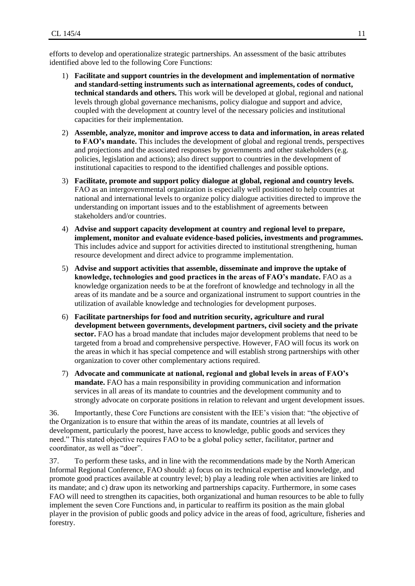efforts to develop and operationalize strategic partnerships. An assessment of the basic attributes identified above led to the following Core Functions:

- 1) **Facilitate and support countries in the development and implementation of normative and standard-setting instruments such as international agreements, codes of conduct, technical standards and others.** This work will be developed at global, regional and national levels through global governance mechanisms, policy dialogue and support and advice, coupled with the development at country level of the necessary policies and institutional capacities for their implementation.
- 2) **Assemble, analyze, monitor and improve access to data and information, in areas related to FAO's mandate.** This includes the development of global and regional trends, perspectives and projections and the associated responses by governments and other stakeholders (e.g. policies, legislation and actions); also direct support to countries in the development of institutional capacities to respond to the identified challenges and possible options.
- 3) **Facilitate, promote and support policy dialogue at global, regional and country levels.** FAO as an intergovernmental organization is especially well positioned to help countries at national and international levels to organize policy dialogue activities directed to improve the understanding on important issues and to the establishment of agreements between stakeholders and/or countries.
- 4) **Advise and support capacity development at country and regional level to prepare, implement, monitor and evaluate evidence-based policies, investments and programmes.** This includes advice and support for activities directed to institutional strengthening, human resource development and direct advice to programme implementation.
- 5) **Advise and support activities that assemble, disseminate and improve the uptake of knowledge, technologies and good practices in the areas of FAO's mandate.** FAO as a knowledge organization needs to be at the forefront of knowledge and technology in all the areas of its mandate and be a source and organizational instrument to support countries in the utilization of available knowledge and technologies for development purposes.
- 6) **Facilitate partnerships for food and nutrition security, agriculture and rural development between governments, development partners, civil society and the private sector.** FAO has a broad mandate that includes major development problems that need to be targeted from a broad and comprehensive perspective. However, FAO will focus its work on the areas in which it has special competence and will establish strong partnerships with other organization to cover other complementary actions required.
- 7) **Advocate and communicate at national, regional and global levels in areas of FAO's mandate.** FAO has a main responsibility in providing communication and information services in all areas of its mandate to countries and the development community and to strongly advocate on corporate positions in relation to relevant and urgent development issues.

36. Importantly, these Core Functions are consistent with the IEE's vision that: "the objective of the Organization is to ensure that within the areas of its mandate, countries at all levels of development, particularly the poorest, have access to knowledge, public goods and services they need." This stated objective requires FAO to be a global policy setter, facilitator, partner and coordinator, as well as "doer".

37. To perform these tasks, and in line with the recommendations made by the North American Informal Regional Conference, FAO should: a) focus on its technical expertise and knowledge, and promote good practices available at country level; b) play a leading role when activities are linked to its mandate; and c) draw upon its networking and partnerships capacity. Furthermore, in some cases FAO will need to strengthen its capacities, both organizational and human resources to be able to fully implement the seven Core Functions and, in particular to reaffirm its position as the main global player in the provision of public goods and policy advice in the areas of food, agriculture, fisheries and forestry.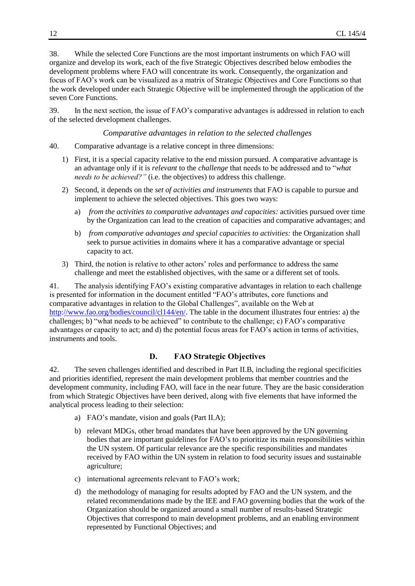38. While the selected Core Functions are the most important instruments on which FAO will organize and develop its work, each of the five Strategic Objectives described below embodies the development problems where FAO will concentrate its work. Consequently, the organization and focus of FAO's work can be visualized as a matrix of Strategic Objectives and Core Functions so that the work developed under each Strategic Objective will be implemented through the application of the seven Core Functions.

39. In the next section, the issue of FAO's comparative advantages is addressed in relation to each of the selected development challenges.

*Comparative advantages in relation to the selected challenges*

- <span id="page-11-0"></span>40. Comparative advantage is a relative concept in three dimensions:
	- 1) First, it is a special capacity relative to the end mission pursued. A comparative advantage is an advantage only if it is *relevant* to the *challenge* that needs to be addressed and to "*what needs to be achieved?"* (i.e. the objectives) to address this challenge.
	- 2) Second, it depends on the *set of activities and instruments* that FAO is capable to pursue and implement to achieve the selected objectives. This goes two ways:
		- a) *from the activities to comparative advantages and capacities:* activities pursued over time by the Organization can lead to the creation of capacities and comparative advantages; and
		- b) *from comparative advantages and special capacities to activities:* the Organization shall seek to pursue activities in domains where it has a comparative advantage or special capacity to act.
	- 3) Third, the notion is relative to other actors' roles and performance to address the same challenge and meet the established objectives, with the same or a different set of tools.

41. The analysis identifying FAO's existing comparative advantages in relation to each challenge is presented for information in the document entitled "FAO's attributes, core functions and comparative advantages in relation to the Global Challenges", available on the Web at [http://www.fao.org/bodies/council/cl144/en/.](http://www.fao.org/bodies/council/cl144/en/) The table in the document illustrates four entries: a) the challenges; b) "what needs to be achieved" to contribute to the challenge; c) FAO's comparative advantages or capacity to act; and d) the potential focus areas for FAO's action in terms of activities, instruments and tools.

# **D. FAO Strategic Objectives**

<span id="page-11-1"></span>42. The seven challenges identified and described in Part II.B, including the regional specificities and priorities identified, represent the main development problems that member countries and the development community, including FAO, will face in the near future. They are the basic consideration from which Strategic Objectives have been derived, along with five elements that have informed the analytical process leading to their selection:

- a) FAO's mandate, vision and goals (Part II.A);
- b) relevant MDGs, other broad mandates that have been approved by the UN governing bodies that are important guidelines for FAO's to prioritize its main responsibilities within the UN system. Of particular relevance are the specific responsibilities and mandates received by FAO within the UN system in relation to food security issues and sustainable agriculture;
- c) international agreements relevant to FAO's work;
- d) the methodology of managing for results adopted by FAO and the UN system, and the related recommendations made by the IEE and FAO governing bodies that the work of the Organization should be organized around a small number of results-based Strategic Objectives that correspond to main development problems, and an enabling environment represented by Functional Objectives; and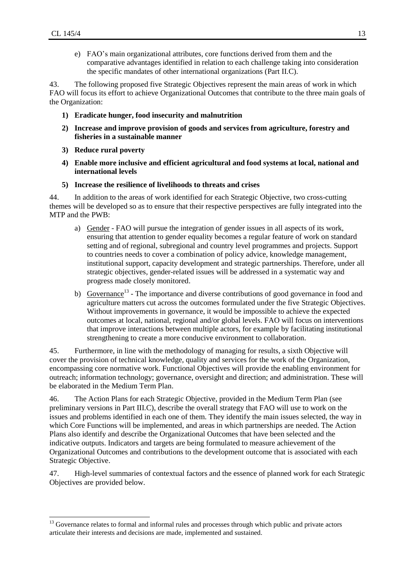l

e) FAO's main organizational attributes, core functions derived from them and the comparative advantages identified in relation to each challenge taking into consideration the specific mandates of other international organizations (Part II.C).

43. The following proposed five Strategic Objectives represent the main areas of work in which FAO will focus its effort to achieve Organizational Outcomes that contribute to the three main goals of the Organization:

- **1) Eradicate hunger, food insecurity and malnutrition**
- **2) Increase and improve provision of goods and services from agriculture, forestry and fisheries in a sustainable manner**
- **3) Reduce rural poverty**
- **4) Enable more inclusive and efficient agricultural and food systems at local, national and international levels**
- **5) Increase the resilience of livelihoods to threats and crises**

44. In addition to the areas of work identified for each Strategic Objective, two cross-cutting themes will be developed so as to ensure that their respective perspectives are fully integrated into the MTP and the PWB:

- a) Gender FAO will pursue the integration of gender issues in all aspects of its work, ensuring that attention to gender equality becomes a regular feature of work on standard setting and of regional, subregional and country level programmes and projects. Support to countries needs to cover a combination of policy advice, knowledge management, institutional support, capacity development and strategic partnerships. Therefore, under all strategic objectives, gender-related issues will be addressed in a systematic way and progress made closely monitored.
- b) Governance<sup>13</sup> The importance and diverse contributions of good governance in food and agriculture matters cut across the outcomes formulated under the five Strategic Objectives. Without improvements in governance, it would be impossible to achieve the expected outcomes at local, national, regional and/or global levels. FAO will focus on interventions that improve interactions between multiple actors, for example by facilitating institutional strengthening to create a more conducive environment to collaboration.

45. Furthermore, in line with the methodology of managing for results, a sixth Objective will cover the provision of technical knowledge, quality and services for the work of the Organization, encompassing core normative work. Functional Objectives will provide the enabling environment for outreach; information technology; governance, oversight and direction; and administration. These will be elaborated in the Medium Term Plan.

46. The Action Plans for each Strategic Objective, provided in the Medium Term Plan (see preliminary versions in Part III.C), describe the overall strategy that FAO will use to work on the issues and problems identified in each one of them. They identify the main issues selected, the way in which Core Functions will be implemented, and areas in which partnerships are needed. The Action Plans also identify and describe the Organizational Outcomes that have been selected and the indicative outputs. Indicators and targets are being formulated to measure achievement of the Organizational Outcomes and contributions to the development outcome that is associated with each Strategic Objective.

47. High-level summaries of contextual factors and the essence of planned work for each Strategic Objectives are provided below.

<sup>&</sup>lt;sup>13</sup> Governance relates to formal and informal rules and processes through which public and private actors articulate their interests and decisions are made, implemented and sustained.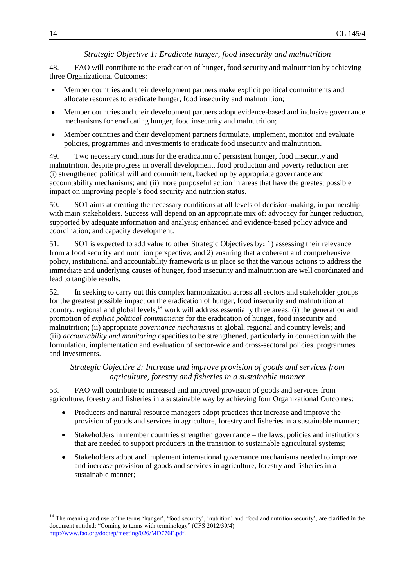## *Strategic Objective 1: Eradicate hunger, food insecurity and malnutrition*

<span id="page-13-0"></span>48. FAO will contribute to the eradication of hunger, food security and malnutrition by achieving three Organizational Outcomes:

- Member countries and their development partners make explicit political commitments and  $\bullet$ allocate resources to eradicate hunger, food insecurity and malnutrition;
- Member countries and their development partners adopt evidence-based and inclusive governance  $\bullet$ mechanisms for eradicating hunger, food insecurity and malnutrition;
- Member countries and their development partners formulate, implement, monitor and evaluate  $\bullet$ policies, programmes and investments to eradicate food insecurity and malnutrition.

49. Two necessary conditions for the eradication of persistent hunger, food insecurity and malnutrition, despite progress in overall development, food production and poverty reduction are: (i) strengthened political will and commitment, backed up by appropriate governance and accountability mechanisms; and (ii) more purposeful action in areas that have the greatest possible impact on improving people's food security and nutrition status.

50. SO1 aims at creating the necessary conditions at all levels of decision-making, in partnership with main stakeholders. Success will depend on an appropriate mix of: advocacy for hunger reduction, supported by adequate information and analysis; enhanced and evidence-based policy advice and coordination; and capacity development.

51. SO1 is expected to add value to other Strategic Objectives by**:** 1) assessing their relevance from a food security and nutrition perspective; and 2) ensuring that a coherent and comprehensive policy, institutional and accountability framework is in place so that the various actions to address the immediate and underlying causes of hunger, food insecurity and malnutrition are well coordinated and lead to tangible results.

52. In seeking to carry out this complex harmonization across all sectors and stakeholder groups for the greatest possible impact on the eradication of hunger, food insecurity and malnutrition at country, regional and global levels, <sup>14</sup> work will address essentially three areas: (i) the generation and promotion of *explicit political commitments* for the eradication of hunger, food insecurity and malnutrition; (ii) appropriate *governance mechanisms* at global, regional and country levels; and (iii) *accountability and monitoring* capacities to be strengthened, particularly in connection with the formulation, implementation and evaluation of sector-wide and cross-sectoral policies, programmes and investments.

# <span id="page-13-1"></span>*Strategic Objective 2: Increase and improve provision of goods and services from agriculture, forestry and fisheries in a sustainable manner*

53. FAO will contribute to increased and improved provision of goods and services from agriculture, forestry and fisheries in a sustainable way by achieving four Organizational Outcomes:

- Producers and natural resource managers adopt practices that increase and improve the  $\bullet$ provision of goods and services in agriculture, forestry and fisheries in a sustainable manner;
- Stakeholders in member countries strengthen governance the laws, policies and institutions  $\bullet$ that are needed to support producers in the transition to sustainable agricultural systems;
- $\bullet$ Stakeholders adopt and implement international governance mechanisms needed to improve and increase provision of goods and services in agriculture, forestry and fisheries in a sustainable manner;

 $\overline{a}$ 

<sup>&</sup>lt;sup>14</sup> The meaning and use of the terms 'hunger', 'food security', 'nutrition' and 'food and nutrition security', are clarified in the document entitled: "Coming to terms with terminology" (CFS 2012/39/4) [http://www.fao.org/docrep/meeting/026/MD776E.pdf.](http://www.fao.org/docrep/meeting/026/MD776E.pdf)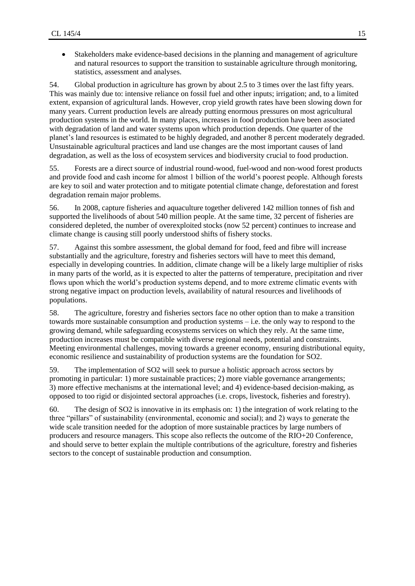Stakeholders make evidence-based decisions in the planning and management of agriculture and natural resources to support the transition to sustainable agriculture through monitoring, statistics, assessment and analyses.

54. Global production in agriculture has grown by about 2.5 to 3 times over the last fifty years. This was mainly due to: intensive reliance on fossil fuel and other inputs; irrigation; and, to a limited extent, expansion of agricultural lands. However, crop yield growth rates have been slowing down for many years. Current production levels are already putting enormous pressures on most agricultural production systems in the world. In many places, increases in food production have been associated with degradation of land and water systems upon which production depends. One quarter of the planet's land resources is estimated to be highly degraded, and another 8 percent moderately degraded. Unsustainable agricultural practices and land use changes are the most important causes of land degradation, as well as the loss of ecosystem services and biodiversity crucial to food production.

55. Forests are a direct source of industrial round-wood, fuel-wood and non-wood forest products and provide food and cash income for almost 1 billion of the world's poorest people. Although forests are key to soil and water protection and to mitigate potential climate change, deforestation and forest degradation remain major problems.

56. In 2008, capture fisheries and aquaculture together delivered 142 million tonnes of fish and supported the livelihoods of about 540 million people. At the same time, 32 percent of fisheries are considered depleted, the number of overexploited stocks (now 52 percent) continues to increase and climate change is causing still poorly understood shifts of fishery stocks.

57. Against this sombre assessment, the global demand for food, feed and fibre will increase substantially and the agriculture, forestry and fisheries sectors will have to meet this demand, especially in developing countries. In addition, climate change will be a likely large multiplier of risks in many parts of the world, as it is expected to alter the patterns of temperature, precipitation and river flows upon which the world's production systems depend, and to more extreme climatic events with strong negative impact on production levels, availability of natural resources and livelihoods of populations.

58. The agriculture, forestry and fisheries sectors face no other option than to make a transition towards more sustainable consumption and production systems – i.e. the only way to respond to the growing demand, while safeguarding ecosystems services on which they rely. At the same time, production increases must be compatible with diverse regional needs, potential and constraints. Meeting environmental challenges, moving towards a greener economy, ensuring distributional equity, economic resilience and sustainability of production systems are the foundation for SO2.

59. The implementation of SO2 will seek to pursue a holistic approach across sectors by promoting in particular: 1) more sustainable practices; 2) more viable governance arrangements; 3) more effective mechanisms at the international level; and 4) evidence-based decision-making, as opposed to too rigid or disjointed sectoral approaches (i.e. crops, livestock, fisheries and forestry).

60. The design of SO2 is innovative in its emphasis on: 1) the integration of work relating to the three "pillars" of sustainability (environmental, economic and social); and 2) ways to generate the wide scale transition needed for the adoption of more sustainable practices by large numbers of producers and resource managers. This scope also reflects the outcome of the RIO+20 Conference, and should serve to better explain the multiple contributions of the agriculture, forestry and fisheries sectors to the concept of sustainable production and consumption.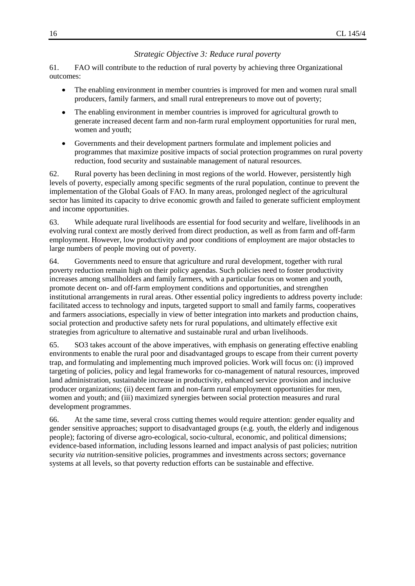#### *Strategic Objective 3: Reduce rural poverty*

<span id="page-15-0"></span>61. FAO will contribute to the reduction of rural poverty by achieving three Organizational outcomes:

- The enabling environment in member countries is improved for men and women rural small  $\bullet$ producers, family farmers, and small rural entrepreneurs to move out of poverty;
- The enabling environment in member countries is improved for agricultural growth to  $\bullet$ generate increased decent farm and non-farm rural employment opportunities for rural men, women and youth;
- $\bullet$ Governments and their development partners formulate and implement policies and programmes that maximize positive impacts of social protection programmes on rural poverty reduction, food security and sustainable management of natural resources.

62. Rural poverty has been declining in most regions of the world. However, persistently high levels of poverty, especially among specific segments of the rural population, continue to prevent the implementation of the Global Goals of FAO. In many areas, prolonged neglect of the agricultural sector has limited its capacity to drive economic growth and failed to generate sufficient employment and income opportunities.

63. While adequate rural livelihoods are essential for food security and welfare, livelihoods in an evolving rural context are mostly derived from direct production, as well as from farm and off-farm employment. However, low productivity and poor conditions of employment are major obstacles to large numbers of people moving out of poverty.

64. Governments need to ensure that agriculture and rural development, together with rural poverty reduction remain high on their policy agendas. Such policies need to foster productivity increases among smallholders and family farmers, with a particular focus on women and youth, promote decent on- and off-farm employment conditions and opportunities, and strengthen institutional arrangements in rural areas. Other essential policy ingredients to address poverty include: facilitated access to technology and inputs, targeted support to small and family farms, cooperatives and farmers associations, especially in view of better integration into markets and production chains, social protection and productive safety nets for rural populations, and ultimately effective exit strategies from agriculture to alternative and sustainable rural and urban livelihoods.

65. SO3 takes account of the above imperatives, with emphasis on generating effective enabling environments to enable the rural poor and disadvantaged groups to escape from their current poverty trap, and formulating and implementing much improved policies. Work will focus on: (i) improved targeting of policies, policy and legal frameworks for co-management of natural resources, improved land administration, sustainable increase in productivity, enhanced service provision and inclusive producer organizations; (ii) decent farm and non-farm rural employment opportunities for men, women and youth; and (iii) maximized synergies between social protection measures and rural development programmes.

66. At the same time, several cross cutting themes would require attention: gender equality and gender sensitive approaches; support to disadvantaged groups (e.g. youth, the elderly and indigenous people); factoring of diverse agro-ecological, socio-cultural, economic, and political dimensions; evidence-based information, including lessons learned and impact analysis of past policies; nutrition security *via* nutrition-sensitive policies, programmes and investments across sectors; governance systems at all levels, so that poverty reduction efforts can be sustainable and effective.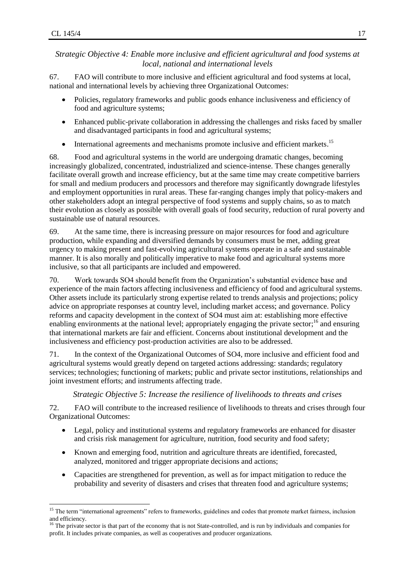$\overline{a}$ 

# <span id="page-16-0"></span>*Strategic Objective 4: Enable more inclusive and efficient agricultural and food systems at local, national and international levels*

67. FAO will contribute to more inclusive and efficient agricultural and food systems at local, national and international levels by achieving three Organizational Outcomes:

- Policies, regulatory frameworks and public goods enhance inclusiveness and efficiency of food and agriculture systems;
- Enhanced public-private collaboration in addressing the challenges and risks faced by smaller  $\bullet$ and disadvantaged participants in food and agricultural systems;
- International agreements and mechanisms promote inclusive and efficient markets.<sup>15</sup>  $\bullet$

68. Food and agricultural systems in the world are undergoing dramatic changes, becoming increasingly globalized, concentrated, industrialized and science-intense. These changes generally facilitate overall growth and increase efficiency, but at the same time may create competitive barriers for small and medium producers and processors and therefore may significantly downgrade lifestyles and employment opportunities in rural areas. These far-ranging changes imply that policy-makers and other stakeholders adopt an integral perspective of food systems and supply chains, so as to match their evolution as closely as possible with overall goals of food security, reduction of rural poverty and sustainable use of natural resources.

69. At the same time, there is increasing pressure on major resources for food and agriculture production, while expanding and diversified demands by consumers must be met, adding great urgency to making present and fast-evolving agricultural systems operate in a safe and sustainable manner. It is also morally and politically imperative to make food and agricultural systems more inclusive, so that all participants are included and empowered.

70. Work towards SO4 should benefit from the Organization's substantial evidence base and experience of the main factors affecting inclusiveness and efficiency of food and agricultural systems. Other assets include its particularly strong expertise related to trends analysis and projections; policy advice on appropriate responses at country level, including market access; and governance. Policy reforms and capacity development in the context of SO4 must aim at: establishing more effective enabling environments at the national level; appropriately engaging the private sector;<sup>16</sup> and ensuring that international markets are fair and efficient. Concerns about institutional development and the inclusiveness and efficiency post-production activities are also to be addressed.

71. In the context of the Organizational Outcomes of SO4, more inclusive and efficient food and agricultural systems would greatly depend on targeted actions addressing: standards; regulatory services; technologies; functioning of markets; public and private sector institutions, relationships and joint investment efforts; and instruments affecting trade.

*Strategic Objective 5: Increase the resilience of livelihoods to threats and crises*

<span id="page-16-1"></span>72. FAO will contribute to the increased resilience of livelihoods to threats and crises through four Organizational Outcomes:

- Legal, policy and institutional systems and regulatory frameworks are enhanced for disaster  $\bullet$ and crisis risk management for agriculture, nutrition, food security and food safety;
- Known and emerging food, nutrition and agriculture threats are identified, forecasted,  $\bullet$ analyzed, monitored and trigger appropriate decisions and actions;
- $\bullet$ Capacities are strengthened for prevention, as well as for impact mitigation to reduce the probability and severity of disasters and crises that threaten food and agriculture systems;

<sup>&</sup>lt;sup>15</sup> The term "international agreements" refers to frameworks, guidelines and codes that promote market fairness, inclusion and efficiency.

<sup>&</sup>lt;sup>16</sup> The private sector is that part of the economy that is not State-controlled, and is run by individuals and companies for profit. It includes private companies, as well as cooperatives and producer organizations.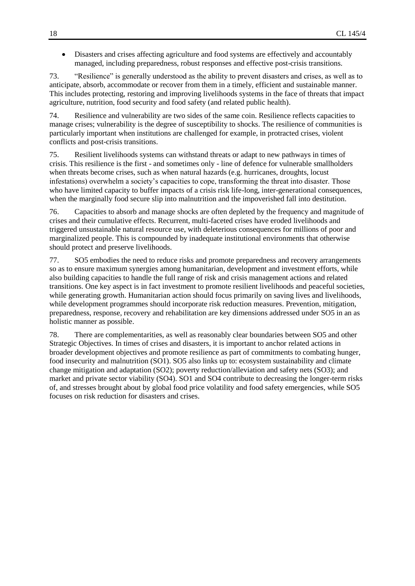Disasters and crises affecting agriculture and food systems are effectively and accountably managed, including preparedness, robust responses and effective post-crisis transitions.

73. "Resilience" is generally understood as the ability to prevent disasters and crises, as well as to anticipate, absorb, accommodate or recover from them in a timely, efficient and sustainable manner. This includes protecting, restoring and improving livelihoods systems in the face of threats that impact agriculture, nutrition, food security and food safety (and related public health).

74. Resilience and vulnerability are two sides of the same coin. Resilience reflects capacities to manage crises; vulnerability is the degree of susceptibility to shocks. The resilience of communities is particularly important when institutions are challenged for example, in protracted crises, violent conflicts and post-crisis transitions.

75. Resilient livelihoods systems can withstand threats or adapt to new pathways in times of crisis. This resilience is the first - and sometimes only - line of defence for vulnerable smallholders when threats become crises, such as when natural hazards (e.g. hurricanes, droughts, locust infestations) overwhelm a society's capacities to cope, transforming the threat into disaster. Those who have limited capacity to buffer impacts of a crisis risk life-long, inter-generational consequences, when the marginally food secure slip into malnutrition and the impoverished fall into destitution.

76. Capacities to absorb and manage shocks are often depleted by the frequency and magnitude of crises and their cumulative effects. Recurrent, multi-faceted crises have eroded livelihoods and triggered unsustainable natural resource use, with deleterious consequences for millions of poor and marginalized people. This is compounded by inadequate institutional environments that otherwise should protect and preserve livelihoods.

77. SO5 embodies the need to reduce risks and promote preparedness and recovery arrangements so as to ensure maximum synergies among humanitarian, development and investment efforts, while also building capacities to handle the full range of risk and crisis management actions and related transitions. One key aspect is in fact investment to promote resilient livelihoods and peaceful societies, while generating growth. Humanitarian action should focus primarily on saving lives and livelihoods, while development programmes should incorporate risk reduction measures. Prevention, mitigation, preparedness, response, recovery and rehabilitation are key dimensions addressed under SO5 in an as holistic manner as possible.

78. There are complementarities, as well as reasonably clear boundaries between SO5 and other Strategic Objectives. In times of crises and disasters, it is important to anchor related actions in broader development objectives and promote resilience as part of commitments to combating hunger, food insecurity and malnutrition (SO1). SO5 also links up to: ecosystem sustainability and climate change mitigation and adaptation (SO2); poverty reduction/alleviation and safety nets (SO3); and market and private sector viability (SO4). SO1 and SO4 contribute to decreasing the longer-term risks of, and stresses brought about by global food price volatility and food safety emergencies, while SO5 focuses on risk reduction for disasters and crises.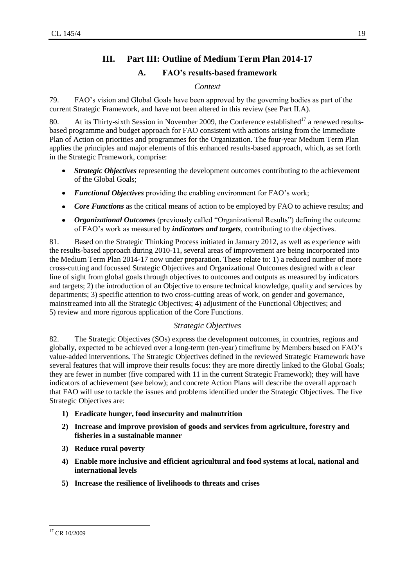# **III. Part III: Outline of Medium Term Plan 2014-17**

# **A. FAO's results-based framework**

# *Context*

<span id="page-18-2"></span><span id="page-18-1"></span><span id="page-18-0"></span>79. FAO's vision and Global Goals have been approved by the governing bodies as part of the current Strategic Framework, and have not been altered in this review (see Part II.A).

80. At its Thirty-sixth Session in November 2009, the Conference established<sup>17</sup> a renewed resultsbased programme and budget approach for FAO consistent with actions arising from the Immediate Plan of Action on priorities and programmes for the Organization. The four-year Medium Term Plan applies the principles and major elements of this enhanced results-based approach, which, as set forth in the Strategic Framework, comprise:

- *Strategic Objectives* representing the development outcomes contributing to the achievement  $\bullet$ of the Global Goals;
- *Functional Objectives* providing the enabling environment for FAO's work;  $\bullet$
- $\bullet$ *Core Functions* as the critical means of action to be employed by FAO to achieve results; and
- *Organizational Outcomes* (previously called "Organizational Results") defining the outcome of FAO's work as measured by *indicators and targets*, contributing to the objectives.

81. Based on the Strategic Thinking Process initiated in January 2012, as well as experience with the results-based approach during 2010-11, several areas of improvement are being incorporated into the Medium Term Plan 2014-17 now under preparation. These relate to: 1) a reduced number of more cross-cutting and focussed Strategic Objectives and Organizational Outcomes designed with a clear line of sight from global goals through objectives to outcomes and outputs as measured by indicators and targets; 2) the introduction of an Objective to ensure technical knowledge, quality and services by departments; 3) specific attention to two cross-cutting areas of work, on gender and governance, mainstreamed into all the Strategic Objectives; 4) adjustment of the Functional Objectives; and 5) review and more rigorous application of the Core Functions.

# *Strategic Objectives*

<span id="page-18-3"></span>82. The Strategic Objectives (SOs) express the development outcomes, in countries, regions and globally, expected to be achieved over a long-term (ten-year) timeframe by Members based on FAO's value-added interventions. The Strategic Objectives defined in the reviewed Strategic Framework have several features that will improve their results focus: they are more directly linked to the Global Goals; they are fewer in number (five compared with 11 in the current Strategic Framework); they will have indicators of achievement (see below); and concrete Action Plans will describe the overall approach that FAO will use to tackle the issues and problems identified under the Strategic Objectives. The five Strategic Objectives are:

- **1) Eradicate hunger, food insecurity and malnutrition**
- **2) Increase and improve provision of goods and services from agriculture, forestry and fisheries in a sustainable manner**
- **3) Reduce rural poverty**
- **4) Enable more inclusive and efficient agricultural and food systems at local, national and international levels**
- **5) Increase the resilience of livelihoods to threats and crises**

 $\overline{a}$ <sup>17</sup> CR 10/2009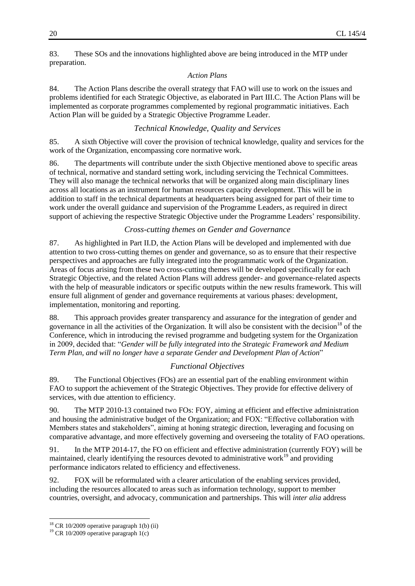83. These SOs and the innovations highlighted above are being introduced in the MTP under preparation.

#### *Action Plans*

84. The Action Plans describe the overall strategy that FAO will use to work on the issues and problems identified for each Strategic Objective, as elaborated in Part III.C. The Action Plans will be implemented as corporate programmes complemented by regional programmatic initiatives. Each Action Plan will be guided by a Strategic Objective Programme Leader.

# *Technical Knowledge, Quality and Services*

<span id="page-19-0"></span>85. A sixth Objective will cover the provision of technical knowledge, quality and services for the work of the Organization, encompassing core normative work.

86. The departments will contribute under the sixth Objective mentioned above to specific areas of technical, normative and standard setting work, including servicing the Technical Committees. They will also manage the technical networks that will be organized along main disciplinary lines across all locations as an instrument for human resources capacity development. This will be in addition to staff in the technical departments at headquarters being assigned for part of their time to work under the overall guidance and supervision of the Programme Leaders, as required in direct support of achieving the respective Strategic Objective under the Programme Leaders' responsibility.

# *Cross-cutting themes on Gender and Governance*

<span id="page-19-1"></span>87. As highlighted in Part II.D, the Action Plans will be developed and implemented with due attention to two cross-cutting themes on gender and governance, so as to ensure that their respective perspectives and approaches are fully integrated into the programmatic work of the Organization. Areas of focus arising from these two cross-cutting themes will be developed specifically for each Strategic Objective, and the related Action Plans will address gender- and governance-related aspects with the help of measurable indicators or specific outputs within the new results framework. This will ensure full alignment of gender and governance requirements at various phases: development, implementation, monitoring and reporting.

88. This approach provides greater transparency and assurance for the integration of gender and governance in all the activities of the Organization. It will also be consistent with the decision<sup>18</sup> of the Conference, which in introducing the revised programme and budgeting system for the Organization in 2009, decided that: "*Gender will be fully integrated into the Strategic Framework and Medium Term Plan, and will no longer have a separate Gender and Development Plan of Action*"

# *Functional Objectives*

<span id="page-19-2"></span>89. The Functional Objectives (FOs) are an essential part of the enabling environment within FAO to support the achievement of the Strategic Objectives. They provide for effective delivery of services, with due attention to efficiency.

90. The MTP 2010-13 contained two FOs: FOY, aiming at efficient and effective administration and housing the administrative budget of the Organization; and FOX: "Effective collaboration with Members states and stakeholders", aiming at honing strategic direction, leveraging and focusing on comparative advantage, and more effectively governing and overseeing the totality of FAO operations.

91. In the MTP 2014-17, the FO on efficient and effective administration (currently FOY) will be maintained, clearly identifying the resources devoted to administrative work<sup>19</sup> and providing performance indicators related to efficiency and effectiveness.

92. FOX will be reformulated with a clearer articulation of the enabling services provided, including the resources allocated to areas such as information technology, support to member countries, oversight, and advocacy, communication and partnerships. This will *inter alia* address

l

 $18$  CR 10/2009 operative paragraph 1(b) (ii)

<sup>19</sup> CR 10/2009 operative paragraph 1(c)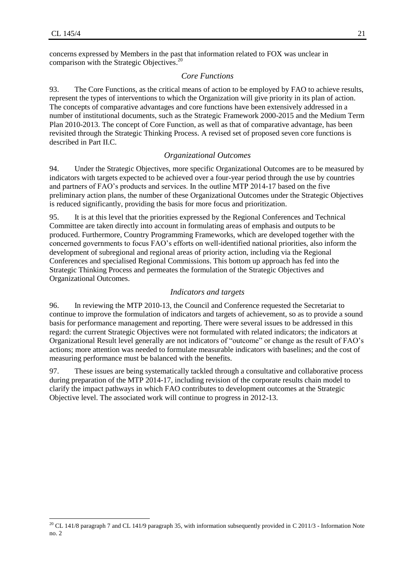l

<span id="page-20-0"></span>concerns expressed by Members in the past that information related to FOX was unclear in comparison with the Strategic Objectives. 20

#### *Core Functions*

93. The Core Functions, as the critical means of action to be employed by FAO to achieve results, represent the types of interventions to which the Organization will give priority in its plan of action. The concepts of comparative advantages and core functions have been extensively addressed in a number of institutional documents, such as the Strategic Framework 2000-2015 and the Medium Term Plan 2010-2013. The concept of Core Function, as well as that of comparative advantage, has been revisited through the Strategic Thinking Process. A revised set of proposed seven core functions is described in Part II.C.

#### *Organizational Outcomes*

<span id="page-20-1"></span>94. Under the Strategic Objectives, more specific Organizational Outcomes are to be measured by indicators with targets expected to be achieved over a four-year period through the use by countries and partners of FAO's products and services. In the outline MTP 2014-17 based on the five preliminary action plans, the number of these Organizational Outcomes under the Strategic Objectives is reduced significantly, providing the basis for more focus and prioritization.

95. It is at this level that the priorities expressed by the Regional Conferences and Technical Committee are taken directly into account in formulating areas of emphasis and outputs to be produced. Furthermore, Country Programming Frameworks, which are developed together with the concerned governments to focus FAO's efforts on well-identified national priorities, also inform the development of subregional and regional areas of priority action, including via the Regional Conferences and specialised Regional Commissions. This bottom up approach has fed into the Strategic Thinking Process and permeates the formulation of the Strategic Objectives and Organizational Outcomes.

#### *Indicators and targets*

<span id="page-20-2"></span>96. In reviewing the MTP 2010-13, the Council and Conference requested the Secretariat to continue to improve the formulation of indicators and targets of achievement, so as to provide a sound basis for performance management and reporting. There were several issues to be addressed in this regard: the current Strategic Objectives were not formulated with related indicators; the indicators at Organizational Result level generally are not indicators of "outcome" or change as the result of FAO's actions; more attention was needed to formulate measurable indicators with baselines; and the cost of measuring performance must be balanced with the benefits.

97. These issues are being systematically tackled through a consultative and collaborative process during preparation of the MTP 2014-17, including revision of the corporate results chain model to clarify the impact pathways in which FAO contributes to development outcomes at the Strategic Objective level. The associated work will continue to progress in 2012-13.

<sup>&</sup>lt;sup>20</sup> CL 141/8 paragraph 7 and CL 141/9 paragraph 35, with information subsequently provided in C 2011/3 - Information Note no. 2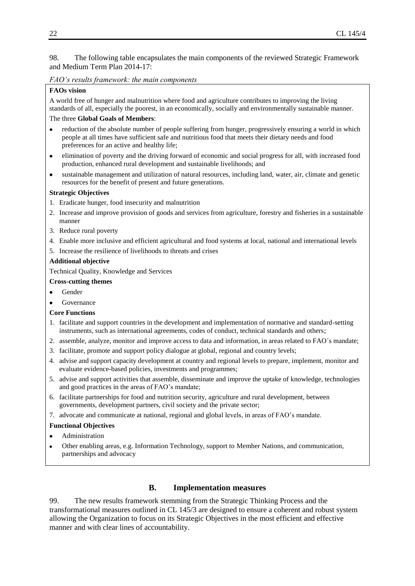98. The following table encapsulates the main components of the reviewed Strategic Framework and Medium Term Plan 2014-17:

#### *FAO's results framework: the main components*

#### **FAOs vision**

A world free of hunger and malnutrition where food and agriculture contributes to improving the living standards of all, especially the poorest, in an economically, socially and environmentally sustainable manner. The three **Global Goals of Members**:

- reduction of the absolute number of people suffering from hunger, progressively ensuring a world in which  $\bullet$ people at all times have sufficient safe and nutritious food that meets their dietary needs and food preferences for an active and healthy life;
- elimination of poverty and the driving forward of economic and social progress for all, with increased food production, enhanced rural development and sustainable livelihoods; and
- sustainable management and utilization of natural resources, including land, water, air, climate and genetic resources for the benefit of present and future generations.

#### **Strategic Objectives**

- 1. Eradicate hunger, food insecurity and malnutrition
- 2. Increase and improve provision of goods and services from agriculture, forestry and fisheries in a sustainable manner
- 3. Reduce rural poverty
- 4. Enable more inclusive and efficient agricultural and food systems at local, national and international levels
- 5. Increase the resilience of livelihoods to threats and crises

#### **Additional objective**

Technical Quality, Knowledge and Services

#### **Cross-cutting themes**

- Gender
- Governance

#### **Core Functions**

- 1. facilitate and support countries in the development and implementation of normative and standard-setting instruments, such as international agreements, codes of conduct, technical standards and others;
- 2. assemble, analyze, monitor and improve access to data and information, in areas related to FAO´s mandate;
- 3. facilitate, promote and support policy dialogue at global, regional and country levels;
- 4. advise and support capacity development at country and regional levels to prepare, implement, monitor and evaluate evidence-based policies, investments and programmes;
- 5. advise and support activities that assemble, disseminate and improve the uptake of knowledge, technologies and good practices in the areas of FAO's mandate;
- 6. facilitate partnerships for food and nutrition security, agriculture and rural development, between governments, development partners, civil society and the private sector;
- 7. advocate and communicate at national, regional and global levels, in areas of FAO's mandate.

#### **Functional Objectives**

- Administration
- Other enabling areas, e.g. Information Technology, support to Member Nations, and communication, partnerships and advocacy

# **B. Implementation measures**

<span id="page-21-0"></span>99. The new results framework stemming from the Strategic Thinking Process and the transformational measures outlined in CL 145/3 are designed to ensure a coherent and robust system allowing the Organization to focus on its Strategic Objectives in the most efficient and effective manner and with clear lines of accountability.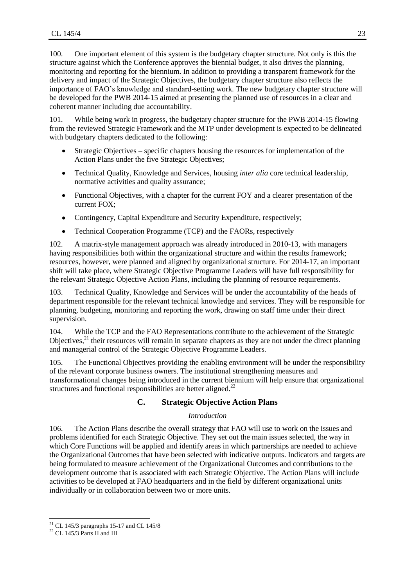100. One important element of this system is the budgetary chapter structure. Not only is this the structure against which the Conference approves the biennial budget, it also drives the planning, monitoring and reporting for the biennium. In addition to providing a transparent framework for the delivery and impact of the Strategic Objectives, the budgetary chapter structure also reflects the importance of FAO's knowledge and standard-setting work. The new budgetary chapter structure will be developed for the PWB 2014-15 aimed at presenting the planned use of resources in a clear and coherent manner including due accountability.

101. While being work in progress, the budgetary chapter structure for the PWB 2014-15 flowing from the reviewed Strategic Framework and the MTP under development is expected to be delineated with budgetary chapters dedicated to the following:

- Strategic Objectives specific chapters housing the resources for implementation of the Action Plans under the five Strategic Objectives;
- Technical Quality, Knowledge and Services, housing *inter alia* core technical leadership, normative activities and quality assurance;
- Functional Objectives, with a chapter for the current FOY and a clearer presentation of the  $\bullet$ current FOX;
- Contingency, Capital Expenditure and Security Expenditure, respectively;
- $\bullet$ Technical Cooperation Programme (TCP) and the FAORs, respectively

102. A matrix-style management approach was already introduced in 2010-13, with managers having responsibilities both within the organizational structure and within the results framework; resources, however, were planned and aligned by organizational structure. For 2014-17, an important shift will take place, where Strategic Objective Programme Leaders will have full responsibility for the relevant Strategic Objective Action Plans, including the planning of resource requirements.

103. Technical Quality, Knowledge and Services will be under the accountability of the heads of department responsible for the relevant technical knowledge and services. They will be responsible for planning, budgeting, monitoring and reporting the work, drawing on staff time under their direct supervision.

104. While the TCP and the FAO Representations contribute to the achievement of the Strategic Objectives, $^{21}$  their resources will remain in separate chapters as they are not under the direct planning and managerial control of the Strategic Objective Programme Leaders.

105. The Functional Objectives providing the enabling environment will be under the responsibility of the relevant corporate business owners. The institutional strengthening measures and transformational changes being introduced in the current biennium will help ensure that organizational structures and functional responsibilities are better aligned. $^{22}$ 

# **C. Strategic Objective Action Plans**

#### *Introduction*

<span id="page-22-0"></span>106. The Action Plans describe the overall strategy that FAO will use to work on the issues and problems identified for each Strategic Objective. They set out the main issues selected, the way in which Core Functions will be applied and identify areas in which partnerships are needed to achieve the Organizational Outcomes that have been selected with indicative outputs. Indicators and targets are being formulated to measure achievement of the Organizational Outcomes and contributions to the development outcome that is associated with each Strategic Objective. The Action Plans will include activities to be developed at FAO headquarters and in the field by different organizational units individually or in collaboration between two or more units.

l

 $21$  CL 145/3 paragraphs 15-17 and CL 145/8

 $^{22}$  CL 145/3 Parts II and III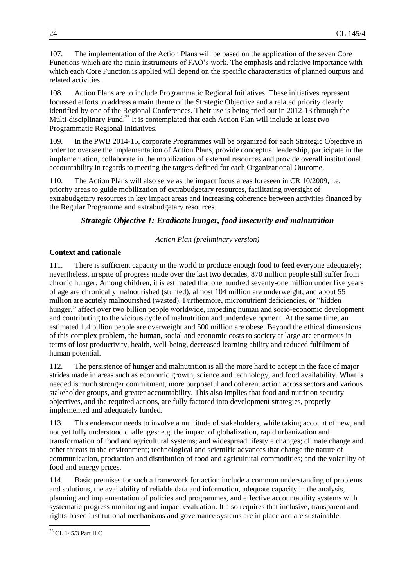107. The implementation of the Action Plans will be based on the application of the seven Core Functions which are the main instruments of FAO's work. The emphasis and relative importance with which each Core Function is applied will depend on the specific characteristics of planned outputs and related activities.

108. Action Plans are to include Programmatic Regional Initiatives. These initiatives represent focussed efforts to address a main theme of the Strategic Objective and a related priority clearly identified by one of the Regional Conferences. Their use is being tried out in 2012-13 through the Multi-disciplinary Fund.<sup>23</sup> It is contemplated that each Action Plan will include at least two Programmatic Regional Initiatives.

109. In the PWB 2014-15, corporate Programmes will be organized for each Strategic Objective in order to: oversee the implementation of Action Plans, provide conceptual leadership, participate in the implementation, collaborate in the mobilization of external resources and provide overall institutional accountability in regards to meeting the targets defined for each Organizational Outcome.

110. The Action Plans will also serve as the impact focus areas foreseen in CR 10/2009, i.e. priority areas to guide mobilization of extrabudgetary resources, facilitating oversight of extrabudgetary resources in key impact areas and increasing coherence between activities financed by the Regular Programme and extrabudgetary resources.

# *Strategic Objective 1: Eradicate hunger, food insecurity and malnutrition*

# *Action Plan (preliminary version)*

# **Context and rationale**

111. There is sufficient capacity in the world to produce enough food to feed everyone adequately; nevertheless, in spite of progress made over the last two decades, 870 million people still suffer from chronic hunger. Among children, it is estimated that one hundred seventy-one million under five years of age are chronically malnourished (stunted), almost 104 million are underweight, and about 55 million are acutely malnourished (wasted). Furthermore, micronutrient deficiencies, or "hidden hunger," affect over two billion people worldwide, impeding human and socio-economic development and contributing to the vicious cycle of malnutrition and underdevelopment. At the same time, an estimated 1.4 billion people are overweight and 500 million are obese. Beyond the ethical dimensions of this complex problem, the human, social and economic costs to society at large are enormous in terms of lost productivity, health, well-being, decreased learning ability and reduced fulfilment of human potential.

112. The persistence of hunger and malnutrition is all the more hard to accept in the face of major strides made in areas such as economic growth, science and technology, and food availability. What is needed is much stronger commitment, more purposeful and coherent action across sectors and various stakeholder groups, and greater accountability. This also implies that food and nutrition security objectives, and the required actions, are fully factored into development strategies, properly implemented and adequately funded.

113. This endeavour needs to involve a multitude of stakeholders, while taking account of new, and not yet fully understood challenges: e.g. the impact of globalization, rapid urbanization and transformation of food and agricultural systems; and widespread lifestyle changes; climate change and other threats to the environment; technological and scientific advances that change the nature of communication, production and distribution of food and agricultural commodities; and the volatility of food and energy prices.

114. Basic premises for such a framework for action include a common understanding of problems and solutions, the availability of reliable data and information, adequate capacity in the analysis, planning and implementation of policies and programmes, and effective accountability systems with systematic progress monitoring and impact evaluation. It also requires that inclusive, transparent and rights-based institutional mechanisms and governance systems are in place and are sustainable.

 $\overline{a}$ <sup>23</sup> CL 145/3 Part II.C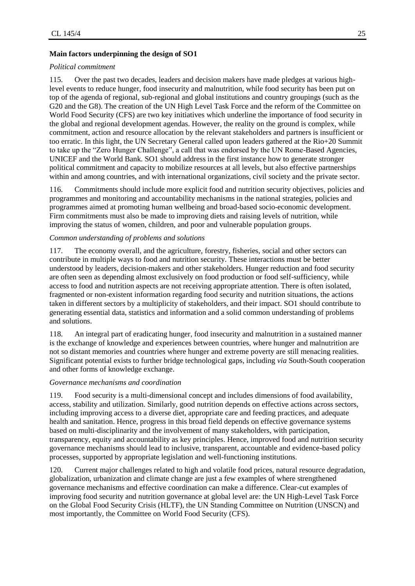### **Main factors underpinning the design of SO1**

#### *Political commitment*

115. Over the past two decades, leaders and decision makers have made pledges at various highlevel events to reduce hunger, food insecurity and malnutrition, while food security has been put on top of the agenda of regional, sub-regional and global institutions and country groupings (such as the G20 and the G8). The creation of the UN High Level Task Force and the reform of the Committee on World Food Security (CFS) are two key initiatives which underline the importance of food security in the global and regional development agendas. However, the reality on the ground is complex, while commitment, action and resource allocation by the relevant stakeholders and partners is insufficient or too erratic. In this light, the UN Secretary General called upon leaders gathered at the Rio+20 Summit to take up the "Zero Hunger Challenge", a call that was endorsed by the UN Rome-Based Agencies, UNICEF and the World Bank. SO1 should address in the first instance how to generate stronger political commitment and capacity to mobilize resources at all levels, but also effective partnerships within and among countries, and with international organizations, civil society and the private sector.

116. Commitments should include more explicit food and nutrition security objectives, policies and programmes and monitoring and accountability mechanisms in the national strategies, policies and programmes aimed at promoting human wellbeing and broad-based socio-economic development. Firm commitments must also be made to improving diets and raising levels of nutrition, while improving the status of women, children, and poor and vulnerable population groups.

#### *Common understanding of problems and solutions*

117. The economy overall, and the agriculture, forestry, fisheries, social and other sectors can contribute in multiple ways to food and nutrition security. These interactions must be better understood by leaders, decision-makers and other stakeholders. Hunger reduction and food security are often seen as depending almost exclusively on food production or food self-sufficiency, while access to food and nutrition aspects are not receiving appropriate attention. There is often isolated, fragmented or non-existent information regarding food security and nutrition situations, the actions taken in different sectors by a multiplicity of stakeholders, and their impact. SO1 should contribute to generating essential data, statistics and information and a solid common understanding of problems and solutions.

118. An integral part of eradicating hunger, food insecurity and malnutrition in a sustained manner is the exchange of knowledge and experiences between countries, where hunger and malnutrition are not so distant memories and countries where hunger and extreme poverty are still menacing realities. Significant potential exists to further bridge technological gaps, including *via* South-South cooperation and other forms of knowledge exchange.

#### *Governance mechanisms and coordination*

119. Food security is a multi-dimensional concept and includes dimensions of food availability, access, stability and utilization. Similarly, good nutrition depends on effective actions across sectors, including improving access to a diverse diet, appropriate care and feeding practices, and adequate health and sanitation. Hence, progress in this broad field depends on effective governance systems based on multi-disciplinarity and the involvement of many stakeholders, with participation, transparency, equity and accountability as key principles. Hence, improved food and nutrition security governance mechanisms should lead to inclusive, transparent, accountable and evidence-based policy processes, supported by appropriate legislation and well-functioning institutions.

120. Current major challenges related to high and volatile food prices, natural resource degradation, globalization, urbanization and climate change are just a few examples of where strengthened governance mechanisms and effective coordination can make a difference. Clear-cut examples of improving food security and nutrition governance at global level are: the UN High-Level Task Force on the Global Food Security Crisis (HLTF), the UN Standing Committee on Nutrition (UNSCN) and most importantly, the Committee on World Food Security (CFS).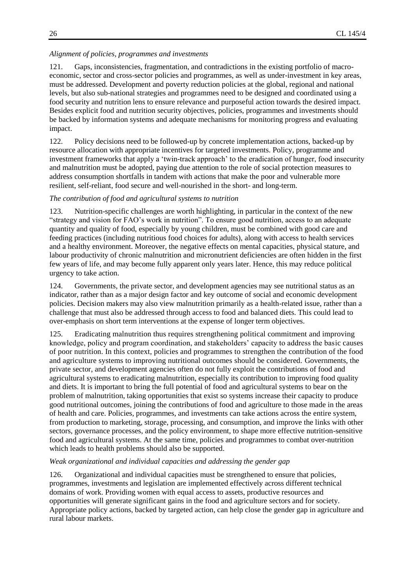#### *Alignment of policies, programmes and investments*

121. Gaps, inconsistencies, fragmentation, and contradictions in the existing portfolio of macroeconomic, sector and cross-sector policies and programmes, as well as under-investment in key areas, must be addressed. Development and poverty reduction policies at the global, regional and national levels, but also sub-national strategies and programmes need to be designed and coordinated using a food security and nutrition lens to ensure relevance and purposeful action towards the desired impact. Besides explicit food and nutrition security objectives, policies, programmes and investments should be backed by information systems and adequate mechanisms for monitoring progress and evaluating impact.

122. Policy decisions need to be followed-up by concrete implementation actions, backed-up by resource allocation with appropriate incentives for targeted investments. Policy, programme and investment frameworks that apply a 'twin-track approach' to the eradication of hunger, food insecurity and malnutrition must be adopted, paying due attention to the role of social protection measures to address consumption shortfalls in tandem with actions that make the poor and vulnerable more resilient, self-reliant, food secure and well-nourished in the short- and long-term.

#### *The contribution of food and agricultural systems to nutrition*

123. Nutrition-specific challenges are worth highlighting, in particular in the context of the new "strategy and vision for FAO's work in nutrition". To ensure good nutrition, access to an adequate quantity and quality of food, especially by young children, must be combined with good care and feeding practices (including nutritious food choices for adults), along with access to health services and a healthy environment. Moreover, the negative effects on mental capacities, physical stature, and labour productivity of chronic malnutrition and micronutrient deficiencies are often hidden in the first few years of life, and may become fully apparent only years later. Hence, this may reduce political urgency to take action.

124. Governments, the private sector, and development agencies may see nutritional status as an indicator, rather than as a major design factor and key outcome of social and economic development policies. Decision makers may also view malnutrition primarily as a health-related issue, rather than a challenge that must also be addressed through access to food and balanced diets. This could lead to over-emphasis on short term interventions at the expense of longer term objectives.

125. Eradicating malnutrition thus requires strengthening political commitment and improving knowledge, policy and program coordination, and stakeholders' capacity to address the basic causes of poor nutrition. In this context, policies and programmes to strengthen the contribution of the food and agriculture systems to improving nutritional outcomes should be considered. Governments, the private sector, and development agencies often do not fully exploit the contributions of food and agricultural systems to eradicating malnutrition, especially its contribution to improving food quality and diets. It is important to bring the full potential of food and agricultural systems to bear on the problem of malnutrition, taking opportunities that exist so systems increase their capacity to produce good nutritional outcomes, joining the contributions of food and agriculture to those made in the areas of health and care. Policies, programmes, and investments can take actions across the entire system, from production to marketing, storage, processing, and consumption, and improve the links with other sectors, governance processes, and the policy environment, to shape more effective nutrition-sensitive food and agricultural systems. At the same time, policies and programmes to combat over-nutrition which leads to health problems should also be supported.

#### *Weak organizational and individual capacities and addressing the gender gap*

126. Organizational and individual capacities must be strengthened to ensure that policies, programmes, investments and legislation are implemented effectively across different technical domains of work. Providing women with equal access to assets, productive resources and opportunities will generate significant gains in the food and agriculture sectors and for society. Appropriate policy actions, backed by targeted action, can help close the gender gap in agriculture and rural labour markets.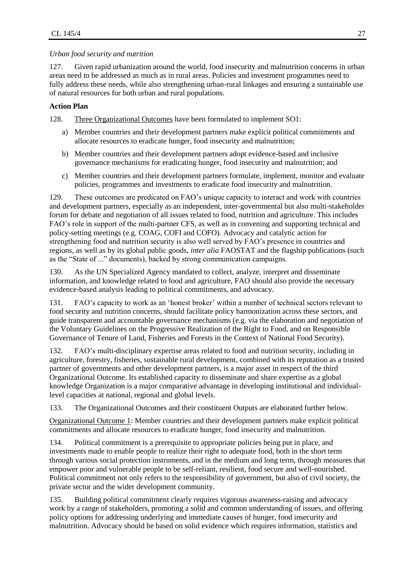#### *Urban food security and nutrition*

127. Given rapid urbanization around the world, food insecurity and malnutrition concerns in urban areas need to be addressed as much as in rural areas. Policies and investment programmes need to fully address these needs, while also strengthening urban-rural linkages and ensuring a sustainable use of natural resources for both urban and rural populations.

# **Action Plan**

128. Three Organizational Outcomes have been formulated to implement SO1:

- a) Member countries and their development partners make explicit political commitments and allocate resources to eradicate hunger, food insecurity and malnutrition;
- b) Member countries and their development partners adopt evidence-based and inclusive governance mechanisms for eradicating hunger, food insecurity and malnutrition; and
- c) Member countries and their development partners formulate, implement, monitor and evaluate policies, programmes and investments to eradicate food insecurity and malnutrition.

129. These outcomes are predicated on FAO's unique capacity to interact and work with countries and development partners, especially as an independent, inter-governmental but also multi-stakeholder forum for debate and negotiation of all issues related to food, nutrition and agriculture. This includes FAO's role in support of the multi-partner CFS, as well as in convening and supporting technical and policy-setting meetings (e.g. COAG, COFI and COFO). Advocacy and catalytic action for strengthening food and nutrition security is also well served by FAO's presence in countries and regions, as well as by its global public goods, *inter alia* FAOSTAT and the flagship publications (such as the "State of ..." documents), backed by strong communication campaigns.

130. As the UN Specialized Agency mandated to collect, analyze, interpret and disseminate information, and knowledge related to food and agriculture, FAO should also provide the necessary evidence-based analysis leading to political commitments, and advocacy.

131. FAO's capacity to work as an 'honest broker' within a number of technical sectors relevant to food security and nutrition concerns, should facilitate policy harmonization across these sectors, and guide transparent and accountable governance mechanisms (e.g. via the elaboration and negotiation of the Voluntary Guidelines on the Progressive Realization of the Right to Food, and on Responsible Governance of Tenure of Land, Fisheries and Forests in the Context of National Food Security).

132. FAO's multi-disciplinary expertise areas related to food and nutrition security, including in agriculture, forestry, fisheries, sustainable rural development, combined with its reputation as a trusted partner of governments and other development partners, is a major asset in respect of the third Organizational Outcome. Its established capacity to disseminate and share expertise as a global knowledge Organization is a major comparative advantage in developing institutional and individuallevel capacities at national, regional and global levels.

133. The Organizational Outcomes and their constituent Outputs are elaborated further below.

Organizational Outcome 1: Member countries and their development partners make explicit political commitments and allocate resources to eradicate hunger, food insecurity and malnutrition.

134. Political commitment is a prerequisite to appropriate policies being put in place, and investments made to enable people to realize their right to adequate food, both in the short term through various social protection instruments, and in the medium and long term, through measures that empower poor and vulnerable people to be self-reliant, resilient, food secure and well-nourished. Political commitment not only refers to the responsibility of government, but also of civil society, the private sector and the wider development community.

135. Building political commitment clearly requires vigorous awareness-raising and advocacy work by a range of stakeholders, promoting a solid and common understanding of issues, and offering policy options for addressing underlying and immediate causes of hunger, food insecurity and malnutrition. Advocacy should be based on solid evidence which requires information, statistics and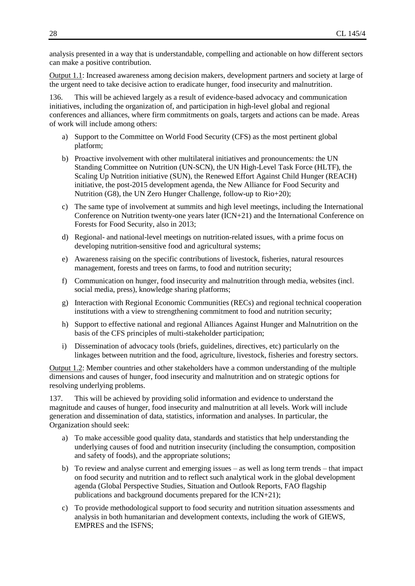analysis presented in a way that is understandable, compelling and actionable on how different sectors can make a positive contribution.

Output 1.1: Increased awareness among decision makers, development partners and society at large of the urgent need to take decisive action to eradicate hunger, food insecurity and malnutrition.

136. This will be achieved largely as a result of evidence-based advocacy and communication initiatives, including the organization of, and participation in high-level global and regional conferences and alliances, where firm commitments on goals, targets and actions can be made. Areas of work will include among others:

- a) Support to the Committee on World Food Security (CFS) as the most pertinent global platform;
- b) Proactive involvement with other multilateral initiatives and pronouncements: the UN Standing Committee on Nutrition (UN-SCN), the UN High-Level Task Force (HLTF), the Scaling Up Nutrition initiative (SUN), the Renewed Effort Against Child Hunger (REACH) initiative, the post-2015 development agenda, the New Alliance for Food Security and Nutrition (G8), the UN Zero Hunger Challenge, follow-up to Rio+20);
- c) The same type of involvement at summits and high level meetings, including the International Conference on Nutrition twenty-one years later (ICN+21) and the International Conference on Forests for Food Security, also in 2013;
- d) Regional- and national-level meetings on nutrition-related issues, with a prime focus on developing nutrition-sensitive food and agricultural systems;
- e) Awareness raising on the specific contributions of livestock, fisheries, natural resources management, forests and trees on farms, to food and nutrition security;
- f) Communication on hunger, food insecurity and malnutrition through media, websites (incl. social media, press), knowledge sharing platforms;
- g) Interaction with Regional Economic Communities (RECs) and regional technical cooperation institutions with a view to strengthening commitment to food and nutrition security;
- h) Support to effective national and regional Alliances Against Hunger and Malnutrition on the basis of the CFS principles of multi-stakeholder participation;
- i) Dissemination of advocacy tools (briefs, guidelines, directives, etc) particularly on the linkages between nutrition and the food, agriculture, livestock, fisheries and forestry sectors.

Output 1.2: Member countries and other stakeholders have a common understanding of the multiple dimensions and causes of hunger, food insecurity and malnutrition and on strategic options for resolving underlying problems.

137. This will be achieved by providing solid information and evidence to understand the magnitude and causes of hunger, food insecurity and malnutrition at all levels. Work will include generation and dissemination of data, statistics, information and analyses. In particular, the Organization should seek:

- a) To make accessible good quality data, standards and statistics that help understanding the underlying causes of food and nutrition insecurity (including the consumption, composition and safety of foods), and the appropriate solutions;
- b) To review and analyse current and emerging issues as well as long term trends that impact on food security and nutrition and to reflect such analytical work in the global development agenda (Global Perspective Studies, Situation and Outlook Reports, FAO flagship publications and background documents prepared for the ICN+21);
- c) To provide methodological support to food security and nutrition situation assessments and analysis in both humanitarian and development contexts, including the work of GIEWS, EMPRES and the ISFNS;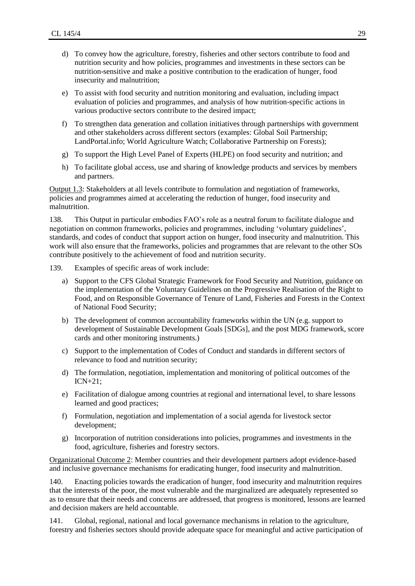- d) To convey how the agriculture, forestry, fisheries and other sectors contribute to food and nutrition security and how policies, programmes and investments in these sectors can be nutrition-sensitive and make a positive contribution to the eradication of hunger, food insecurity and malnutrition;
- e) To assist with food security and nutrition monitoring and evaluation, including impact evaluation of policies and programmes, and analysis of how nutrition-specific actions in various productive sectors contribute to the desired impact;
- f) To strengthen data generation and collation initiatives through partnerships with government and other stakeholders across different sectors (examples: Global Soil Partnership; LandPortal.info; World Agriculture Watch; Collaborative Partnership on Forests);
- g) To support the High Level Panel of Experts (HLPE) on food security and nutrition; and
- h) To facilitate global access, use and sharing of knowledge products and services by members and partners.

Output 1.3: Stakeholders at all levels contribute to formulation and negotiation of frameworks, policies and programmes aimed at accelerating the reduction of hunger, food insecurity and malnutrition.

138. This Output in particular embodies FAO's role as a neutral forum to facilitate dialogue and negotiation on common frameworks, policies and programmes, including 'voluntary guidelines', standards, and codes of conduct that support action on hunger, food insecurity and malnutrition. This work will also ensure that the frameworks, policies and programmes that are relevant to the other SOs contribute positively to the achievement of food and nutrition security.

- 139. Examples of specific areas of work include:
	- a) Support to the CFS Global Strategic Framework for Food Security and Nutrition, guidance on the implementation of the Voluntary Guidelines on the Progressive Realisation of the Right to Food, and on Responsible Governance of Tenure of Land, Fisheries and Forests in the Context of National Food Security;
	- b) The development of common accountability frameworks within the UN (e.g. support to development of Sustainable Development Goals [SDGs], and the post MDG framework, score cards and other monitoring instruments.)
	- c) Support to the implementation of Codes of Conduct and standards in different sectors of relevance to food and nutrition security;
	- d) The formulation, negotiation, implementation and monitoring of political outcomes of the ICN+21;
	- e) Facilitation of dialogue among countries at regional and international level, to share lessons learned and good practices;
	- f) Formulation, negotiation and implementation of a social agenda for livestock sector development;
	- g) Incorporation of nutrition considerations into policies, programmes and investments in the food, agriculture, fisheries and forestry sectors.

Organizational Outcome 2: Member countries and their development partners adopt evidence-based and inclusive governance mechanisms for eradicating hunger, food insecurity and malnutrition.

140. Enacting policies towards the eradication of hunger, food insecurity and malnutrition requires that the interests of the poor, the most vulnerable and the marginalized are adequately represented so as to ensure that their needs and concerns are addressed, that progress is monitored, lessons are learned and decision makers are held accountable.

141. Global, regional, national and local governance mechanisms in relation to the agriculture, forestry and fisheries sectors should provide adequate space for meaningful and active participation of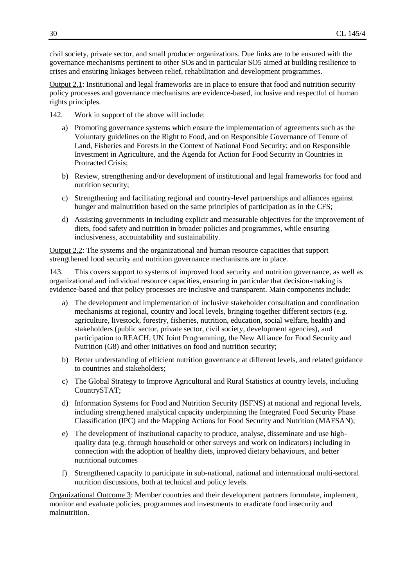civil society, private sector, and small producer organizations. Due links are to be ensured with the governance mechanisms pertinent to other SOs and in particular SO5 aimed at building resilience to crises and ensuring linkages between relief, rehabilitation and development programmes.

Output 2.1: Institutional and legal frameworks are in place to ensure that food and nutrition security policy processes and governance mechanisms are evidence-based, inclusive and respectful of human rights principles.

- 142. Work in support of the above will include:
	- a) Promoting governance systems which ensure the implementation of agreements such as the Voluntary guidelines on the Right to Food, and on Responsible Governance of Tenure of Land, Fisheries and Forests in the Context of National Food Security; and on Responsible Investment in Agriculture, and the Agenda for Action for Food Security in Countries in Protracted Crisis;
	- b) Review, strengthening and/or development of institutional and legal frameworks for food and nutrition security;
	- c) Strengthening and facilitating regional and country-level partnerships and alliances against hunger and malnutrition based on the same principles of participation as in the CFS;
	- d) Assisting governments in including explicit and measurable objectives for the improvement of diets, food safety and nutrition in broader policies and programmes, while ensuring inclusiveness, accountability and sustainability.

Output 2.2: The systems and the organizational and human resource capacities that support strengthened food security and nutrition governance mechanisms are in place.

143. This covers support to systems of improved food security and nutrition governance, as well as organizational and individual resource capacities, ensuring in particular that decision-making is evidence-based and that policy processes are inclusive and transparent. Main components include:

- a) The development and implementation of inclusive stakeholder consultation and coordination mechanisms at regional, country and local levels, bringing together different sectors (e.g. agriculture, livestock, forestry, fisheries, nutrition, education, social welfare, health) and stakeholders (public sector, private sector, civil society, development agencies), and participation to REACH, UN Joint Programming, the New Alliance for Food Security and Nutrition (G8) and other initiatives on food and nutrition security;
- b) Better understanding of efficient nutrition governance at different levels, and related guidance to countries and stakeholders;
- c) The Global Strategy to Improve Agricultural and Rural Statistics at country levels, including CountrySTAT;
- d) Information Systems for Food and Nutrition Security (ISFNS) at national and regional levels, including strengthened analytical capacity underpinning the Integrated Food Security Phase Classification (IPC) and the Mapping Actions for Food Security and Nutrition (MAFSAN);
- e) The development of institutional capacity to produce, analyse, disseminate and use highquality data (e.g. through household or other surveys and work on indicators) including in connection with the adoption of healthy diets, improved dietary behaviours, and better nutritional outcomes
- f) Strengthened capacity to participate in sub-national, national and international multi-sectoral nutrition discussions, both at technical and policy levels.

Organizational Outcome 3: Member countries and their development partners formulate, implement, monitor and evaluate policies, programmes and investments to eradicate food insecurity and malnutrition.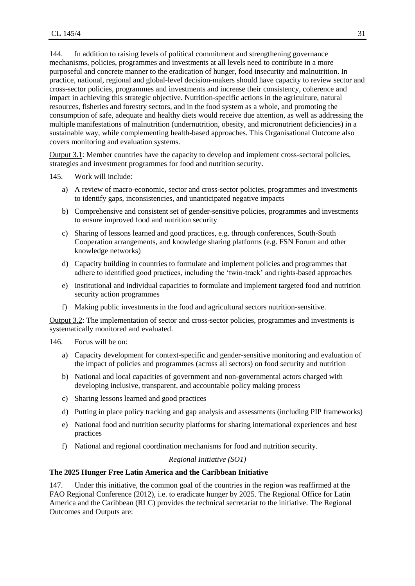144. In addition to raising levels of political commitment and strengthening governance mechanisms, policies, programmes and investments at all levels need to contribute in a more purposeful and concrete manner to the eradication of hunger, food insecurity and malnutrition. In practice, national, regional and global-level decision-makers should have capacity to review sector and cross-sector policies, programmes and investments and increase their consistency, coherence and impact in achieving this strategic objective. Nutrition-specific actions in the agriculture, natural resources, fisheries and forestry sectors, and in the food system as a whole, and promoting the consumption of safe, adequate and healthy diets would receive due attention, as well as addressing the multiple manifestations of malnutrition (undernutrition, obesity, and micronutrient deficiencies) in a sustainable way, while complementing health-based approaches. This Organisational Outcome also covers monitoring and evaluation systems.

Output 3.1: Member countries have the capacity to develop and implement cross-sectoral policies, strategies and investment programmes for food and nutrition security.

- 145. Work will include:
	- a) A review of macro-economic, sector and cross-sector policies, programmes and investments to identify gaps, inconsistencies, and unanticipated negative impacts
	- b) Comprehensive and consistent set of gender-sensitive policies, programmes and investments to ensure improved food and nutrition security
	- c) Sharing of lessons learned and good practices, e.g. through conferences, South-South Cooperation arrangements, and knowledge sharing platforms (e.g. FSN Forum and other knowledge networks)
	- d) Capacity building in countries to formulate and implement policies and programmes that adhere to identified good practices, including the 'twin-track' and rights-based approaches
	- e) Institutional and individual capacities to formulate and implement targeted food and nutrition security action programmes
	- f) Making public investments in the food and agricultural sectors nutrition-sensitive.

Output 3.2: The implementation of sector and cross-sector policies, programmes and investments is systematically monitored and evaluated.

146. Focus will be on:

- a) Capacity development for context-specific and gender-sensitive monitoring and evaluation of the impact of policies and programmes (across all sectors) on food security and nutrition
- b) National and local capacities of government and non-governmental actors charged with developing inclusive, transparent, and accountable policy making process
- c) Sharing lessons learned and good practices
- d) Putting in place policy tracking and gap analysis and assessments (including PIP frameworks)
- e) National food and nutrition security platforms for sharing international experiences and best practices
- f) National and regional coordination mechanisms for food and nutrition security.

#### *Regional Initiative (SO1)*

#### **The 2025 Hunger Free Latin America and the Caribbean Initiative**

147. Under this initiative, the common goal of the countries in the region was reaffirmed at the FAO Regional Conference (2012), i.e. to eradicate hunger by 2025. The Regional Office for Latin America and the Caribbean (RLC) provides the technical secretariat to the initiative. The Regional Outcomes and Outputs are: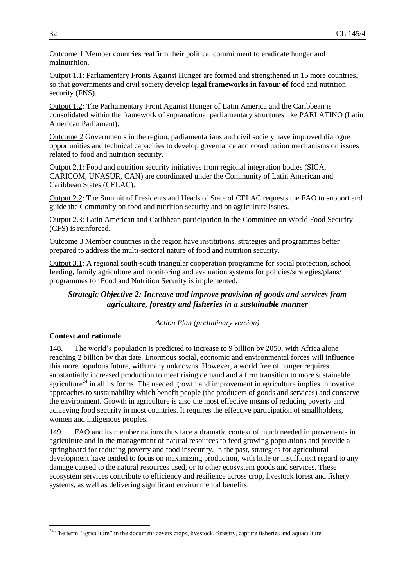Outcome 1 Member countries reaffirm their political commitment to eradicate hunger and malnutrition.

Output 1.1: Parliamentary Fronts Against Hunger are formed and strengthened in 15 more countries, so that governments and civil society develop **legal frameworks in favour of** food and nutrition security (FNS).

Output 1.2: The Parliamentary Front Against Hunger of Latin America and the Caribbean is consolidated within the framework of supranational parliamentary structures like PARLATINO (Latin American Parliament).

Outcome 2 Governments in the region, parliamentarians and civil society have improved dialogue opportunities and technical capacities to develop governance and coordination mechanisms on issues related to food and nutrition security.

Output 2.1: Food and nutrition security initiatives from regional integration bodies (SICA, CARICOM, UNASUR, CAN) are coordinated under the Community of Latin American and Caribbean States (CELAC).

Output 2.2: The Summit of Presidents and Heads of State of CELAC requests the FAO to support and guide the Community on food and nutrition security and on agriculture issues.

Output 2.3: Latin American and Caribbean participation in the Committee on World Food Security (CFS) is reinforced.

Outcome 3 Member countries in the region have institutions, strategies and programmes better prepared to address the multi-sectoral nature of food and nutrition security.

Output 3.1: A regional south-south triangular cooperation programme for social protection, school feeding, family agriculture and monitoring and evaluation systems for policies/strategies/plans/ programmes for Food and Nutrition Security is implemented.

# *Strategic Objective 2: Increase and improve provision of goods and services from agriculture, forestry and fisheries in a sustainable manner*

*Action Plan (preliminary version)*

#### **Context and rationale**

 $\overline{a}$ 

148. The world's population is predicted to increase to 9 billion by 2050, with Africa alone reaching 2 billion by that date. Enormous social, economic and environmental forces will influence this more populous future, with many unknowns. However, a world free of hunger requires substantially increased production to meet rising demand and a firm transition to more sustainable agriculture<sup>24</sup> in all its forms. The needed growth and improvement in agriculture implies innovative approaches to sustainability which benefit people (the producers of goods and services) and conserve the environment. Growth in agriculture is also the most effective means of reducing poverty and achieving food security in most countries. It requires the effective participation of smallholders, women and indigenous peoples.

149. FAO and its member nations thus face a dramatic context of much needed improvements in agriculture and in the management of natural resources to feed growing populations and provide a springboard for reducing poverty and food insecurity. In the past, strategies for agricultural development have tended to focus on maximizing production, with little or insufficient regard to any damage caused to the natural resources used, or to other ecosystem goods and services. These ecosystem services contribute to efficiency and resilience across crop, livestock forest and fishery systems, as well as delivering significant environmental benefits.

 $^{24}$  The term "agriculture" in the document covers crops, livestock, forestry, capture fisheries and aquaculture.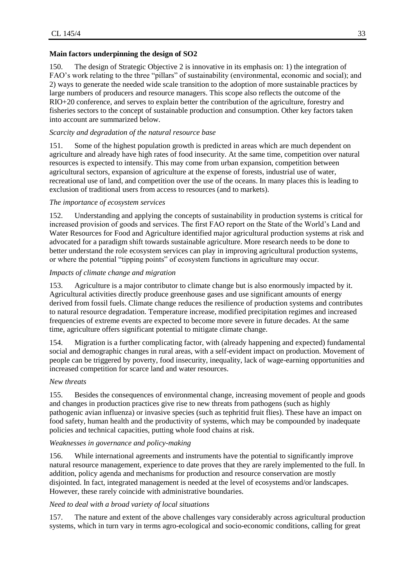# **Main factors underpinning the design of SO2**

150. The design of Strategic Objective 2 is innovative in its emphasis on: 1) the integration of FAO's work relating to the three "pillars" of sustainability (environmental, economic and social); and 2) ways to generate the needed wide scale transition to the adoption of more sustainable practices by large numbers of producers and resource managers. This scope also reflects the outcome of the RIO+20 conference, and serves to explain better the contribution of the agriculture, forestry and fisheries sectors to the concept of sustainable production and consumption. Other key factors taken into account are summarized below.

# *Scarcity and degradation of the natural resource base*

151. Some of the highest population growth is predicted in areas which are much dependent on agriculture and already have high rates of food insecurity. At the same time, competition over natural resources is expected to intensify. This may come from urban expansion, competition between agricultural sectors, expansion of agriculture at the expense of forests, industrial use of water, recreational use of land, and competition over the use of the oceans. In many places this is leading to exclusion of traditional users from access to resources (and to markets).

# *The importance of ecosystem services*

152. Understanding and applying the concepts of sustainability in production systems is critical for increased provision of goods and services. The first FAO report on the State of the World's Land and Water Resources for Food and Agriculture identified major agricultural production systems at risk and advocated for a paradigm shift towards sustainable agriculture. More research needs to be done to better understand the role ecosystem services can play in improving agricultural production systems, or where the potential "tipping points" of ecosystem functions in agriculture may occur.

# *Impacts of climate change and migration*

153. Agriculture is a major contributor to climate change but is also enormously impacted by it. Agricultural activities directly produce greenhouse gases and use significant amounts of energy derived from fossil fuels. Climate change reduces the resilience of production systems and contributes to natural resource degradation. Temperature increase, modified precipitation regimes and increased frequencies of extreme events are expected to become more severe in future decades. At the same time, agriculture offers significant potential to mitigate climate change.

154. Migration is a further complicating factor, with (already happening and expected) fundamental social and demographic changes in rural areas, with a self-evident impact on production. Movement of people can be triggered by poverty, food insecurity, inequality, lack of wage-earning opportunities and increased competition for scarce land and water resources.

# *New threats*

155. Besides the consequences of environmental change, increasing movement of people and goods and changes in production practices give rise to new threats from pathogens (such as highly pathogenic avian influenza) or invasive species (such as tephritid fruit flies). These have an impact on food safety, human health and the productivity of systems, which may be compounded by inadequate policies and technical capacities, putting whole food chains at risk.

# *Weaknesses in governance and policy-making*

156. While international agreements and instruments have the potential to significantly improve natural resource management, experience to date proves that they are rarely implemented to the full. In addition, policy agenda and mechanisms for production and resource conservation are mostly disjointed. In fact, integrated management is needed at the level of ecosystems and/or landscapes. However, these rarely coincide with administrative boundaries.

# *Need to deal with a broad variety of local situations*

157. The nature and extent of the above challenges vary considerably across agricultural production systems, which in turn vary in terms agro-ecological and socio-economic conditions, calling for great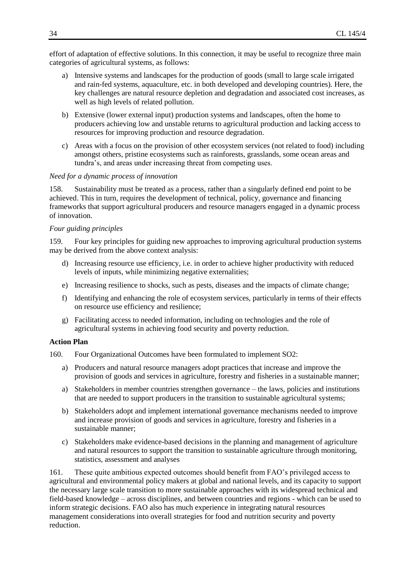effort of adaptation of effective solutions. In this connection, it may be useful to recognize three main categories of agricultural systems, as follows:

- a) Intensive systems and landscapes for the production of goods (small to large scale irrigated and rain-fed systems, aquaculture, etc. in both developed and developing countries). Here, the key challenges are natural resource depletion and degradation and associated cost increases, as well as high levels of related pollution.
- b) Extensive (lower external input) production systems and landscapes, often the home to producers achieving low and unstable returns to agricultural production and lacking access to resources for improving production and resource degradation.
- c) Areas with a focus on the provision of other ecosystem services (not related to food) including amongst others, pristine ecosystems such as rainforests, grasslands, some ocean areas and tundra's, and areas under increasing threat from competing uses.

#### *Need for a dynamic process of innovation*

158. Sustainability must be treated as a process, rather than a singularly defined end point to be achieved. This in turn, requires the development of technical, policy, governance and financing frameworks that support agricultural producers and resource managers engaged in a dynamic process of innovation.

#### *Four guiding principles*

159. Four key principles for guiding new approaches to improving agricultural production systems may be derived from the above context analysis:

- d) Increasing resource use efficiency, i.e. in order to achieve higher productivity with reduced levels of inputs, while minimizing negative externalities;
- e) Increasing resilience to shocks, such as pests, diseases and the impacts of climate change;
- f) Identifying and enhancing the role of ecosystem services, particularly in terms of their effects on resource use efficiency and resilience;
- g) Facilitating access to needed information, including on technologies and the role of agricultural systems in achieving food security and poverty reduction.

#### **Action Plan**

160. Four Organizational Outcomes have been formulated to implement SO2:

- a) Producers and natural resource managers adopt practices that increase and improve the provision of goods and services in agriculture, forestry and fisheries in a sustainable manner;
- a) Stakeholders in member countries strengthen governance the laws, policies and institutions that are needed to support producers in the transition to sustainable agricultural systems;
- b) Stakeholders adopt and implement international governance mechanisms needed to improve and increase provision of goods and services in agriculture, forestry and fisheries in a sustainable manner;
- c) Stakeholders make evidence-based decisions in the planning and management of agriculture and natural resources to support the transition to sustainable agriculture through monitoring, statistics, assessment and analyses

161. These quite ambitious expected outcomes should benefit from FAO's privileged access to agricultural and environmental policy makers at global and national levels, and its capacity to support the necessary large scale transition to more sustainable approaches with its widespread technical and field-based knowledge – across disciplines, and between countries and regions - which can be used to inform strategic decisions. FAO also has much experience in integrating natural resources management considerations into overall strategies for food and nutrition security and poverty reduction.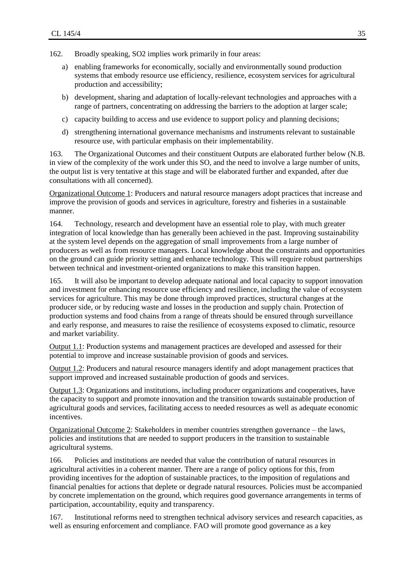- 162. Broadly speaking, SO2 implies work primarily in four areas:
	- a) enabling frameworks for economically, socially and environmentally sound production systems that embody resource use efficiency, resilience, ecosystem services for agricultural production and accessibility;
	- b) development, sharing and adaptation of locally-relevant technologies and approaches with a range of partners, concentrating on addressing the barriers to the adoption at larger scale;
	- c) capacity building to access and use evidence to support policy and planning decisions;
	- d) strengthening international governance mechanisms and instruments relevant to sustainable resource use, with particular emphasis on their implementability.

163. The Organizational Outcomes and their constituent Outputs are elaborated further below (N.B. in view of the complexity of the work under this SO, and the need to involve a large number of units, the output list is very tentative at this stage and will be elaborated further and expanded, after due consultations with all concerned).

Organizational Outcome 1: Producers and natural resource managers adopt practices that increase and improve the provision of goods and services in agriculture, forestry and fisheries in a sustainable manner.

164. Technology, research and development have an essential role to play, with much greater integration of local knowledge than has generally been achieved in the past. Improving sustainability at the system level depends on the aggregation of small improvements from a large number of producers as well as from resource managers. Local knowledge about the constraints and opportunities on the ground can guide priority setting and enhance technology. This will require robust partnerships between technical and investment-oriented organizations to make this transition happen.

165. It will also be important to develop adequate national and local capacity to support innovation and investment for enhancing resource use efficiency and resilience, including the value of ecosystem services for agriculture. This may be done through improved practices, structural changes at the producer side, or by reducing waste and losses in the production and supply chain. Protection of production systems and food chains from a range of threats should be ensured through surveillance and early response, and measures to raise the resilience of ecosystems exposed to climatic, resource and market variability.

Output 1.1: Production systems and management practices are developed and assessed for their potential to improve and increase sustainable provision of goods and services.

Output 1.2: Producers and natural resource managers identify and adopt management practices that support improved and increased sustainable production of goods and services.

Output 1.3: Organizations and institutions, including producer organizations and cooperatives, have the capacity to support and promote innovation and the transition towards sustainable production of agricultural goods and services, facilitating access to needed resources as well as adequate economic *incentives* 

Organizational Outcome 2: Stakeholders in member countries strengthen governance – the laws, policies and institutions that are needed to support producers in the transition to sustainable agricultural systems.

166. Policies and institutions are needed that value the contribution of natural resources in agricultural activities in a coherent manner. There are a range of policy options for this, from providing incentives for the adoption of sustainable practices, to the imposition of regulations and financial penalties for actions that deplete or degrade natural resources. Policies must be accompanied by concrete implementation on the ground, which requires good governance arrangements in terms of participation, accountability, equity and transparency.

167. Institutional reforms need to strengthen technical advisory services and research capacities, as well as ensuring enforcement and compliance. FAO will promote good governance as a key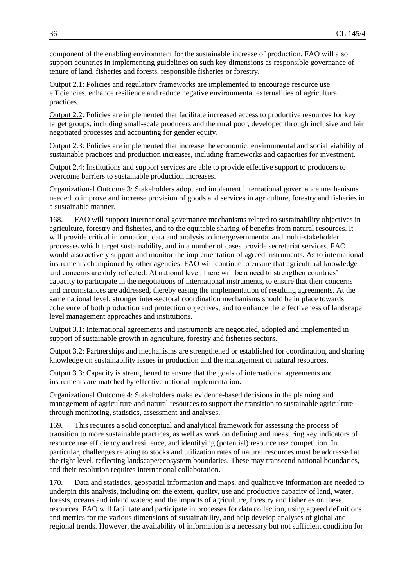component of the enabling environment for the sustainable increase of production. FAO will also support countries in implementing guidelines on such key dimensions as responsible governance of tenure of land, fisheries and forests, responsible fisheries or forestry.

Output 2.1: Policies and regulatory frameworks are implemented to encourage resource use efficiencies, enhance resilience and reduce negative environmental externalities of agricultural practices.

Output 2.2: Policies are implemented that facilitate increased access to productive resources for key target groups, including small-scale producers and the rural poor, developed through inclusive and fair negotiated processes and accounting for gender equity.

Output 2.3: Policies are implemented that increase the economic, environmental and social viability of sustainable practices and production increases, including frameworks and capacities for investment.

Output 2.4: Institutions and support services are able to provide effective support to producers to overcome barriers to sustainable production increases.

Organizational Outcome 3: Stakeholders adopt and implement international governance mechanisms needed to improve and increase provision of goods and services in agriculture, forestry and fisheries in a sustainable manner.

168. FAO will support international governance mechanisms related to sustainability objectives in agriculture, forestry and fisheries, and to the equitable sharing of benefits from natural resources. It will provide critical information, data and analysis to intergovernmental and multi-stakeholder processes which target sustainability, and in a number of cases provide secretariat services. FAO would also actively support and monitor the implementation of agreed instruments. As to international instruments championed by other agencies, FAO will continue to ensure that agricultural knowledge and concerns are duly reflected. At national level, there will be a need to strengthen countries' capacity to participate in the negotiations of international instruments, to ensure that their concerns and circumstances are addressed, thereby easing the implementation of resulting agreements. At the same national level, stronger inter-sectoral coordination mechanisms should be in place towards coherence of both production and protection objectives, and to enhance the effectiveness of landscape level management approaches and institutions.

Output 3.1: International agreements and instruments are negotiated, adopted and implemented in support of sustainable growth in agriculture, forestry and fisheries sectors.

Output 3.2: Partnerships and mechanisms are strengthened or established for coordination, and sharing knowledge on sustainability issues in production and the management of natural resources.

Output 3.3: Capacity is strengthened to ensure that the goals of international agreements and instruments are matched by effective national implementation.

Organizational Outcome 4: Stakeholders make evidence-based decisions in the planning and management of agriculture and natural resources to support the transition to sustainable agriculture through monitoring, statistics, assessment and analyses.

169. This requires a solid conceptual and analytical framework for assessing the process of transition to more sustainable practices, as well as work on defining and measuring key indicators of resource use efficiency and resilience, and identifying (potential) resource use competition. In particular, challenges relating to stocks and utilization rates of natural resources must be addressed at the right level, reflecting landscape/ecosystem boundaries. These may transcend national boundaries, and their resolution requires international collaboration.

170. Data and statistics, geospatial information and maps, and qualitative information are needed to underpin this analysis, including on: the extent, quality, use and productive capacity of land, water, forests, oceans and inland waters; and the impacts of agriculture, forestry and fisheries on these resources. FAO will facilitate and participate in processes for data collection, using agreed definitions and metrics for the various dimensions of sustainability, and help develop analyses of global and regional trends. However, the availability of information is a necessary but not sufficient condition for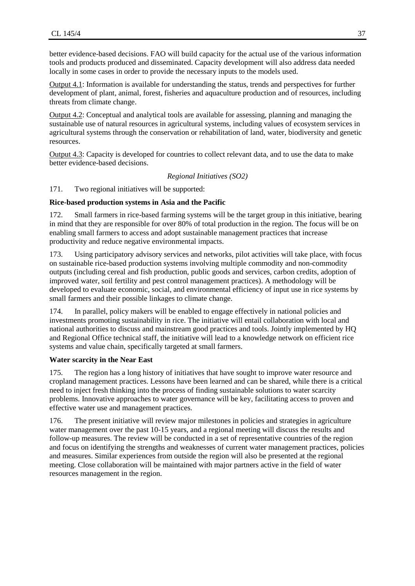better evidence-based decisions. FAO will build capacity for the actual use of the various information tools and products produced and disseminated. Capacity development will also address data needed locally in some cases in order to provide the necessary inputs to the models used.

Output 4.1: Information is available for understanding the status, trends and perspectives for further development of plant, animal, forest, fisheries and aquaculture production and of resources, including threats from climate change.

Output 4.2: Conceptual and analytical tools are available for assessing, planning and managing the sustainable use of natural resources in agricultural systems, including values of ecosystem services in agricultural systems through the conservation or rehabilitation of land, water, biodiversity and genetic resources.

Output 4.3: Capacity is developed for countries to collect relevant data, and to use the data to make better evidence-based decisions.

*Regional Initiatives (SO2)*

171. Two regional initiatives will be supported:

#### **Rice-based production systems in Asia and the Pacific**

172. Small farmers in rice-based farming systems will be the target group in this initiative, bearing in mind that they are responsible for over 80% of total production in the region. The focus will be on enabling small farmers to access and adopt sustainable management practices that increase productivity and reduce negative environmental impacts.

173. Using participatory advisory services and networks, pilot activities will take place, with focus on sustainable rice-based production systems involving multiple commodity and non-commodity outputs (including cereal and fish production, public goods and services, carbon credits, adoption of improved water, soil fertility and pest control management practices). A methodology will be developed to evaluate economic, social, and environmental efficiency of input use in rice systems by small farmers and their possible linkages to climate change.

174. In parallel, policy makers will be enabled to engage effectively in national policies and investments promoting sustainability in rice. The initiative will entail collaboration with local and national authorities to discuss and mainstream good practices and tools. Jointly implemented by HQ and Regional Office technical staff, the initiative will lead to a knowledge network on efficient rice systems and value chain, specifically targeted at small farmers.

#### **Water scarcity in the Near East**

175. The region has a long history of initiatives that have sought to improve water resource and cropland management practices. Lessons have been learned and can be shared, while there is a critical need to inject fresh thinking into the process of finding sustainable solutions to water scarcity problems. Innovative approaches to water governance will be key, facilitating access to proven and effective water use and management practices.

176. The present initiative will review major milestones in policies and strategies in agriculture water management over the past 10-15 years, and a regional meeting will discuss the results and follow-up measures. The review will be conducted in a set of representative countries of the region and focus on identifying the strengths and weaknesses of current water management practices, policies and measures. Similar experiences from outside the region will also be presented at the regional meeting. Close collaboration will be maintained with major partners active in the field of water resources management in the region.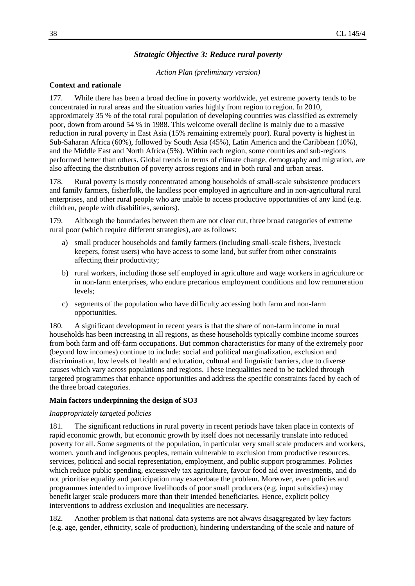# *Strategic Objective 3: Reduce rural poverty*

#### *Action Plan (preliminary version)*

#### **Context and rationale**

177. While there has been a broad decline in poverty worldwide, yet extreme poverty tends to be concentrated in rural areas and the situation varies highly from region to region. In 2010, approximately 35 % of the total rural population of developing countries was classified as extremely poor, down from around 54 % in 1988. This welcome overall decline is mainly due to a massive reduction in rural poverty in East Asia (15% remaining extremely poor). Rural poverty is highest in Sub-Saharan Africa (60%), followed by South Asia (45%), Latin America and the Caribbean (10%), and the Middle East and North Africa (5%). Within each region, some countries and sub-regions performed better than others. Global trends in terms of climate change, demography and migration, are also affecting the distribution of poverty across regions and in both rural and urban areas.

178. Rural poverty is mostly concentrated among households of small-scale subsistence producers and family farmers, fisherfolk, the landless poor employed in agriculture and in non-agricultural rural enterprises, and other rural people who are unable to access productive opportunities of any kind (e.g. children, people with disabilities, seniors).

179. Although the boundaries between them are not clear cut, three broad categories of extreme rural poor (which require different strategies), are as follows:

- a) small producer households and family farmers (including small-scale fishers, livestock keepers, forest users) who have access to some land, but suffer from other constraints affecting their productivity;
- b) rural workers, including those self employed in agriculture and wage workers in agriculture or in non-farm enterprises, who endure precarious employment conditions and low remuneration levels;
- c) segments of the population who have difficulty accessing both farm and non-farm opportunities.

180. A significant development in recent years is that the share of non-farm income in rural households has been increasing in all regions, as these households typically combine income sources from both farm and off-farm occupations. But common characteristics for many of the extremely poor (beyond low incomes) continue to include: social and political marginalization, exclusion and discrimination, low levels of health and education, cultural and linguistic barriers, due to diverse causes which vary across populations and regions. These inequalities need to be tackled through targeted programmes that enhance opportunities and address the specific constraints faced by each of the three broad categories.

#### **Main factors underpinning the design of SO3**

#### *Inappropriately targeted policies*

181. The significant reductions in rural poverty in recent periods have taken place in contexts of rapid economic growth, but economic growth by itself does not necessarily translate into reduced poverty for all. Some segments of the population, in particular very small scale producers and workers, women, youth and indigenous peoples, remain vulnerable to exclusion from productive resources, services, political and social representation, employment, and public support programmes. Policies which reduce public spending, excessively tax agriculture, favour food aid over investments, and do not prioritise equality and participation may exacerbate the problem. Moreover, even policies and programmes intended to improve livelihoods of poor small producers (e.g. input subsidies) may benefit larger scale producers more than their intended beneficiaries. Hence, explicit policy interventions to address exclusion and inequalities are necessary.

182. Another problem is that national data systems are not always disaggregated by key factors (e.g. age, gender, ethnicity, scale of production), hindering understanding of the scale and nature of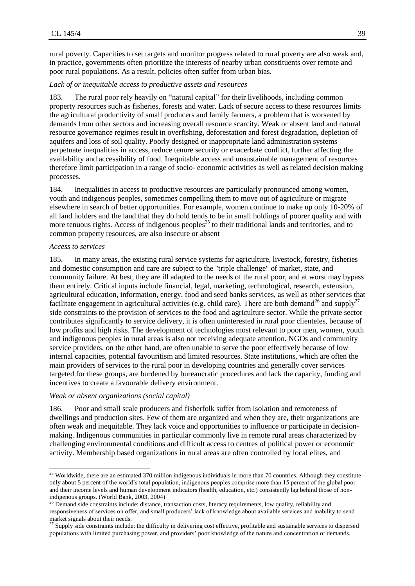rural poverty. Capacities to set targets and monitor progress related to rural poverty are also weak and, in practice, governments often prioritize the interests of nearby urban constituents over remote and poor rural populations. As a result, policies often suffer from urban bias.

#### *Lack of or inequitable access to productive assets and resources*

183. The rural poor rely heavily on "natural capital" for their livelihoods, including common property resources such as fisheries, forests and water. Lack of secure access to these resources limits the agricultural productivity of small producers and family farmers, a problem that is worsened by demands from other sectors and increasing overall resource scarcity. Weak or absent land and natural resource governance regimes result in overfishing, deforestation and forest degradation, depletion of aquifers and loss of soil quality. Poorly designed or inappropriate land administration systems perpetuate inequalities in access, reduce tenure security or exacerbate conflict, further affecting the availability and accessibility of food. Inequitable access and unsustainable management of resources therefore limit participation in a range of socio- economic activities as well as related decision making processes.

184. Inequalities in access to productive resources are particularly pronounced among women, youth and indigenous peoples, sometimes compelling them to move out of agriculture or migrate elsewhere in search of better opportunities. For example, women continue to make up only 10-20% of all land holders and the land that they do hold tends to be in small holdings of poorer quality and with more tenuous rights. Access of indigenous peoples<sup>25</sup> to their traditional lands and territories, and to common property resources, are also insecure or absent

#### *Access to services*

 $\overline{a}$ 

185. In many areas, the existing rural service systems for agriculture, livestock, forestry, fisheries and domestic consumption and care are subject to the "triple challenge" of market, state, and community failure. At best, they are ill adapted to the needs of the rural poor, and at worst may bypass them entirely. Critical inputs include financial, legal, marketing, technological, research, extension, agricultural education, information, energy, food and seed banks services, as well as other services that facilitate engagement in agricultural activities (e.g. child care). There are both demand<sup>26</sup> and supply<sup>27</sup> side constraints to the provision of services to the food and agriculture sector. While the private sector contributes significantly to service delivery, it is often uninterested in rural poor clienteles, because of low profits and high risks. The development of technologies most relevant to poor men, women, youth and indigenous peoples in rural areas is also not receiving adequate attention. NGOs and community service providers, on the other hand, are often unable to serve the poor effectively because of low internal capacities, potential favouritism and limited resources. State institutions, which are often the main providers of services to the rural poor in developing countries and generally cover services targeted for these groups, are burdened by bureaucratic procedures and lack the capacity, funding and incentives to create a favourable delivery environment.

#### *Weak or absent organizations (social capital)*

186. Poor and small scale producers and fisherfolk suffer from isolation and remoteness of dwellings and production sites. Few of them are organized and when they are, their organizations are often weak and inequitable. They lack voice and opportunities to influence or participate in decisionmaking. Indigenous communities in particular commonly live in remote rural areas characterized by challenging environmental conditions and difficult access to centres of political power or economic activity. Membership based organizations in rural areas are often controlled by local elites, and

<sup>&</sup>lt;sup>25</sup> Worldwide, there are an estimated 370 million indigenous individuals in more than 70 countries. Although they constitute only about 5 percent of the world's total population, indigenous peoples comprise more than 15 percent of the global poor and their income levels and human development indicators (health, education, etc.) consistently lag behind those of nonindigenous groups. (World Bank, 2003, 2004)

<sup>&</sup>lt;sup>26</sup> Demand side constraints include: distance, transaction costs, literacy requirements, low quality, reliability and responsiveness of services on offer, and small producers' lack of knowledge about available services and inability to send market signals about their needs.

<sup>27</sup> Supply side constraints include: the difficulty in delivering cost effective, profitable and sustainable services to dispersed populations with limited purchasing power, and providers' poor knowledge of the nature and concentration of demands.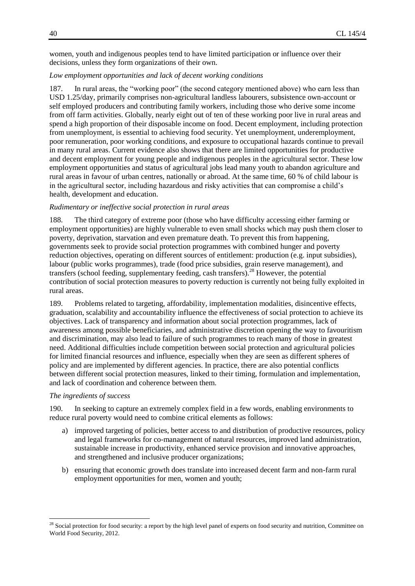women, youth and indigenous peoples tend to have limited participation or influence over their decisions, unless they form organizations of their own.

#### *Low employment opportunities and lack of decent working conditions*

187. In rural areas, the "working poor" (the second category mentioned above) who earn less than USD 1.25/day, primarily comprises non-agricultural landless labourers, subsistence own-account or self employed producers and contributing family workers, including those who derive some income from off farm activities. Globally, nearly eight out of ten of these working poor live in rural areas and spend a high proportion of their disposable income on food. Decent employment, including protection from unemployment, is essential to achieving food security. Yet unemployment, underemployment, poor remuneration, poor working conditions, and exposure to occupational hazards continue to prevail in many rural areas. Current evidence also shows that there are limited opportunities for productive and decent employment for young people and indigenous peoples in the agricultural sector. These low employment opportunities and status of agricultural jobs lead many youth to abandon agriculture and rural areas in favour of urban centres, nationally or abroad. At the same time, 60 % of child labour is in the agricultural sector, including hazardous and risky activities that can compromise a child's health, development and education.

#### *Rudimentary or ineffective social protection in rural areas*

188. The third category of extreme poor (those who have difficulty accessing either farming or employment opportunities) are highly vulnerable to even small shocks which may push them closer to poverty, deprivation, starvation and even premature death. To prevent this from happening, governments seek to provide social protection programmes with combined hunger and poverty reduction objectives, operating on different sources of entitlement: production (e.g. input subsidies), labour (public works programmes), trade (food price subsidies, grain reserve management), and transfers (school feeding, supplementary feeding, cash transfers).<sup>28</sup> However, the potential contribution of social protection measures to poverty reduction is currently not being fully exploited in rural areas.

189. Problems related to targeting, affordability, implementation modalities, disincentive effects, graduation, scalability and accountability influence the effectiveness of social protection to achieve its objectives. Lack of transparency and information about social protection programmes, lack of awareness among possible beneficiaries, and administrative discretion opening the way to favouritism and discrimination, may also lead to failure of such programmes to reach many of those in greatest need. Additional difficulties include competition between social protection and agricultural policies for limited financial resources and influence, especially when they are seen as different spheres of policy and are implemented by different agencies. In practice, there are also potential conflicts between different social protection measures, linked to their timing, formulation and implementation, and lack of coordination and coherence between them.

#### *The ingredients of success*

l

190. In seeking to capture an extremely complex field in a few words, enabling environments to reduce rural poverty would need to combine critical elements as follows:

- a) improved targeting of policies, better access to and distribution of productive resources, policy and legal frameworks for co-management of natural resources, improved land administration, sustainable increase in productivity, enhanced service provision and innovative approaches, and strengthened and inclusive producer organizations;
- b) ensuring that economic growth does translate into increased decent farm and non-farm rural employment opportunities for men, women and youth;

<sup>&</sup>lt;sup>28</sup> Social protection for food security: a report by the high level panel of experts on food security and nutrition, Committee on World Food Security, 2012.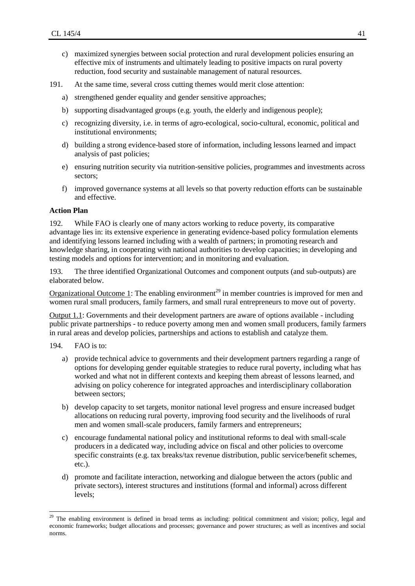- c) maximized synergies between social protection and rural development policies ensuring an effective mix of instruments and ultimately leading to positive impacts on rural poverty reduction, food security and sustainable management of natural resources.
- 191. At the same time, several cross cutting themes would merit close attention:
	- a) strengthened gender equality and gender sensitive approaches;
	- b) supporting disadvantaged groups (e.g. youth, the elderly and indigenous people);
	- c) recognizing diversity, i.e. in terms of agro-ecological, socio-cultural, economic, political and institutional environments;
	- d) building a strong evidence-based store of information, including lessons learned and impact analysis of past policies;
	- e) ensuring nutrition security via nutrition-sensitive policies, programmes and investments across sectors;
	- f) improved governance systems at all levels so that poverty reduction efforts can be sustainable and effective.

# **Action Plan**

192. While FAO is clearly one of many actors working to reduce poverty, its comparative advantage lies in: its extensive experience in generating evidence-based policy formulation elements and identifying lessons learned including with a wealth of partners; in promoting research and knowledge sharing, in cooperating with national authorities to develop capacities; in developing and testing models and options for intervention; and in monitoring and evaluation.

193. The three identified Organizational Outcomes and component outputs (and sub-outputs) are elaborated below.

Organizational Outcome 1: The enabling environment<sup>29</sup> in member countries is improved for men and women rural small producers, family farmers, and small rural entrepreneurs to move out of poverty.

Output 1.1: Governments and their development partners are aware of options available - including public private partnerships - to reduce poverty among men and women small producers, family farmers in rural areas and develop policies, partnerships and actions to establish and catalyze them.

194. FAO is to:

 $\overline{a}$ 

- a) provide technical advice to governments and their development partners regarding a range of options for developing gender equitable strategies to reduce rural poverty, including what has worked and what not in different contexts and keeping them abreast of lessons learned, and advising on policy coherence for integrated approaches and interdisciplinary collaboration between sectors;
- b) develop capacity to set targets, monitor national level progress and ensure increased budget allocations on reducing rural poverty, improving food security and the livelihoods of rural men and women small-scale producers, family farmers and entrepreneurs;
- c) encourage fundamental national policy and institutional reforms to deal with small-scale producers in a dedicated way, including advice on fiscal and other policies to overcome specific constraints (e.g. tax breaks/tax revenue distribution, public service/benefit schemes, etc.).
- d) promote and facilitate interaction, networking and dialogue between the actors (public and private sectors), interest structures and institutions (formal and informal) across different levels;

<sup>&</sup>lt;sup>29</sup> The enabling environment is defined in broad terms as including: political commitment and vision; policy, legal and economic frameworks; budget allocations and processes; governance and power structures; as well as incentives and social norms.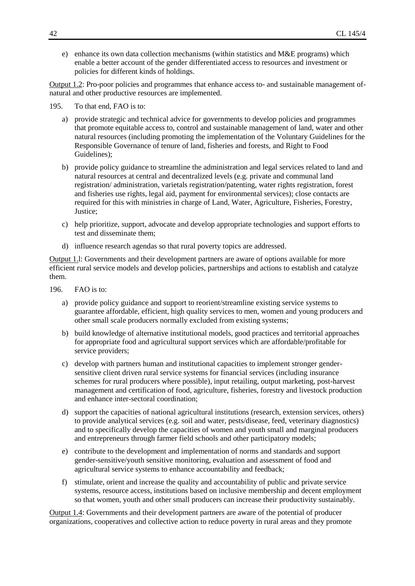e) enhance its own data collection mechanisms (within statistics and M&E programs) which enable a better account of the gender differentiated access to resources and investment or policies for different kinds of holdings.

Output 1.2: Pro-poor policies and programmes that enhance access to- and sustainable management ofnatural and other productive resources are implemented.

195. To that end, FAO is to:

- a) provide strategic and technical advice for governments to develop policies and programmes that promote equitable access to, control and sustainable management of land, water and other natural resources (including promoting the implementation of the Voluntary Guidelines for the Responsible Governance of tenure of land, fisheries and forests, and Right to Food Guidelines);
- b) provide policy guidance to streamline the administration and legal services related to land and natural resources at central and decentralized levels (e.g. private and communal land registration/ administration, varietals registration/patenting, water rights registration, forest and fisheries use rights, legal aid, payment for environmental services); close contacts are required for this with ministries in charge of Land, Water, Agriculture, Fisheries, Forestry, Justice;
- c) help prioritize, support, advocate and develop appropriate technologies and support efforts to test and disseminate them;
- d) influence research agendas so that rural poverty topics are addressed.

Output 1.l: Governments and their development partners are aware of options available for more efficient rural service models and develop policies, partnerships and actions to establish and catalyze them.

- 196. FAO is to:
	- a) provide policy guidance and support to reorient/streamline existing service systems to guarantee affordable, efficient, high quality services to men, women and young producers and other small scale producers normally excluded from existing systems;
	- b) build knowledge of alternative institutional models, good practices and territorial approaches for appropriate food and agricultural support services which are affordable/profitable for service providers;
	- c) develop with partners human and institutional capacities to implement stronger gendersensitive client driven rural service systems for financial services (including insurance schemes for rural producers where possible), input retailing, output marketing, post-harvest management and certification of food, agriculture, fisheries, forestry and livestock production and enhance inter-sectoral coordination;
	- d) support the capacities of national agricultural institutions (research, extension services, others) to provide analytical services (e.g. soil and water, pests/disease, feed, veterinary diagnostics) and to specifically develop the capacities of women and youth small and marginal producers and entrepreneurs through farmer field schools and other participatory models;
	- e) contribute to the development and implementation of norms and standards and support gender-sensitive/youth sensitive monitoring, evaluation and assessment of food and agricultural service systems to enhance accountability and feedback;
	- f) stimulate, orient and increase the quality and accountability of public and private service systems, resource access, institutions based on inclusive membership and decent employment so that women, youth and other small producers can increase their productivity sustainably.

Output 1.4: Governments and their development partners are aware of the potential of producer organizations, cooperatives and collective action to reduce poverty in rural areas and they promote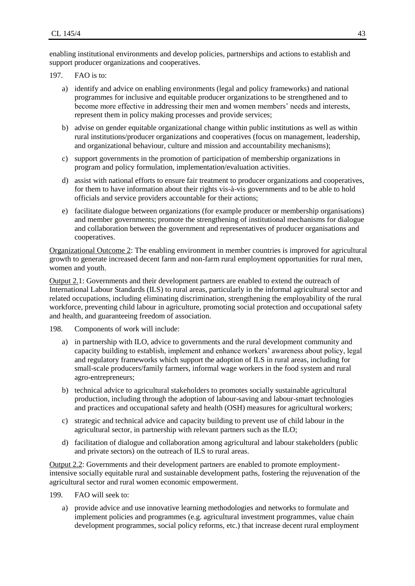enabling institutional environments and develop policies, partnerships and actions to establish and support producer organizations and cooperatives.

- 197. FAO is to:
	- a) identify and advice on enabling environments (legal and policy frameworks) and national programmes for inclusive and equitable producer organizations to be strengthened and to become more effective in addressing their men and women members' needs and interests, represent them in policy making processes and provide services;
	- b) advise on gender equitable organizational change within public institutions as well as within rural institutions/producer organizations and cooperatives (focus on management, leadership, and organizational behaviour, culture and mission and accountability mechanisms);
	- c) support governments in the promotion of participation of membership organizations in program and policy formulation, implementation/evaluation activities.
	- d) assist with national efforts to ensure fair treatment to producer organizations and cooperatives, for them to have information about their rights vis-à-vis governments and to be able to hold officials and service providers accountable for their actions;
	- e) facilitate dialogue between organizations (for example producer or membership organisations) and member governments; promote the strengthening of institutional mechanisms for dialogue and collaboration between the government and representatives of producer organisations and cooperatives.

Organizational Outcome 2: The enabling environment in member countries is improved for agricultural growth to generate increased decent farm and non-farm rural employment opportunities for rural men, women and youth.

Output 2.1: Governments and their development partners are enabled to extend the outreach of International Labour Standards (ILS) to rural areas, particularly in the informal agricultural sector and related occupations, including eliminating discrimination, strengthening the employability of the rural workforce, preventing child labour in agriculture, promoting social protection and occupational safety and health, and guaranteeing freedom of association.

198. Components of work will include:

- a) in partnership with ILO, advice to governments and the rural development community and capacity building to establish, implement and enhance workers' awareness about policy, legal and regulatory frameworks which support the adoption of ILS in rural areas, including for small-scale producers/family farmers, informal wage workers in the food system and rural agro-entrepreneurs;
- b) technical advice to agricultural stakeholders to promotes socially sustainable agricultural production, including through the adoption of labour-saving and labour-smart technologies and practices and occupational safety and health (OSH) measures for agricultural workers;
- c) strategic and technical advice and capacity building to prevent use of child labour in the agricultural sector, in partnership with relevant partners such as the ILO;
- d) facilitation of dialogue and collaboration among agricultural and labour stakeholders (public and private sectors) on the outreach of ILS to rural areas.

Output 2.2: Governments and their development partners are enabled to promote employmentintensive socially equitable rural and sustainable development paths, fostering the rejuvenation of the agricultural sector and rural women economic empowerment.

199. FAO will seek to:

a) provide advice and use innovative learning methodologies and networks to formulate and implement policies and programmes (e.g. agricultural investment programmes, value chain development programmes, social policy reforms, etc.) that increase decent rural employment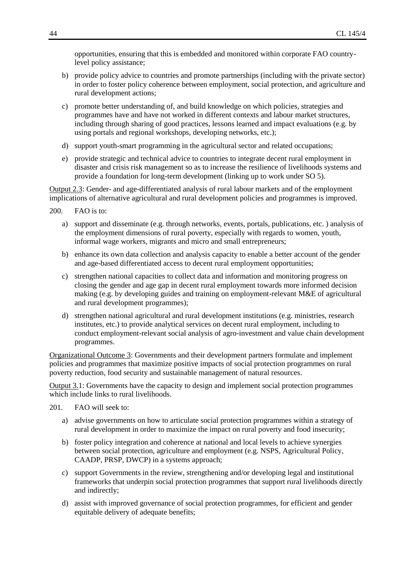opportunities, ensuring that this is embedded and monitored within corporate FAO countrylevel policy assistance;

- b) provide policy advice to countries and promote partnerships (including with the private sector) in order to foster policy coherence between employment, social protection, and agriculture and rural development actions;
- c) promote better understanding of, and build knowledge on which policies, strategies and programmes have and have not worked in different contexts and labour market structures, including through sharing of good practices, lessons learned and impact evaluations (e.g. by using portals and regional workshops, developing networks, etc.);
- d) support youth-smart programming in the agricultural sector and related occupations;
- e) provide strategic and technical advice to countries to integrate decent rural employment in disaster and crisis risk management so as to increase the resilience of livelihoods systems and provide a foundation for long-term development (linking up to work under SO 5).

Output 2.3: Gender- and age-differentiated analysis of rural labour markets and of the employment implications of alternative agricultural and rural development policies and programmes is improved.

- 200. FAO is to:
	- a) support and disseminate (e.g. through networks, events, portals, publications, etc. ) analysis of the employment dimensions of rural poverty, especially with regards to women, youth, informal wage workers, migrants and micro and small entrepreneurs;
	- b) enhance its own data collection and analysis capacity to enable a better account of the gender and age-based differentiated access to decent rural employment opportunities;
	- c) strengthen national capacities to collect data and information and monitoring progress on closing the gender and age gap in decent rural employment towards more informed decision making (e.g. by developing guides and training on employment-relevant M&E of agricultural and rural development programmes);
	- d) strengthen national agricultural and rural development institutions (e.g. ministries, research institutes, etc.) to provide analytical services on decent rural employment, including to conduct employment-relevant social analysis of agro-investment and value chain development programmes.

Organizational Outcome 3: Governments and their development partners formulate and implement policies and programmes that maximize positive impacts of social protection programmes on rural poverty reduction, food security and sustainable management of natural resources.

Output 3.1: Governments have the capacity to design and implement social protection programmes which include links to rural livelihoods.

- 201. FAO will seek to:
	- a) advise governments on how to articulate social protection programmes within a strategy of rural development in order to maximize the impact on rural poverty and food insecurity;
	- b) foster policy integration and coherence at national and local levels to achieve synergies between social protection, agriculture and employment (e.g. NSPS, Agricultural Policy, CAADP, PRSP, DWCP) in a systems approach;
	- c) support Governments in the review, strengthening and/or developing legal and institutional frameworks that underpin social protection programmes that support rural livelihoods directly and indirectly;
	- d) assist with improved governance of social protection programmes, for efficient and gender equitable delivery of adequate benefits;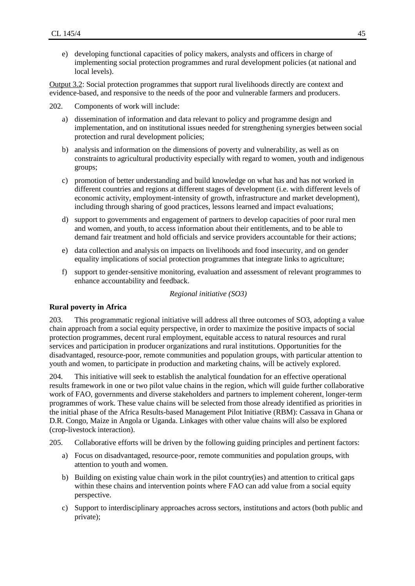e) developing functional capacities of policy makers, analysts and officers in charge of implementing social protection programmes and rural development policies (at national and local levels).

Output 3.2: Social protection programmes that support rural livelihoods directly are context and evidence-based, and responsive to the needs of the poor and vulnerable farmers and producers.

202. Components of work will include:

- a) dissemination of information and data relevant to policy and programme design and implementation, and on institutional issues needed for strengthening synergies between social protection and rural development policies;
- b) analysis and information on the dimensions of poverty and vulnerability, as well as on constraints to agricultural productivity especially with regard to women, youth and indigenous groups;
- c) promotion of better understanding and build knowledge on what has and has not worked in different countries and regions at different stages of development (i.e. with different levels of economic activity, employment-intensity of growth, infrastructure and market development), including through sharing of good practices, lessons learned and impact evaluations;
- d) support to governments and engagement of partners to develop capacities of poor rural men and women, and youth, to access information about their entitlements, and to be able to demand fair treatment and hold officials and service providers accountable for their actions;
- e) data collection and analysis on impacts on livelihoods and food insecurity, and on gender equality implications of social protection programmes that integrate links to agriculture;
- f) support to gender-sensitive monitoring, evaluation and assessment of relevant programmes to enhance accountability and feedback.

*Regional initiative (SO3)*

#### **Rural poverty in Africa**

203. This programmatic regional initiative will address all three outcomes of SO3, adopting a value chain approach from a social equity perspective, in order to maximize the positive impacts of social protection programmes, decent rural employment, equitable access to natural resources and rural services and participation in producer organizations and rural institutions. Opportunities for the disadvantaged, resource-poor, remote communities and population groups, with particular attention to youth and women, to participate in production and marketing chains, will be actively explored.

204. This initiative will seek to establish the analytical foundation for an effective operational results framework in one or two pilot value chains in the region, which will guide further collaborative work of FAO, governments and diverse stakeholders and partners to implement coherent, longer-term programmes of work. These value chains will be selected from those already identified as priorities in the initial phase of the Africa Results-based Management Pilot Initiative (RBM): Cassava in Ghana or D.R. Congo, Maize in Angola or Uganda. Linkages with other value chains will also be explored (crop-livestock interaction).

205. Collaborative efforts will be driven by the following guiding principles and pertinent factors:

- a) Focus on disadvantaged, resource-poor, remote communities and population groups, with attention to youth and women.
- b) Building on existing value chain work in the pilot country(ies) and attention to critical gaps within these chains and intervention points where FAO can add value from a social equity perspective.
- c) Support to interdisciplinary approaches across sectors, institutions and actors (both public and private);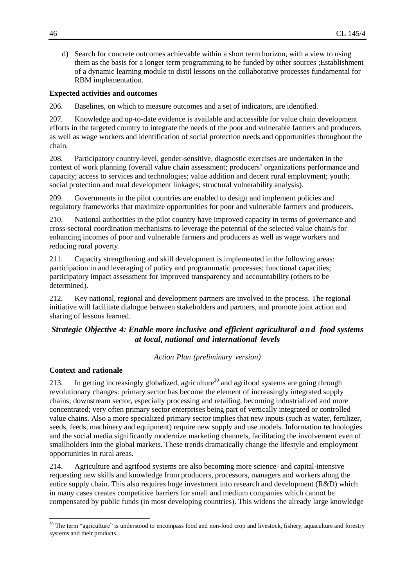d) Search for concrete outcomes achievable within a short term horizon, with a view to using them as the basis for a longer term programming to be funded by other sources ;Establishment of a dynamic learning module to distil lessons on the collaborative processes fundamental for RBM implementation.

#### **Expected activities and outcomes**

206. Baselines, on which to measure outcomes and a set of indicators, are identified.

207. Knowledge and up-to-date evidence is available and accessible for value chain development efforts in the targeted country to integrate the needs of the poor and vulnerable farmers and producers as well as wage workers and identification of social protection needs and opportunities throughout the chain.

208. Participatory country-level, gender-sensitive, diagnostic exercises are undertaken in the context of work planning (overall value chain assessment; producers' organizations performance and capacity; access to services and technologies; value addition and decent rural employment; youth; social protection and rural development linkages; structural vulnerability analysis).

209. Governments in the pilot countries are enabled to design and implement policies and regulatory frameworks that maximize opportunities for poor and vulnerable farmers and producers.

210. National authorities in the pilot country have improved capacity in terms of governance and cross-sectoral coordination mechanisms to leverage the potential of the selected value chain/s for enhancing incomes of poor and vulnerable farmers and producers as well as wage workers and reducing rural poverty.

211. Capacity strengthening and skill development is implemented in the following areas: participation in and leveraging of policy and programmatic processes; functional capacities; participatory impact assessment for improved transparency and accountability (others to be determined).

212. Key national, regional and development partners are involved in the process. The regional initiative will facilitate dialogue between stakeholders and partners, and promote joint action and sharing of lessons learned.

# *Strategic Objective 4: Enable more inclusive and efficient agricultural a n d food systems at local, national and international levels*

*Action Plan (preliminary version)*

### **Context and rationale**

l

213. In getting increasingly globalized, agriculture<sup>30</sup> and agrifood systems are going through revolutionary changes: primary sector has become the element of increasingly integrated supply chains; downstream sector, especially processing and retailing, becoming industrialized and more concentrated; very often primary sector enterprises being part of vertically integrated or controlled value chains. Also a more specialized primary sector implies that new inputs (such as water, fertilizer, seeds, feeds, machinery and equipment) require new supply and use models. Information technologies and the social media significantly modernize marketing channels, facilitating the involvement even of smallholders into the global markets. These trends dramatically change the lifestyle and employment opportunities in rural areas.

214. Agriculture and agrifood systems are also becoming more science- and capital-intensive requesting new skills and knowledge from producers, processors, managers and workers along the entire supply chain. This also requires huge investment into research and development (R&D) which in many cases creates competitive barriers for small and medium companies which cannot be compensated by public funds (in most developing countries). This widens the already large knowledge

<sup>&</sup>lt;sup>30</sup> The term "agriculture" is understood to encompass food and non-food crop and livestock, fishery, aquaculture and forestry systems and their products.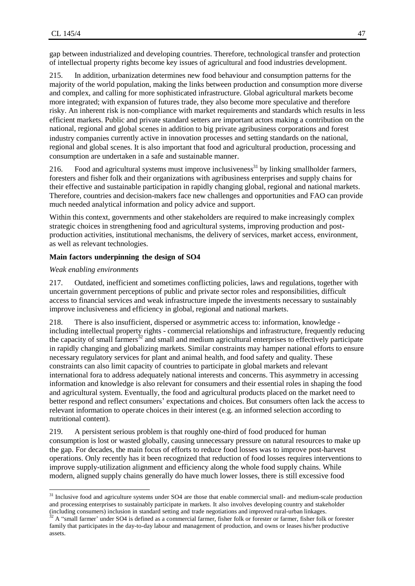gap between industrialized and developing countries. Therefore, technological transfer and protection of intellectual property rights become key issues of agricultural and food industries development.

215. In addition, urbanization determines new food behaviour and consumption patterns for the majority of the world population, making the links between production and consumption more diverse and complex, and calling for more sophisticated infrastructure. Global agricultural markets become more integrated; with expansion of futures trade, they also become more speculative and therefore risky. An inherent risk is non-compliance with market requirements and standards which results in less efficient markets. Public and private standard setters are important actors making a contribution on the national, regional and global scenes in addition to big private agribusiness corporations and forest industry companies currently active in innovation processes and setting standards on the national, regional and global scenes. It is also important that food and agricultural production, processing and consumption are undertaken in a safe and sustainable manner.

216. Food and agricultural systems must improve inclusiveness<sup>31</sup> by linking smallholder farmers, foresters and fisher folk and their organizations with agribusiness enterprises and supply chains for their effective and sustainable participation in rapidly changing global, regional and national markets. Therefore, countries and decision-makers face new challenges and opportunities and FAO can provide much needed analytical information and policy advice and support.

Within this context, governments and other stakeholders are required to make increasingly complex strategic choices in strengthening food and agricultural systems, improving production and postproduction activities, institutional mechanisms, the delivery of services, market access, environment, as well as relevant technologies.

#### **Main factors underpinning the design of SO4**

#### *Weak enabling environments*

 $\overline{a}$ 

217. Outdated, inefficient and sometimes conflicting policies, laws and regulations, together with uncertain government perceptions of public and private sector roles and responsibilities, difficult access to financial services and weak infrastructure impede the investments necessary to sustainably improve inclusiveness and efficiency in global, regional and national markets.

218. There is also insufficient, dispersed or asymmetric access to: information, knowledge including intellectual property rights - commercial relationships and infrastructure, frequently reducing the capacity of small farmers $32$  and small and medium agricultural enterprises to effectively participate in rapidly changing and globalizing markets. Similar constraints may hamper national efforts to ensure necessary regulatory services for plant and animal health, and food safety and quality. These constraints can also limit capacity of countries to participate in global markets and relevant international fora to address adequately national interests and concerns. This asymmetry in accessing information and knowledge is also relevant for consumers and their essential roles in shaping the food and agricultural system. Eventually, the food and agricultural products placed on the market need to better respond and reflect consumers' expectations and choices. But consumers often lack the access to relevant information to operate choices in their interest (e.g. an informed selection according to nutritional content).

219. A persistent serious problem is that roughly one-third of food produced for human consumption is lost or wasted globally, causing unnecessary pressure on natural resources to make up the gap. For decades, the main focus of efforts to reduce food losses was to improve post-harvest operations. Only recently has it been recognized that reduction of food losses requires interventions to improve supply-utilization alignment and efficiency along the whole food supply chains. While modern, aligned supply chains generally do have much lower losses, there is still excessive food

 $31$  Inclusive food and agriculture systems under SO4 are those that enable commercial small- and medium-scale production and processing enterprises to sustainably participate in markets. It also involves developing country and stakeholder (including consumers) inclusion in standard setting and trade negotiations and improved rural-urban linkages.

 $32$  A "small farmer' under SO4 is defined as a commercial farmer, fisher folk or forester or farmer, fisher folk or forester family that participates in the day-to-day labour and management of production, and owns or leases his/her productive assets.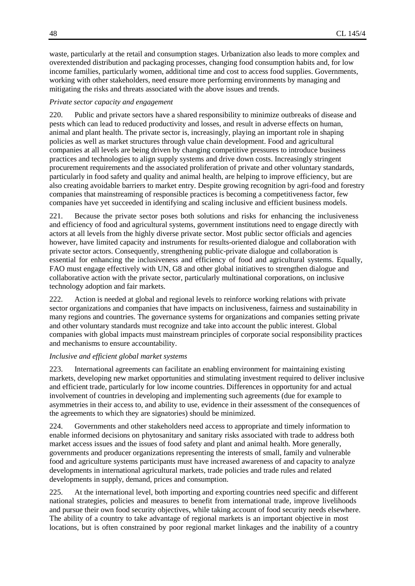waste, particularly at the retail and consumption stages. Urbanization also leads to more complex and overextended distribution and packaging processes, changing food consumption habits and, for low income families, particularly women, additional time and cost to access food supplies. Governments, working with other stakeholders, need ensure more performing environments by managing and mitigating the risks and threats associated with the above issues and trends.

#### *Private sector capacity and engagement*

220. Public and private sectors have a shared responsibility to minimize outbreaks of disease and pests which can lead to reduced productivity and losses, and result in adverse effects on human, animal and plant health. The private sector is, increasingly, playing an important role in shaping policies as well as market structures through value chain development. Food and agricultural companies at all levels are being driven by changing competitive pressures to introduce business practices and technologies to align supply systems and drive down costs. Increasingly stringent procurement requirements and the associated proliferation of private and other voluntary standards, particularly in food safety and quality and animal health, are helping to improve efficiency, but are also creating avoidable barriers to market entry. Despite growing recognition by agri-food and forestry companies that mainstreaming of responsible practices is becoming a competitiveness factor, few companies have yet succeeded in identifying and scaling inclusive and efficient business models.

221. Because the private sector poses both solutions and risks for enhancing the inclusiveness and efficiency of food and agricultural systems, government institutions need to engage directly with actors at all levels from the highly diverse private sector. Most public sector officials and agencies however, have limited capacity and instruments for results-oriented dialogue and collaboration with private sector actors. Consequently, strengthening public-private dialogue and collaboration is essential for enhancing the inclusiveness and efficiency of food and agricultural systems. Equally, FAO must engage effectively with UN, G8 and other global initiatives to strengthen dialogue and collaborative action with the private sector, particularly multinational corporations, on inclusive technology adoption and fair markets.

222. Action is needed at global and regional levels to reinforce working relations with private sector organizations and companies that have impacts on inclusiveness, fairness and sustainability in many regions and countries. The governance systems for organizations and companies setting private and other voluntary standards must recognize and take into account the public interest. Global companies with global impacts must mainstream principles of corporate social responsibility practices and mechanisms to ensure accountability.

#### *Inclusive and efficient global market systems*

223. International agreements can facilitate an enabling environment for maintaining existing markets, developing new market opportunities and stimulating investment required to deliver inclusive and efficient trade, particularly for low income countries. Differences in opportunity for and actual involvement of countries in developing and implementing such agreements (due for example to asymmetries in their access to, and ability to use, evidence in their assessment of the consequences of the agreements to which they are signatories) should be minimized.

224. Governments and other stakeholders need access to appropriate and timely information to enable informed decisions on phytosanitary and sanitary risks associated with trade to address both market access issues and the issues of food safety and plant and animal health. More generally, governments and producer organizations representing the interests of small, family and vulnerable food and agriculture systems participants must have increased awareness of and capacity to analyze developments in international agricultural markets, trade policies and trade rules and related developments in supply, demand, prices and consumption.

225. At the international level, both importing and exporting countries need specific and different national strategies, policies and measures to benefit from international trade, improve livelihoods and pursue their own food security objectives, while taking account of food security needs elsewhere. The ability of a country to take advantage of regional markets is an important objective in most locations, but is often constrained by poor regional market linkages and the inability of a country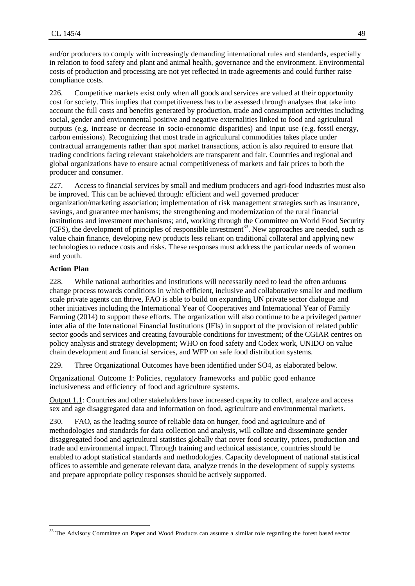and/or producers to comply with increasingly demanding international rules and standards, especially in relation to food safety and plant and animal health, governance and the environment. Environmental costs of production and processing are not yet reflected in trade agreements and could further raise compliance costs.

226. Competitive markets exist only when all goods and services are valued at their opportunity cost for society. This implies that competitiveness has to be assessed through analyses that take into account the full costs and benefits generated by production, trade and consumption activities including social, gender and environmental positive and negative externalities linked to food and agricultural outputs (e.g. increase or decrease in socio-economic disparities) and input use (e.g. fossil energy, carbon emissions). Recognizing that most trade in agricultural commodities takes place under contractual arrangements rather than spot market transactions, action is also required to ensure that trading conditions facing relevant stakeholders are transparent and fair. Countries and regional and global organizations have to ensure actual competitiveness of markets and fair prices to both the producer and consumer.

227. Access to financial services by small and medium producers and agri-food industries must also be improved. This can be achieved through: efficient and well governed producer organization/marketing association; implementation of risk management strategies such as insurance, savings, and guarantee mechanisms; the strengthening and modernization of the rural financial institutions and investment mechanisms; and, working through the Committee on World Food Security  $(CFS)$ , the development of principles of responsible investment<sup>33</sup>. New approaches are needed, such as value chain finance, developing new products less reliant on traditional collateral and applying new technologies to reduce costs and risks. These responses must address the particular needs of women and youth.

#### **Action Plan**

 $\overline{a}$ 

228. While national authorities and institutions will necessarily need to lead the often arduous change process towards conditions in which efficient, inclusive and collaborative smaller and medium scale private agents can thrive, FAO is able to build on expanding UN private sector dialogue and other initiatives including the International Year of Cooperatives and International Year of Family Farming (2014) to support these efforts. The organization will also continue to be a privileged partner inter alia of the International Financial Institutions (IFIs) in support of the provision of related public sector goods and services and creating favourable conditions for investment; of the CGIAR centres on policy analysis and strategy development; WHO on food safety and Codex work, UNIDO on value chain development and financial services, and WFP on safe food distribution systems.

229. Three Organizational Outcomes have been identified under SO4, as elaborated below.

Organizational Outcome 1: Policies, regulatory frameworks and public good enhance inclusiveness and efficiency of food and agriculture systems.

Output 1.1: Countries and other stakeholders have increased capacity to collect, analyze and access sex and age disaggregated data and information on food, agriculture and environmental markets.

230. FAO, as the leading source of reliable data on hunger, food and agriculture and of methodologies and standards for data collection and analysis, will collate and disseminate gender disaggregated food and agricultural statistics globally that cover food security, prices, production and trade and environmental impact. Through training and technical assistance, countries should be enabled to adopt statistical standards and methodologies. Capacity development of national statistical offices to assemble and generate relevant data, analyze trends in the development of supply systems and prepare appropriate policy responses should be actively supported.

<sup>&</sup>lt;sup>33</sup> The Advisory Committee on Paper and Wood Products can assume a similar role regarding the forest based sector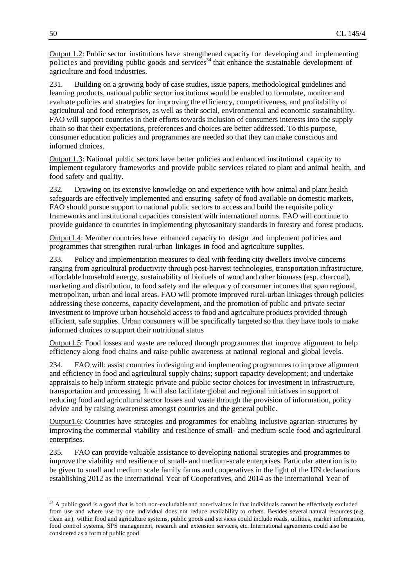Output 1.2: Public sector institutions have strengthened capacity for developing and implementing policies and providing public goods and services<sup>34</sup> that enhance the sustainable development of agriculture and food industries.

231. Building on a growing body of case studies, issue papers, methodological guidelines and learning products, national public sector institutions would be enabled to formulate, monitor and evaluate policies and strategies for improving the efficiency, competitiveness, and profitability of agricultural and food enterprises, as well as their social, environmental and economic sustainability. FAO will support countries in their efforts towards inclusion of consumers interests into the supply chain so that their expectations, preferences and choices are better addressed. To this purpose, consumer education policies and programmes are needed so that they can make conscious and informed choices.

Output 1.3: National public sectors have better policies and enhanced institutional capacity to implement regulatory frameworks and provide public services related to plant and animal health, and food safety and quality.

232. Drawing on its extensive knowledge on and experience with how animal and plant health safeguards are effectively implemented and ensuring safety of food available on domestic markets, FAO should pursue support to national public sectors to access and build the requisite policy frameworks and institutional capacities consistent with international norms. FAO will continue to provide guidance to countries in implementing phytosanitary standards in forestry and forest products.

Output1.4: Member countries have enhanced capacity to design and implement policies and programmes that strengthen rural-urban linkages in food and agriculture supplies.

233. Policy and implementation measures to deal with feeding city dwellers involve concerns ranging from agricultural productivity through post-harvest technologies, transportation infrastructure, affordable household energy, sustainability of biofuels of wood and other biomass (esp. charcoal), marketing and distribution, to food safety and the adequacy of consumer incomes that span regional, metropolitan, urban and local areas. FAO will promote improved rural-urban linkages through policies addressing these concerns, capacity development, and the promotion of public and private sector investment to improve urban household access to food and agriculture products provided through efficient, safe supplies. Urban consumers will be specifically targeted so that they have tools to make informed choices to support their nutritional status

Output1.5: Food losses and waste are reduced through programmes that improve alignment to help efficiency along food chains and raise public awareness at national regional and global levels.

234. FAO will: assist countries in designing and implementing programmes to improve alignment and efficiency in food and agricultural supply chains; support capacity development; and undertake appraisals to help inform strategic private and public sector choices for investment in infrastructure, transportation and processing. It will also facilitate global and regional initiatives in support of reducing food and agricultural sector losses and waste through the provision of information, policy advice and by raising awareness amongst countries and the general public.

Output1.6: Countries have strategies and programmes for enabling inclusive agrarian structures by improving the commercial viability and resilience of small- and medium-scale food and agricultural enterprises.

235. FAO can provide valuable assistance to developing national strategies and programmes to improve the viability and resilience of small- and medium-scale enterprises. Particular attention is to be given to small and medium scale family farms and cooperatives in the light of the UN declarations establishing 2012 as the International Year of Cooperatives, and 2014 as the International Year of

l

 $34$  A public good is a good that is both non-excludable and non-rivalous in that individuals cannot be effectively excluded from use and where use by one individual does not reduce availability to others. Besides several natural resources (e.g. clean air), within food and agriculture systems, public goods and services could include roads, utilities, market information, food control systems, SPS management, research and extension services, etc. International agreements could also be considered as a form of public good.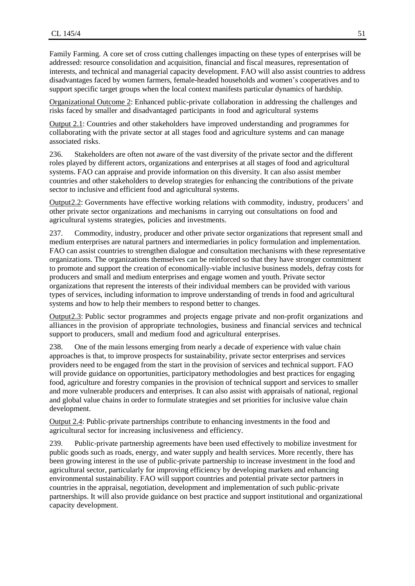Family Farming. A core set of cross cutting challenges impacting on these types of enterprises will be addressed: resource consolidation and acquisition, financial and fiscal measures, representation of interests, and technical and managerial capacity development. FAO will also assist countries to address disadvantages faced by women farmers, female-headed households and women's cooperatives and to support specific target groups when the local context manifests particular dynamics of hardship.

Organizational Outcome 2: Enhanced public-private collaboration in addressing the challenges and risks faced by smaller and disadvantaged participants in food and agricultural systems

Output 2.1: Countries and other stakeholders have improved understanding and programmes for collaborating with the private sector at all stages food and agriculture systems and can manage associated risks.

236. Stakeholders are often not aware of the vast diversity of the private sector and the different roles played by different actors, organizations and enterprises at all stages of food and agricultural systems. FAO can appraise and provide information on this diversity. It can also assist member countries and other stakeholders to develop strategies for enhancing the contributions of the private sector to inclusive and efficient food and agricultural systems.

Output2.2: Governments have effective working relations with commodity, industry, producers' and other private sector organizations and mechanisms in carrying out consultations on food and agricultural systems strategies, policies and investments.

237. Commodity, industry, producer and other private sector organizations that represent small and medium enterprises are natural partners and intermediaries in policy formulation and implementation. FAO can assist countries to strengthen dialogue and consultation mechanisms with these representative organizations. The organizations themselves can be reinforced so that they have stronger commitment to promote and support the creation of economically-viable inclusive business models, defray costs for producers and small and medium enterprises and engage women and youth. Private sector organizations that represent the interests of their individual members can be provided with various types of services, including information to improve understanding of trends in food and agricultural systems and how to help their members to respond better to changes.

Output2.3: Public sector programmes and projects engage private and non-profit organizations and alliances in the provision of appropriate technologies, business and financial services and technical support to producers, small and medium food and agricultural enterprises.

238. One of the main lessons emerging from nearly a decade of experience with value chain approaches is that, to improve prospects for sustainability, private sector enterprises and services providers need to be engaged from the start in the provision of services and technical support. FAO will provide guidance on opportunities, participatory methodologies and best practices for engaging food, agriculture and forestry companies in the provision of technical support and services to smaller and more vulnerable producers and enterprises. It can also assist with appraisals of national, regional and global value chains in order to formulate strategies and set priorities for inclusive value chain development.

Output 2.4: Public-private partnerships contribute to enhancing investments in the food and agricultural sector for increasing inclusiveness and efficiency.

239. Public-private partnership agreements have been used effectively to mobilize investment for public goods such as roads, energy, and water supply and health services. More recently, there has been growing interest in the use of public-private partnership to increase investment in the food and agricultural sector, particularly for improving efficiency by developing markets and enhancing environmental sustainability. FAO will support countries and potential private sector partners in countries in the appraisal, negotiation, development and implementation of such public-private partnerships. It will also provide guidance on best practice and support institutional and organizational capacity development.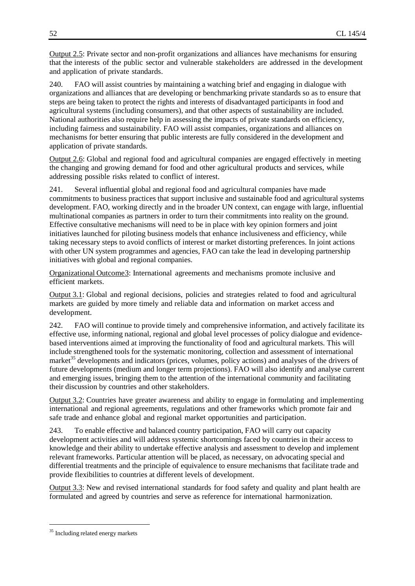Output 2.5: Private sector and non-profit organizations and alliances have mechanisms for ensuring that the interests of the public sector and vulnerable stakeholders are addressed in the development and application of private standards.

240. FAO will assist countries by maintaining a watching brief and engaging in dialogue with organizations and alliances that are developing or benchmarking private standards so as to ensure that steps are being taken to protect the rights and interests of disadvantaged participants in food and agricultural systems (including consumers), and that other aspects of sustainability are included. National authorities also require help in assessing the impacts of private standards on efficiency, including fairness and sustainability. FAO will assist companies, organizations and alliances on mechanisms for better ensuring that public interests are fully considered in the development and application of private standards.

Output 2.6: Global and regional food and agricultural companies are engaged effectively in meeting the changing and growing demand for food and other agricultural products and services, while addressing possible risks related to conflict of interest.

241. Several influential global and regional food and agricultural companies have made commitments to business practices that support inclusive and sustainable food and agricultural systems development. FAO, working directly and in the broader UN context, can engage with large, influential multinational companies as partners in order to turn their commitments into reality on the ground. Effective consultative mechanisms will need to be in place with key opinion formers and joint initiatives launched for piloting business models that enhance inclusiveness and efficiency, while taking necessary steps to avoid conflicts of interest or market distorting preferences. In joint actions with other UN system programmes and agencies, FAO can take the lead in developing partnership initiatives with global and regional companies.

Organizational Outcome3: International agreements and mechanisms promote inclusive and efficient markets.

Output 3.1: Global and regional decisions, policies and strategies related to food and agricultural markets are guided by more timely and reliable data and information on market access and development.

242. FAO will continue to provide timely and comprehensive information, and actively facilitate its effective use, informing national, regional and global level processes of policy dialogue and evidencebased interventions aimed at improving the functionality of food and agricultural markets. This will include strengthened tools for the systematic monitoring, collection and assessment of international market<sup>35</sup> developments and indicators (prices, volumes, policy actions) and analyses of the drivers of future developments (medium and longer term projections). FAO will also identify and analyse current and emerging issues, bringing them to the attention of the international community and facilitating their discussion by countries and other stakeholders.

Output 3.2: Countries have greater awareness and ability to engage in formulating and implementing international and regional agreements, regulations and other frameworks which promote fair and safe trade and enhance global and regional market opportunities and participation.

243. To enable effective and balanced country participation, FAO will carry out capacity development activities and will address systemic shortcomings faced by countries in their access to knowledge and their ability to undertake effective analysis and assessment to develop and implement relevant frameworks. Particular attention will be placed, as necessary, on advocating special and differential treatments and the principle of equivalence to ensure mechanisms that facilitate trade and provide flexibilities to countries at different levels of development.

Output 3.3: New and revised international standards for food safety and quality and plant health are formulated and agreed by countries and serve as reference for international harmonization.

 $\overline{a}$ 

<sup>&</sup>lt;sup>35</sup> Including related energy markets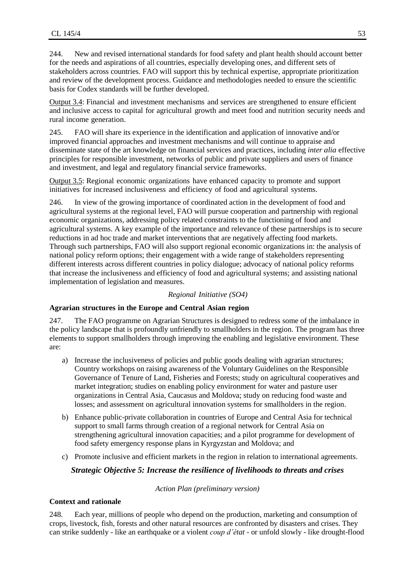244. New and revised international standards for food safety and plant health should account better for the needs and aspirations of all countries, especially developing ones, and different sets of stakeholders across countries. FAO will support this by technical expertise, appropriate prioritization and review of the development process. Guidance and methodologies needed to ensure the scientific basis for Codex standards will be further developed.

Output 3.4: Financial and investment mechanisms and services are strengthened to ensure efficient and inclusive access to capital for agricultural growth and meet food and nutrition security needs and rural income generation.

245. FAO will share its experience in the identification and application of innovative and/or improved financial approaches and investment mechanisms and will continue to appraise and disseminate state of the art knowledge on financial services and practices, including *inter alia* effective principles for responsible investment, networks of public and private suppliers and users of finance and investment, and legal and regulatory financial service frameworks.

Output 3.5: Regional economic organizations have enhanced capacity to promote and support initiatives for increased inclusiveness and efficiency of food and agricultural systems.

246. In view of the growing importance of coordinated action in the development of food and agricultural systems at the regional level, FAO will pursue cooperation and partnership with regional economic organizations, addressing policy related constraints to the functioning of food and agricultural systems. A key example of the importance and relevance of these partnerships is to secure reductions in ad hoc trade and market interventions that are negatively affecting food markets. Through such partnerships, FAO will also support regional economic organizations in: the analysis of national policy reform options; their engagement with a wide range of stakeholders representing different interests across different countries in policy dialogue; advocacy of national policy reforms that increase the inclusiveness and efficiency of food and agricultural systems; and assisting national implementation of legislation and measures.

#### *Regional Initiative (SO4)*

#### **Agrarian structures in the Europe and Central Asian region**

247. The FAO programme on Agrarian Structures is designed to redress some of the imbalance in the policy landscape that is profoundly unfriendly to smallholders in the region. The program has three elements to support smallholders through improving the enabling and legislative environment. These are:

- a) Increase the inclusiveness of policies and public goods dealing with agrarian structures; Country workshops on raising awareness of the Voluntary Guidelines on the Responsible Governance of Tenure of Land, Fisheries and Forests; study on agricultural cooperatives and market integration; studies on enabling policy environment for water and pasture user organizations in Central Asia, Caucasus and Moldova; study on reducing food waste and losses; and assessment on agricultural innovation systems for smallholders in the region.
- b) Enhance public-private collaboration in countries of Europe and Central Asia for technical support to small farms through creation of a regional network for Central Asia on strengthening agricultural innovation capacities; and a pilot programme for development of food safety emergency response plans in Kyrgyzstan and Moldova; and
- c) Promote inclusive and efficient markets in the region in relation to international agreements.

#### *Strategic Objective 5: Increase the resilience of livelihoods to threats and crises*

*Action Plan (preliminary version)*

#### **Context and rationale**

248. Each year, millions of people who depend on the production, marketing and consumption of crops, livestock, fish, forests and other natural resources are confronted by disasters and crises. They can strike suddenly - like an earthquake or a violent *coup d'état -* or unfold slowly - like drought-flood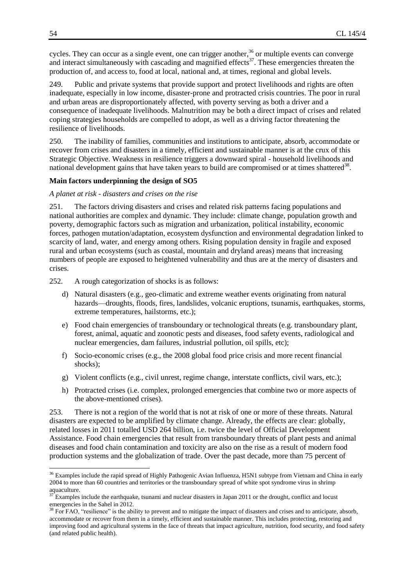cycles. They can occur as a single event, one can trigger another,  $36$  or multiple events can converge and interact simultaneously with cascading and magnified effects<sup>37</sup>. These emergencies threaten the production of, and access to, food at local, national and, at times, regional and global levels.

249. Public and private systems that provide support and protect livelihoods and rights are often inadequate, especially in low income, disaster-prone and protracted crisis countries. The poor in rural and urban areas are disproportionately affected, with poverty serving as both a driver and a consequence of inadequate livelihoods. Malnutrition may be both a direct impact of crises and related coping strategies households are compelled to adopt, as well as a driving factor threatening the resilience of livelihoods.

250. The inability of families, communities and institutions to anticipate, absorb, accommodate or recover from crises and disasters in a timely, efficient and sustainable manner is at the crux of this Strategic Objective. Weakness in resilience triggers a downward spiral - household livelihoods and national development gains that have taken years to build are compromised or at times shattered<sup>38</sup>.

#### **Main factors underpinning the design of SO5**

#### *A planet at risk - disasters and crises on the rise*

251. The factors driving disasters and crises and related risk patterns facing populations and national authorities are complex and dynamic. They include: climate change, population growth and poverty, demographic factors such as migration and urbanization, political instability, economic forces, pathogen mutation/adaptation, ecosystem dysfunction and environmental degradation linked to scarcity of land, water, and energy among others. Rising population density in fragile and exposed rural and urban ecosystems (such as coastal, mountain and dryland areas) means that increasing numbers of people are exposed to heightened vulnerability and thus are at the mercy of disasters and crises.

252. A rough categorization of shocks is as follows:

- d) Natural disasters (e.g., geo-climatic and extreme weather events originating from natural hazards—droughts, floods, fires, landslides, volcanic eruptions, tsunamis, earthquakes, storms, extreme temperatures, hailstorms, etc.);
- e) Food chain emergencies of transboundary or technological threats (e.g. transboundary plant, forest, animal, aquatic and zoonotic pests and diseases, food safety events, radiological and nuclear emergencies, dam failures, industrial pollution, oil spills, etc);
- f) Socio-economic crises (e.g., the 2008 global food price crisis and more recent financial shocks);
- g) Violent conflicts (e.g., civil unrest, regime change, interstate conflicts, civil wars, etc.);
- h) Protracted crises (i.e. complex, prolonged emergencies that combine two or more aspects of the above-mentioned crises).

253. There is not a region of the world that is not at risk of one or more of these threats. Natural disasters are expected to be amplified by climate change. Already, the effects are clear: globally, related losses in 2011 totalled USD 264 billion, i.e. twice the level of Official Development Assistance. Food chain emergencies that result from transboundary threats of plant pests and animal diseases and food chain contamination and toxicity are also on the rise as a result of modern food production systems and the globalization of trade. Over the past decade, more than 75 percent of

 $\overline{a}$ 

<sup>&</sup>lt;sup>36</sup> Examples include the rapid spread of Highly Pathogenic Avian Influenza, H5N1 subtype from Vietnam and China in early 2004 to more than 60 countries and territories or the transboundary spread of white spot syndrome virus in shrimp aquaculture.

Examples include the earthquake, tsunami and nuclear disasters in Japan 2011 or the drought, conflict and locust emergencies in the Sahel in 2012.

<sup>&</sup>lt;sup>38</sup> For FAO, "resilience" is the ability to prevent and to mitigate the impact of disasters and crises and to anticipate, absorb, accommodate or recover from them in a timely, efficient and sustainable manner. This includes protecting, restoring and improving food and agricultural systems in the face of threats that impact agriculture, nutrition, food security, and food safety (and related public health).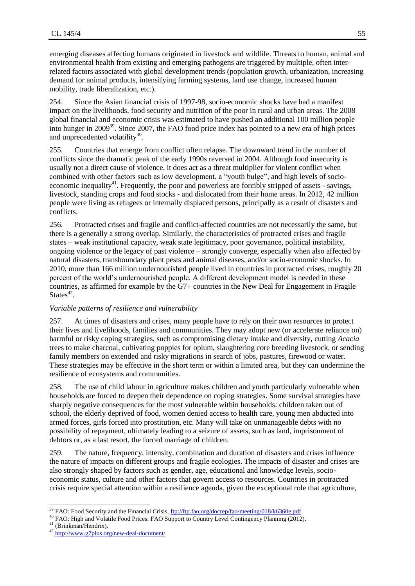emerging diseases affecting humans originated in livestock and wildlife. Threats to human, animal and environmental health from existing and emerging pathogens are triggered by multiple, often interrelated factors associated with global development trends (population growth, urbanization, increasing demand for animal products, intensifying farming systems, land use change, increased human mobility, trade liberalization, etc.).

254. Since the Asian financial crisis of 1997-98, socio-economic shocks have had a manifest impact on the livelihoods, food security and nutrition of the poor in rural and urban areas. The 2008 global financial and economic crisis was estimated to have pushed an additional 100 million people into hunger in 2009<sup>39</sup>. Since 2007, the FAO food price index has pointed to a new era of high prices and unprecedented volatility $^{40}$ .

255. Countries that emerge from conflict often relapse. The downward trend in the number of conflicts since the dramatic peak of the early 1990s reversed in 2004. Although food insecurity is usually not a direct cause of violence, it does act as a threat multiplier for violent conflict when combined with other factors such as low development, a "youth bulge", and high levels of socioeconomic inequality<sup>41</sup>. Frequently, the poor and powerless are forcibly stripped of assets - savings, livestock, standing crops and food stocks - and dislocated from their home areas. In 2012, 42 million people were living as refugees or internally displaced persons, principally as a result of disasters and conflicts.

256. Protracted crises and fragile and conflict-affected countries are not necessarily the same, but there is a generally a strong overlap. Similarly, the characteristics of protracted crises and fragile states – weak institutional capacity, weak state legitimacy, poor governance, political instability, ongoing violence or the legacy of past violence – strongly converge, especially when also affected by natural disasters, transboundary plant pests and animal diseases, and/or socio-economic shocks. In 2010, more than 166 million undernourished people lived in countries in protracted crises, roughly 20 percent of the world's undernourished people. A different development model is needed in these countries, as affirmed for example by the G7+ countries in the New Deal for Engagement in Fragile States $42$ .

#### *Variable patterns of resilience and vulnerability*

257. At times of disasters and crises, many people have to rely on their own resources to protect their lives and livelihoods, families and communities. They may adopt new (or accelerate reliance on) harmful or risky coping strategies, such as compromising dietary intake and diversity, cutting *Acacia* trees to make charcoal, cultivating poppies for opium, slaughtering core breeding livestock, or sending family members on extended and risky migrations in search of jobs, pastures, firewood or water. These strategies may be effective in the short term or within a limited area, but they can undermine the resilience of ecosystems and communities.

258. The use of child labour in agriculture makes children and youth particularly vulnerable when households are forced to deepen their dependence on coping strategies. Some survival strategies have sharply negative consequences for the most vulnerable within households: children taken out of school, the elderly deprived of food, women denied access to health care, young men abducted into armed forces, girls forced into prostitution, etc. Many will take on unmanageable debts with no possibility of repayment, ultimately leading to a seizure of assets, such as land, imprisonment of debtors or, as a last resort, the forced marriage of children.

259. The nature, frequency, intensity, combination and duration of disasters and crises influence the nature of impacts on different groups and fragile ecologies. The impacts of disaster and crises are also strongly shaped by factors such as gender, age, educational and knowledge levels, socioeconomic status, culture and other factors that govern access to resources. Countries in protracted crisis require special attention within a resilience agenda, given the exceptional role that agriculture,

 $\overline{a}$ 

<sup>&</sup>lt;sup>39</sup> FAO: Food Security and the Financial Crisis[, ftp://ftp.fao.org/docrep/fao/meeting/018/k6360e.pdf](ftp://ftp.fao.org/docrep/fao/meeting/018/k6360e.pdf)

<sup>&</sup>lt;sup>40</sup> FAO: High and Volatile Food Prices: FAO Support to Country Level Contingency Planning (2012).

<sup>&</sup>lt;sup>41</sup> (Brinkman/Hendrix).

<sup>42</sup> <http://www.g7plus.org/new-deal-document/>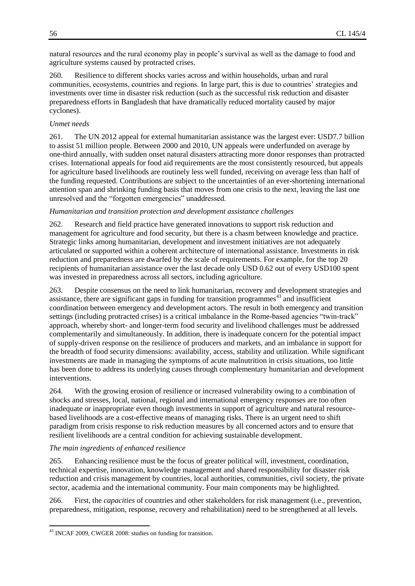natural resources and the rural economy play in people's survival as well as the damage to food and agriculture systems caused by protracted crises.

260. Resilience to different shocks varies across and within households, urban and rural communities, ecosystems, countries and regions. In large part, this is due to countries' strategies and investments over time in disaster risk reduction (such as the successful risk reduction and disaster preparedness efforts in Bangladesh that have dramatically reduced mortality caused by major cyclones).

### *Unmet needs*

261. The UN 2012 appeal for external humanitarian assistance was the largest ever: USD7.7 billion to assist 51 million people. Between 2000 and 2010, UN appeals were underfunded on average by one-third annually, with sudden onset natural disasters attracting more donor responses than protracted crises. International appeals for food aid requirements are the most consistently resourced, but appeals for agriculture based livelihoods are routinely less well funded, receiving on average less than half of the funding requested. Contributions are subject to the uncertainties of an ever-shortening international attention span and shrinking funding basis that moves from one crisis to the next, leaving the last one unresolved and the "forgotten emergencies" unaddressed.

#### *Humanitarian and transition protection and development assistance challenges*

262. Research and field practice have generated innovations to support risk reduction and management for agriculture and food security, but there is a chasm between knowledge and practice. Strategic links among humanitarian, development and investment initiatives are not adequately articulated or supported within a coherent architecture of international assistance. Investments in risk reduction and preparedness are dwarfed by the scale of requirements. For example, for the top 20 recipients of humanitarian assistance over the last decade only USD 0.62 out of every USD100 spent was invested in preparedness across all sectors, including agriculture.

263. Despite consensus on the need to link humanitarian, recovery and development strategies and assistance, there are significant gaps in funding for transition programmes $43$  and insufficient coordination between emergency and development actors. The result in both emergency and transition settings (including protracted crises) is a critical imbalance in the Rome-based agencies "twin-track" approach, whereby short- and longer-term food security and livelihood challenges must be addressed complementarily and simultaneously. In addition, there is inadequate concern for the potential impact of supply-driven response on the resilience of producers and markets, and an imbalance in support for the breadth of food security dimensions: availability, access, stability and utilization. While significant investments are made in managing the symptoms of acute malnutrition in crisis situations, too little has been done to address its underlying causes through complementary humanitarian and development interventions.

264. With the growing erosion of resilience or increased vulnerability owing to a combination of shocks and stresses, local, national, regional and international emergency responses are too often inadequate or inappropriate even though investments in support of agriculture and natural resourcebased livelihoods are a cost-effective means of managing risks. There is an urgent need to shift paradigm from crisis response to risk reduction measures by all concerned actors and to ensure that resilient livelihoods are a central condition for achieving sustainable development.

#### *The main ingredients of enhanced resilience*

 $\overline{a}$ 

265. Enhancing resilience must be the focus of greater political will, investment, coordination, technical expertise, innovation, knowledge management and shared responsibility for disaster risk reduction and crisis management by countries, local authorities, communities, civil society, the private sector, academia and the international community. Four main components may be highlighted.

266. First, the *capacities* of countries and other stakeholders for risk management (i.e., prevention, preparedness, mitigation, response, recovery and rehabilitation) need to be strengthened at all levels.

<sup>43</sup> INCAF 2009, CWGER 2008: studies on funding for transition.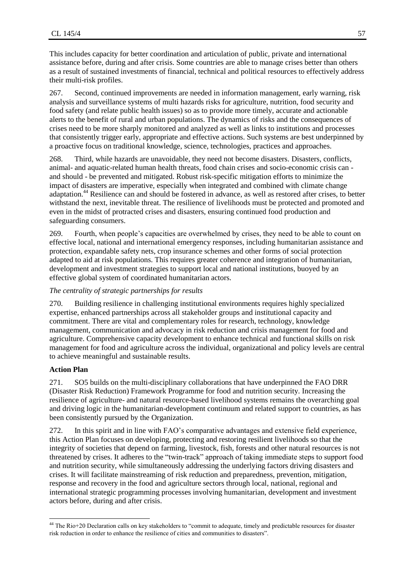This includes capacity for better coordination and articulation of public, private and international assistance before, during and after crisis. Some countries are able to manage crises better than others as a result of sustained investments of financial, technical and political resources to effectively address their multi-risk profiles.

267. Second, continued improvements are needed in information management, early warning, risk analysis and surveillance systems of multi hazards risks for agriculture, nutrition, food security and food safety (and relate public health issues) so as to provide more timely, accurate and actionable alerts to the benefit of rural and urban populations. The dynamics of risks and the consequences of crises need to be more sharply monitored and analyzed as well as links to institutions and processes that consistently trigger early, appropriate and effective actions. Such systems are best underpinned by a proactive focus on traditional knowledge, science, technologies, practices and approaches.

268. Third, while hazards are unavoidable, they need not become disasters. Disasters, conflicts, animal- and aquatic-related human health threats, food chain crises and socio-economic crisis can and should - be prevented and mitigated. Robust risk-specific mitigation efforts to minimize the impact of disasters are imperative, especially when integrated and combined with climate change adaptation.<sup>44</sup> Resilience can and should be fostered in advance, as well as restored after crises, to better withstand the next, inevitable threat. The resilience of livelihoods must be protected and promoted and even in the midst of protracted crises and disasters, ensuring continued food production and safeguarding consumers.

269. Fourth, when people's capacities are overwhelmed by crises, they need to be able to count on effective local, national and international emergency responses, including humanitarian assistance and protection, expandable safety nets, crop insurance schemes and other forms of social protection adapted to aid at risk populations. This requires greater coherence and integration of humanitarian, development and investment strategies to support local and national institutions, buoyed by an effective global system of coordinated humanitarian actors.

### *The centrality of strategic partnerships for results*

270. Building resilience in challenging institutional environments requires highly specialized expertise, enhanced partnerships across all stakeholder groups and institutional capacity and commitment. There are vital and complementary roles for research, technology, knowledge management, communication and advocacy in risk reduction and crisis management for food and agriculture. Comprehensive capacity development to enhance technical and functional skills on risk management for food and agriculture across the individual, organizational and policy levels are central to achieve meaningful and sustainable results.

#### **Action Plan**

l

271. SO5 builds on the multi-disciplinary collaborations that have underpinned the FAO DRR (Disaster Risk Reduction) Framework Programme for food and nutrition security. Increasing the resilience of agriculture- and natural resource-based livelihood systems remains the overarching goal and driving logic in the humanitarian-development continuum and related support to countries, as has been consistently pursued by the Organization.

272. In this spirit and in line with FAO's comparative advantages and extensive field experience, this Action Plan focuses on developing, protecting and restoring resilient livelihoods so that the integrity of societies that depend on farming, livestock, fish, forests and other natural resources is not threatened by crises. It adheres to the "twin-track" approach of taking immediate steps to support food and nutrition security, while simultaneously addressing the underlying factors driving disasters and crises. It will facilitate mainstreaming of risk reduction and preparedness, prevention, mitigation, response and recovery in the food and agriculture sectors through local, national, regional and international strategic programming processes involving humanitarian, development and investment actors before, during and after crisis.

<sup>&</sup>lt;sup>44</sup> The Rio+20 Declaration calls on key stakeholders to "commit to adequate, timely and predictable resources for disaster risk reduction in order to enhance the resilience of cities and communities to disasters".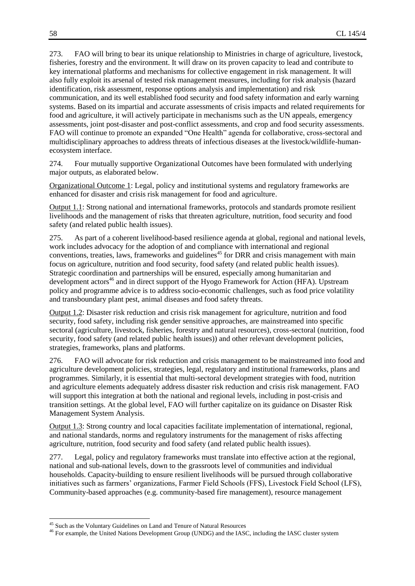273. FAO will bring to bear its unique relationship to Ministries in charge of agriculture, livestock, fisheries, forestry and the environment. It will draw on its proven capacity to lead and contribute to key international platforms and mechanisms for collective engagement in risk management. It will also fully exploit its arsenal of tested risk management measures, including for risk analysis (hazard identification, risk assessment, response options analysis and implementation) and risk communication, and its well established food security and food safety information and early warning systems. Based on its impartial and accurate assessments of crisis impacts and related requirements for food and agriculture, it will actively participate in mechanisms such as the UN appeals, emergency assessments, joint post-disaster and post-conflict assessments, and crop and food security assessments. FAO will continue to promote an expanded "One Health" agenda for collaborative, cross-sectoral and multidisciplinary approaches to address threats of infectious diseases at the livestock/wildlife-humanecosystem interface.

274. Four mutually supportive Organizational Outcomes have been formulated with underlying major outputs, as elaborated below.

Organizational Outcome 1: Legal, policy and institutional systems and regulatory frameworks are enhanced for disaster and crisis risk management for food and agriculture.

Output 1.1: Strong national and international frameworks, protocols and standards promote resilient livelihoods and the management of risks that threaten agriculture, nutrition, food security and food safety (and related public health issues).

275. As part of a coherent livelihood-based resilience agenda at global, regional and national levels, work includes advocacy for the adoption of and compliance with international and regional conventions, treaties, laws, frameworks and guidelines<sup> $45$ </sup> for DRR and crisis management with main focus on agriculture, nutrition and food security, food safety (and related public health issues). Strategic coordination and partnerships will be ensured, especially among humanitarian and development actors<sup>46</sup> and in direct support of the Hyogo Framework for Action (HFA). Upstream policy and programme advice is to address socio-economic challenges, such as food price volatility and transboundary plant pest, animal diseases and food safety threats.

Output 1.2: Disaster risk reduction and crisis risk management for agriculture, nutrition and food security, food safety, including risk gender sensitive approaches, are mainstreamed into specific sectoral (agriculture, livestock, fisheries, forestry and natural resources), cross-sectoral (nutrition, food security, food safety (and related public health issues)) and other relevant development policies, strategies, frameworks, plans and platforms.

276. FAO will advocate for risk reduction and crisis management to be mainstreamed into food and agriculture development policies, strategies, legal, regulatory and institutional frameworks, plans and programmes. Similarly, it is essential that multi-sectoral development strategies with food, nutrition and agriculture elements adequately address disaster risk reduction and crisis risk management. FAO will support this integration at both the national and regional levels, including in post-crisis and transition settings. At the global level, FAO will further capitalize on its guidance on Disaster Risk Management System Analysis.

Output 1.3: Strong country and local capacities facilitate implementation of international, regional, and national standards, norms and regulatory instruments for the management of risks affecting agriculture, nutrition, food security and food safety (and related public health issues).

277. Legal, policy and regulatory frameworks must translate into effective action at the regional, national and sub-national levels, down to the grassroots level of communities and individual households. Capacity-building to ensure resilient livelihoods will be pursued through collaborative initiatives such as farmers' organizations, Farmer Field Schools (FFS), Livestock Field School (LFS), Community-based approaches (e.g. community-based fire management), resource management

l

<sup>45</sup> Such as the Voluntary Guidelines on Land and Tenure of Natural Resources

<sup>&</sup>lt;sup>46</sup> For example, the United Nations Development Group (UNDG) and the IASC, including the IASC cluster system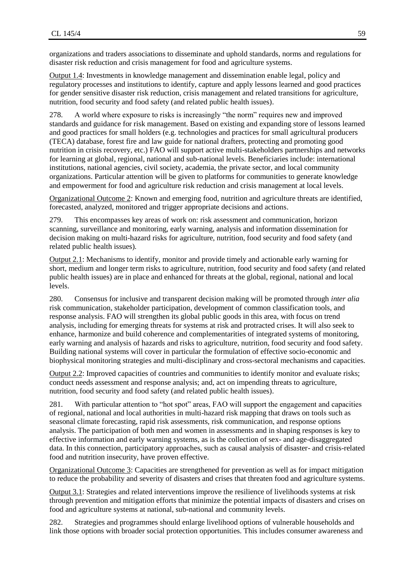organizations and traders associations to disseminate and uphold standards, norms and regulations for disaster risk reduction and crisis management for food and agriculture systems.

Output 1.4: Investments in knowledge management and dissemination enable legal, policy and regulatory processes and institutions to identify, capture and apply lessons learned and good practices for gender sensitive disaster risk reduction, crisis management and related transitions for agriculture, nutrition, food security and food safety (and related public health issues).

278. A world where exposure to risks is increasingly "the norm" requires new and improved standards and guidance for risk management. Based on existing and expanding store of lessons learned and good practices for small holders (e.g. technologies and practices for small agricultural producers (TECA) database, forest fire and law guide for national drafters, protecting and promoting good nutrition in crisis recovery, etc.) FAO will support active multi-stakeholders partnerships and networks for learning at global, regional, national and sub-national levels. Beneficiaries include: international institutions, national agencies, civil society, academia, the private sector, and local community organizations. Particular attention will be given to platforms for communities to generate knowledge and empowerment for food and agriculture risk reduction and crisis management at local levels.

Organizational Outcome 2: Known and emerging food, nutrition and agriculture threats are identified, forecasted, analyzed, monitored and trigger appropriate decisions and actions.

279. This encompasses key areas of work on: risk assessment and communication, horizon scanning, surveillance and monitoring, early warning, analysis and information dissemination for decision making on multi-hazard risks for agriculture, nutrition, food security and food safety (and related public health issues)*.*

Output 2.1: Mechanisms to identify, monitor and provide timely and actionable early warning for short, medium and longer term risks to agriculture, nutrition, food security and food safety (and related public health issues) are in place and enhanced for threats at the global, regional, national and local levels.

280. Consensus for inclusive and transparent decision making will be promoted through *inter alia*  risk communication, stakeholder participation, development of common classification tools, and response analysis. FAO will strengthen its global public goods in this area, with focus on trend analysis, including for emerging threats for systems at risk and protracted crises. It will also seek to enhance, harmonize and build coherence and complementarities of integrated systems of monitoring, early warning and analysis of hazards and risks to agriculture, nutrition, food security and food safety. Building national systems will cover in particular the formulation of effective socio-economic and biophysical monitoring strategies and multi-disciplinary and cross-sectoral mechanisms and capacities.

Output 2.2: Improved capacities of countries and communities to identify monitor and evaluate risks; conduct needs assessment and response analysis; and, act on impending threats to agriculture, nutrition, food security and food safety (and related public health issues).

281. With particular attention to "hot spot" areas, FAO will support the engagement and capacities of regional, national and local authorities in multi-hazard risk mapping that draws on tools such as seasonal climate forecasting, rapid risk assessments, risk communication, and response options analysis. The participation of both men and women in assessments and in shaping responses is key to effective information and early warning systems, as is the collection of sex- and age-disaggregated data. In this connection, participatory approaches, such as causal analysis of disaster- and crisis-related food and nutrition insecurity, have proven effective.

Organizational Outcome 3: Capacities are strengthened for prevention as well as for impact mitigation to reduce the probability and severity of disasters and crises that threaten food and agriculture systems.

Output 3.1: Strategies and related interventions improve the resilience of livelihoods systems at risk through prevention and mitigation efforts that minimize the potential impacts of disasters and crises on food and agriculture systems at national, sub-national and community levels.

282. Strategies and programmes should enlarge livelihood options of vulnerable households and link those options with broader social protection opportunities. This includes consumer awareness and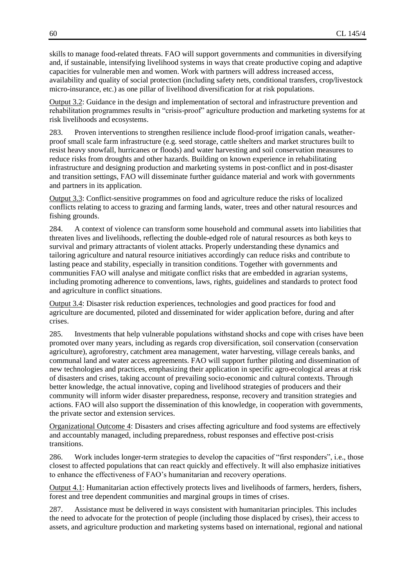skills to manage food-related threats. FAO will support governments and communities in diversifying and, if sustainable, intensifying livelihood systems in ways that create productive coping and adaptive capacities for vulnerable men and women. Work with partners will address increased access, availability and quality of social protection (including safety nets, conditional transfers, crop/livestock micro-insurance, etc.) as one pillar of livelihood diversification for at risk populations.

Output 3.2: Guidance in the design and implementation of sectoral and infrastructure prevention and rehabilitation programmes results in "crisis-proof" agriculture production and marketing systems for at risk livelihoods and ecosystems.

283. Proven interventions to strengthen resilience include flood-proof irrigation canals, weatherproof small scale farm infrastructure (e.g. seed storage, cattle shelters and market structures built to resist heavy snowfall, hurricanes or floods) and water harvesting and soil conservation measures to reduce risks from droughts and other hazards. Building on known experience in rehabilitating infrastructure and designing production and marketing systems in post-conflict and in post-disaster and transition settings, FAO will disseminate further guidance material and work with governments and partners in its application.

Output 3.3: Conflict-sensitive programmes on food and agriculture reduce the risks of localized conflicts relating to access to grazing and farming lands, water, trees and other natural resources and fishing grounds.

284. A context of violence can transform some household and communal assets into liabilities that threaten lives and livelihoods, reflecting the double-edged role of natural resources as both keys to survival and primary attractants of violent attacks. Properly understanding these dynamics and tailoring agriculture and natural resource initiatives accordingly can reduce risks and contribute to lasting peace and stability, especially in transition conditions. Together with governments and communities FAO will analyse and mitigate conflict risks that are embedded in agrarian systems, including promoting adherence to conventions, laws, rights, guidelines and standards to protect food and agriculture in conflict situations.

Output 3.4: Disaster risk reduction experiences, technologies and good practices for food and agriculture are documented, piloted and disseminated for wider application before, during and after crises.

285. Investments that help vulnerable populations withstand shocks and cope with crises have been promoted over many years, including as regards crop diversification, soil conservation (conservation agriculture), agroforestry, catchment area management, water harvesting, village cereals banks, and communal land and water access agreements. FAO will support further piloting and dissemination of new technologies and practices, emphasizing their application in specific agro-ecological areas at risk of disasters and crises, taking account of prevailing socio-economic and cultural contexts. Through better knowledge, the actual innovative, coping and livelihood strategies of producers and their community will inform wider disaster preparedness, response, recovery and transition strategies and actions. FAO will also support the dissemination of this knowledge, in cooperation with governments, the private sector and extension services.

Organizational Outcome 4: Disasters and crises affecting agriculture and food systems are effectively and accountably managed, including preparedness, robust responses and effective post-crisis transitions.

286. Work includes longer-term strategies to develop the capacities of "first responders", i.e., those closest to affected populations that can react quickly and effectively. It will also emphasize initiatives to enhance the effectiveness of FAO's humanitarian and recovery operations.

Output 4.1: Humanitarian action effectively protects lives and livelihoods of farmers, herders, fishers, forest and tree dependent communities and marginal groups in times of crises.

287. Assistance must be delivered in ways consistent with humanitarian principles. This includes the need to advocate for the protection of people (including those displaced by crises), their access to assets, and agriculture production and marketing systems based on international, regional and national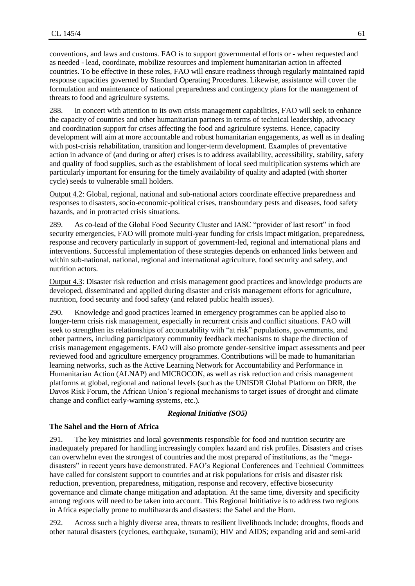conventions, and laws and customs. FAO is to support governmental efforts or - when requested and as needed - lead, coordinate, mobilize resources and implement humanitarian action in affected countries. To be effective in these roles, FAO will ensure readiness through regularly maintained rapid response capacities governed by Standard Operating Procedures. Likewise, assistance will cover the formulation and maintenance of national preparedness and contingency plans for the management of threats to food and agriculture systems.

288. In concert with attention to its own crisis management capabilities, FAO will seek to enhance the capacity of countries and other humanitarian partners in terms of technical leadership, advocacy and coordination support for crises affecting the food and agriculture systems. Hence, capacity development will aim at more accountable and robust humanitarian engagements, as well as in dealing with post-crisis rehabilitation, transition and longer-term development. Examples of preventative action in advance of (and during or after) crises is to address availability, accessibility, stability, safety and quality of food supplies, such as the establishment of local seed multiplication systems which are particularly important for ensuring for the timely availability of quality and adapted (with shorter cycle) seeds to vulnerable small holders.

Output 4.2: Global, regional, national and sub-national actors coordinate effective preparedness and responses to disasters, socio-economic-political crises, transboundary pests and diseases, food safety hazards, and in protracted crisis situations.

289. As co-lead of the Global Food Security Cluster and IASC "provider of last resort" in food security emergencies, FAO will promote multi-year funding for crisis impact mitigation, preparedness, response and recovery particularly in support of government-led, regional and international plans and interventions. Successful implementation of these strategies depends on enhanced links between and within sub-national, national, regional and international agriculture, food security and safety, and nutrition actors.

Output 4.3: Disaster risk reduction and crisis management good practices and knowledge products are developed, disseminated and applied during disaster and crisis management efforts for agriculture, nutrition, food security and food safety (and related public health issues).

290. Knowledge and good practices learned in emergency programmes can be applied also to longer-term crisis risk management, especially in recurrent crisis and conflict situations. FAO will seek to strengthen its relationships of accountability with "at risk" populations, governments, and other partners, including participatory community feedback mechanisms to shape the direction of crisis management engagements. FAO will also promote gender-sensitive impact assessments and peer reviewed food and agriculture emergency programmes. Contributions will be made to humanitarian learning networks, such as the Active Learning Network for Accountability and Performance in Humanitarian Action (ALNAP) and MICROCON, as well as risk reduction and crisis management platforms at global, regional and national levels (such as the UNISDR Global Platform on DRR, the Davos Risk Forum, the African Union's regional mechanisms to target issues of drought and climate change and conflict early-warning systems, etc.).

#### *Regional Initiative (SO5)*

#### **The Sahel and the Horn of Africa**

291. The key ministries and local governments responsible for food and nutrition security are inadequately prepared for handling increasingly complex hazard and risk profiles. Disasters and crises can overwhelm even the strongest of countries and the most prepared of institutions, as the "megadisasters" in recent years have demonstrated. FAO's Regional Conferences and Technical Committees have called for consistent support to countries and at risk populations for crisis and disaster risk reduction, prevention, preparedness, mitigation, response and recovery, effective biosecurity governance and climate change mitigation and adaptation. At the same time, diversity and specificity among regions will need to be taken into account. This Regional Inititiative is to address two regions in Africa especially prone to multihazards and disasters: the Sahel and the Horn.

292. Across such a highly diverse area, threats to resilient livelihoods include: droughts, floods and other natural disasters (cyclones, earthquake, tsunami); HIV and AIDS; expanding arid and semi-arid